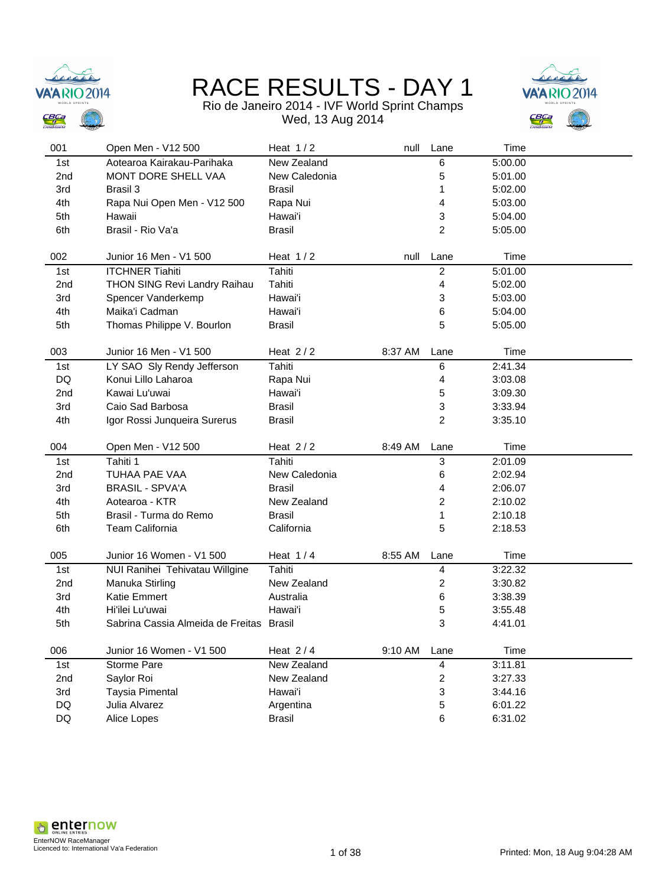



### Rio de Janeiro 2014 - IVF World Sprint Champs

Wed, 13 Aug 2014

| 001        | Open Men - V12 500                     | Heat $1/2$                 | null    | Lane           | Time               |  |
|------------|----------------------------------------|----------------------------|---------|----------------|--------------------|--|
| 1st        | Aotearoa Kairakau-Parihaka             | New Zealand                |         | 6              | 5:00.00            |  |
| 2nd        | MONT DORE SHELL VAA                    | New Caledonia              |         | 5              | 5:01.00            |  |
| 3rd        | Brasil 3                               | <b>Brasil</b>              |         | 1              | 5:02.00            |  |
| 4th        | Rapa Nui Open Men - V12 500            | Rapa Nui                   |         | $\overline{4}$ | 5:03.00            |  |
| 5th        | Hawaii                                 | Hawai'i                    |         | 3              | 5:04.00            |  |
| 6th        | Brasil - Rio Va'a                      | <b>Brasil</b>              |         | $\overline{c}$ | 5:05.00            |  |
|            |                                        |                            |         |                |                    |  |
| 002        | Junior 16 Men - V1 500                 | Heat $1/2$                 | null    | Lane           | Time               |  |
| 1st        | <b>ITCHNER Tiahiti</b>                 | Tahiti                     |         | $\overline{c}$ | 5:01.00            |  |
| 2nd        | THON SING Revi Landry Raihau           | Tahiti                     |         | 4              | 5:02.00            |  |
| 3rd        | Spencer Vanderkemp                     | Hawai'i                    |         | 3              | 5:03.00            |  |
| 4th        | Maika'i Cadman                         | Hawai'i                    |         | 6              | 5:04.00            |  |
| 5th        | Thomas Philippe V. Bourlon             | <b>Brasil</b>              |         | 5              | 5:05.00            |  |
|            |                                        |                            |         |                |                    |  |
| 003        | Junior 16 Men - V1 500                 | Heat $2/2$                 | 8:37 AM | Lane           | Time               |  |
| 1st        | LY SAO Sly Rendy Jefferson             | Tahiti                     |         | 6              | 2:41.34            |  |
| DQ         | Konui Lillo Laharoa                    | Rapa Nui                   |         | 4              | 3:03.08            |  |
| 2nd        | Kawai Lu'uwai                          | Hawai'i                    |         | 5              | 3:09.30            |  |
| 3rd        | Caio Sad Barbosa                       | <b>Brasil</b>              |         | 3              | 3:33.94            |  |
| 4th        | Igor Rossi Junqueira Surerus           | <b>Brasil</b>              |         | 2              | 3:35.10            |  |
|            |                                        |                            |         |                |                    |  |
|            |                                        |                            |         |                |                    |  |
| 004        | Open Men - V12 500                     | Heat $2/2$                 | 8:49 AM | Lane           | Time               |  |
| 1st        | Tahiti 1                               | Tahiti                     |         | $\mathbf{3}$   | 2:01.09            |  |
| 2nd        | TUHAA PAE VAA                          | New Caledonia              |         | 6              | 2:02.94            |  |
| 3rd        | <b>BRASIL - SPVA'A</b>                 | <b>Brasil</b>              |         | 4              | 2:06.07            |  |
| 4th        | Aotearoa - KTR                         | New Zealand                |         | 2              | 2:10.02            |  |
| 5th        | Brasil - Turma do Remo                 | <b>Brasil</b>              |         | 1              | 2:10.18            |  |
| 6th        | Team California                        | California                 |         | 5              | 2:18.53            |  |
| 005        | Junior 16 Women - V1 500               | Heat $1/4$                 | 8:55 AM | Lane           | Time               |  |
|            |                                        |                            |         |                |                    |  |
| 1st        | NUI Ranihei Tehivatau Willgine         | Tahiti                     |         | 4              | 3:22.32            |  |
| 2nd        | Manuka Stirling<br><b>Katie Emmert</b> | New Zealand                |         | 2              | 3:30.82            |  |
| 3rd        | Hi'ilei Lu'uwai                        | Australia                  |         | 6              | 3:38.39            |  |
| 4th<br>5th | Sabrina Cassia Almeida de Freitas      | Hawai'i<br><b>Brasil</b>   |         | 5<br>3         | 3:55.48<br>4:41.01 |  |
|            |                                        |                            |         |                |                    |  |
| 006        | Junior 16 Women - V1 500               | Heat $2/4$                 | 9:10 AM | Lane           | Time               |  |
| 1st        | Storme Pare                            | New Zealand                |         | 4              | 3:11.81            |  |
| 2nd        | Saylor Roi                             | New Zealand                |         | $\overline{c}$ | 3:27.33            |  |
| 3rd        | Taysia Pimental                        | Hawai'i                    |         | 3              | 3:44.16            |  |
| DQ<br>DQ   | Julia Alvarez<br>Alice Lopes           | Argentina<br><b>Brasil</b> |         | 5<br>6         | 6:01.22<br>6:31.02 |  |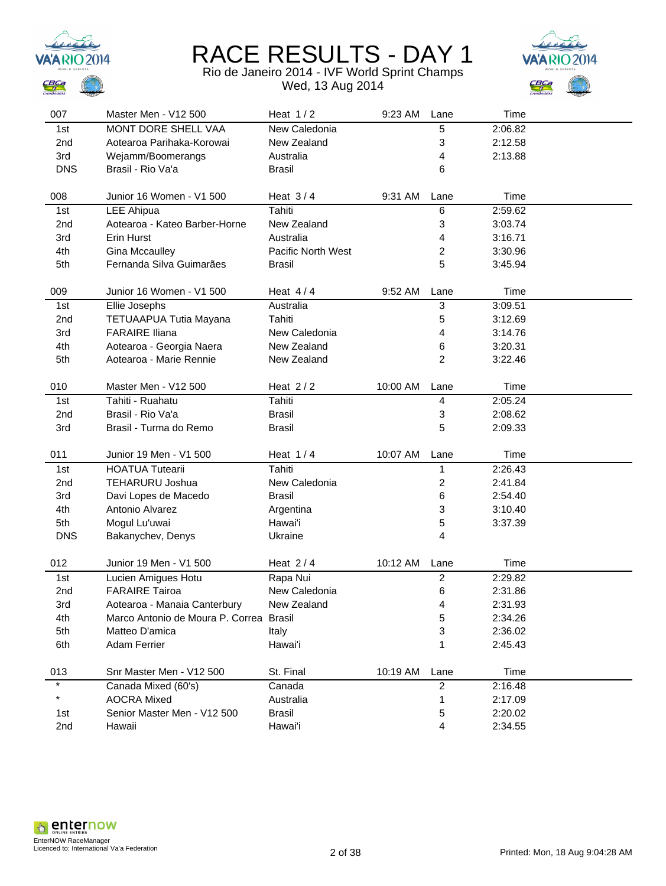



| 007             | Master Men - V12 500                    | Heat $1/2$         | 9:23 AM Lane |                         | Time    |  |
|-----------------|-----------------------------------------|--------------------|--------------|-------------------------|---------|--|
| 1st             | <b>MONT DORE SHELL VAA</b>              | New Caledonia      |              | 5                       | 2:06.82 |  |
| 2nd             | Aotearoa Parihaka-Korowai               | New Zealand        |              | 3                       | 2:12.58 |  |
| 3rd             | Wejamm/Boomerangs                       | Australia          |              | 4                       | 2:13.88 |  |
| <b>DNS</b>      | Brasil - Rio Va'a                       | <b>Brasil</b>      |              | 6                       |         |  |
|                 |                                         |                    |              |                         |         |  |
| 008             | Junior 16 Women - V1 500                | Heat $3/4$         | 9:31 AM      | Lane                    | Time    |  |
| 1st             | LEE Ahipua                              | Tahiti             |              | 6                       | 2:59.62 |  |
| 2nd             | Aotearoa - Kateo Barber-Horne           | New Zealand        |              | 3                       | 3:03.74 |  |
| 3rd             | Erin Hurst                              | Australia          |              | 4                       | 3:16.71 |  |
| 4th             | <b>Gina Mccaulley</b>                   | Pacific North West |              | $\overline{c}$          | 3:30.96 |  |
| 5th             | Fernanda Silva Guimarães                | <b>Brasil</b>      |              | 5                       | 3:45.94 |  |
| 009             | Junior 16 Women - V1 500                | Heat $4/4$         | 9:52 AM      | Lane                    | Time    |  |
|                 |                                         |                    |              |                         | 3:09.51 |  |
| 1st             | Ellie Josephs                           | Australia          |              | 3                       |         |  |
| 2 <sub>nd</sub> | TETUAAPUA Tutia Mayana                  | Tahiti             |              | $\mathbf 5$             | 3:12.69 |  |
| 3rd             | <b>FARAIRE Iliana</b>                   | New Caledonia      |              | 4                       | 3:14.76 |  |
| 4th             | Aotearoa - Georgia Naera                | New Zealand        |              | 6                       | 3:20.31 |  |
| 5th             | Aotearoa - Marie Rennie                 | New Zealand        |              | 2                       | 3:22.46 |  |
| 010             | Master Men - V12 500                    | Heat $2/2$         | 10:00 AM     | Lane                    | Time    |  |
| 1st             | Tahiti - Ruahatu                        | Tahiti             |              | $\overline{\mathbf{4}}$ | 2:05.24 |  |
| 2 <sub>nd</sub> | Brasil - Rio Va'a                       | <b>Brasil</b>      |              | 3                       | 2:08.62 |  |
| 3rd             | Brasil - Turma do Remo                  | <b>Brasil</b>      |              | 5                       | 2:09.33 |  |
|                 |                                         |                    |              |                         |         |  |
| 011             | Junior 19 Men - V1 500                  | Heat $1/4$         | 10:07 AM     | Lane                    | Time    |  |
| 1st             | <b>HOATUA Tutearii</b>                  | Tahiti             |              | 1                       | 2:26.43 |  |
| 2 <sub>nd</sub> | <b>TEHARURU Joshua</b>                  | New Caledonia      |              | $\overline{c}$          | 2:41.84 |  |
| 3rd             | Davi Lopes de Macedo                    | <b>Brasil</b>      |              | 6                       | 2:54.40 |  |
| 4th             | Antonio Alvarez                         | Argentina          |              | 3                       | 3:10.40 |  |
| 5th             | Mogul Lu'uwai                           | Hawai'i            |              | 5                       | 3:37.39 |  |
| <b>DNS</b>      | Bakanychev, Denys                       | Ukraine            |              | $\overline{4}$          |         |  |
| 012             | Junior 19 Men - V1 500                  | Heat $2/4$         | 10:12 AM     | Lane                    | Time    |  |
| 1st             | Lucien Amigues Hotu                     | Rapa Nui           |              | $\overline{2}$          | 2:29.82 |  |
| 2nd             | <b>FARAIRE Tairoa</b>                   | New Caledonia      |              | 6                       | 2:31.86 |  |
| 3rd             | Aotearoa - Manaia Canterbury            | New Zealand        |              | 4                       | 2:31.93 |  |
| 4th             | Marco Antonio de Moura P. Correa Brasil |                    |              | 5                       | 2:34.26 |  |
| 5th             | Matteo D'amica                          |                    |              |                         |         |  |
|                 |                                         | Italy              |              | 3                       | 2:36.02 |  |
| 6th             | <b>Adam Ferrier</b>                     | Hawai'i            |              |                         | 2:45.43 |  |
| 013             | Snr Master Men - V12 500                | St. Final          | 10:19 AM     | Lane                    | Time    |  |
| $\star$         | Canada Mixed (60's)                     | Canada             |              | $\overline{2}$          | 2:16.48 |  |
| *               | <b>AOCRA Mixed</b>                      | Australia          |              | 1                       | 2:17.09 |  |
| 1st             | Senior Master Men - V12 500             | <b>Brasil</b>      |              | 5                       | 2:20.02 |  |
| 2nd             | Hawaii                                  | Hawai'i            |              | 4                       | 2:34.55 |  |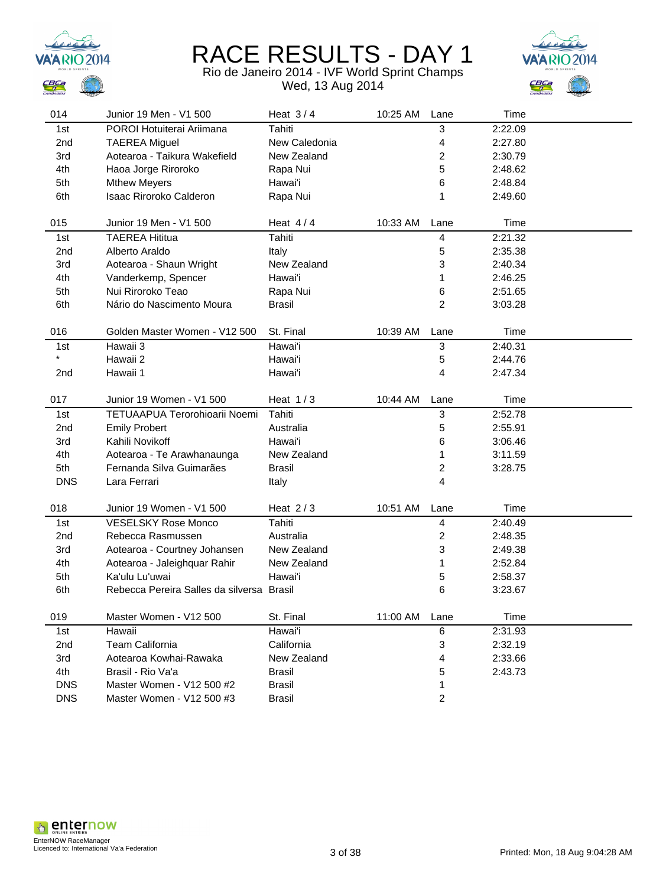



| 014             | Junior 19 Men - V1 500                    | Heat $3/4$    | 10:25 AM | Lane                    | Time    |
|-----------------|-------------------------------------------|---------------|----------|-------------------------|---------|
| 1st             | POROI Hotuiterai Ariimana                 | Tahiti        |          | 3                       | 2:22.09 |
| 2 <sub>nd</sub> | <b>TAEREA Miguel</b>                      | New Caledonia |          | 4                       | 2:27.80 |
| 3rd             | Aotearoa - Taikura Wakefield              | New Zealand   |          | 2                       | 2:30.79 |
| 4th             | Haoa Jorge Riroroko                       | Rapa Nui      |          | 5                       | 2:48.62 |
| 5th             | <b>Mthew Meyers</b>                       | Hawai'i       |          | 6                       | 2:48.84 |
| 6th             | Isaac Riroroko Calderon                   | Rapa Nui      |          | 1                       | 2:49.60 |
|                 |                                           |               |          |                         |         |
| 015             | Junior 19 Men - V1 500                    | Heat $4/4$    | 10:33 AM | Lane                    | Time    |
| 1st             | <b>TAEREA Hititua</b>                     | Tahiti        |          | 4                       | 2:21.32 |
| 2nd             | Alberto Araldo                            | Italy         |          | 5                       | 2:35.38 |
| 3rd             | Aotearoa - Shaun Wright                   | New Zealand   |          | 3                       | 2:40.34 |
| 4th             | Vanderkemp, Spencer                       | Hawai'i       |          | 1                       | 2:46.25 |
| 5th             | Nui Riroroko Teao                         | Rapa Nui      |          | 6                       | 2:51.65 |
| 6th             | Nário do Nascimento Moura                 | <b>Brasil</b> |          | 2                       | 3:03.28 |
|                 |                                           |               |          |                         |         |
| 016             | Golden Master Women - V12 500             | St. Final     | 10:39 AM | Lane                    | Time    |
| 1st             | Hawaii 3                                  | Hawai'i       |          | 3                       | 2:40.31 |
| $\star$         | Hawaii 2                                  | Hawai'i       |          | 5                       | 2:44.76 |
| 2nd             | Hawaii 1                                  | Hawai'i       |          | 4                       | 2:47.34 |
|                 |                                           |               |          |                         |         |
| 017             | Junior 19 Women - V1 500                  | Heat $1/3$    | 10:44 AM | Lane                    | Time    |
| 1st             | TETUAAPUA Terorohioarii Noemi             | Tahiti        |          | 3                       | 2:52.78 |
| 2nd             | <b>Emily Probert</b>                      | Australia     |          | 5                       | 2:55.91 |
| 3rd             | Kahili Novikoff                           | Hawai'i       |          | 6                       | 3:06.46 |
| 4th             | Aotearoa - Te Arawhanaunga                | New Zealand   |          | 1                       | 3:11.59 |
| 5th             | Fernanda Silva Guimarães                  | <b>Brasil</b> |          | $\overline{\mathbf{c}}$ | 3:28.75 |
| <b>DNS</b>      | Lara Ferrari                              | Italy         |          | 4                       |         |
|                 |                                           |               |          |                         |         |
| 018             | Junior 19 Women - V1 500                  | Heat $2/3$    | 10:51 AM | Lane                    | Time    |
| 1st             | <b>VESELSKY Rose Monco</b>                | Tahiti        |          | $\overline{\mathbf{4}}$ | 2:40.49 |
| 2nd             | Rebecca Rasmussen                         | Australia     |          | $\overline{\mathbf{c}}$ | 2:48.35 |
| 3rd             | Aotearoa - Courtney Johansen              | New Zealand   |          | 3                       | 2:49.38 |
| 4th             | Aotearoa - Jaleighquar Rahir              | New Zealand   |          | 1                       | 2:52.84 |
| 5th             | Ka'ulu Lu'uwai                            | Hawai'i       |          | 5                       | 2:58.37 |
| 6th             | Rebecca Pereira Salles da silversa Brasil |               |          | 6                       | 3:23.67 |
|                 |                                           |               |          |                         |         |
| 019             | Master Women - V12 500                    | St. Final     | 11:00 AM | Lane                    | Time    |
| 1st             | Hawaii                                    | Hawai'i       |          | 6                       | 2:31.93 |
| 2nd             | <b>Team California</b>                    | California    |          | 3                       | 2:32.19 |
| 3rd             | Aotearoa Kowhai-Rawaka                    | New Zealand   |          | 4                       | 2:33.66 |
| 4th             | Brasil - Rio Va'a                         | <b>Brasil</b> |          | 5                       | 2:43.73 |
| <b>DNS</b>      | Master Women - V12 500 #2                 | <b>Brasil</b> |          | 1                       |         |
| <b>DNS</b>      | Master Women - V12 500 #3                 | <b>Brasil</b> |          | 2                       |         |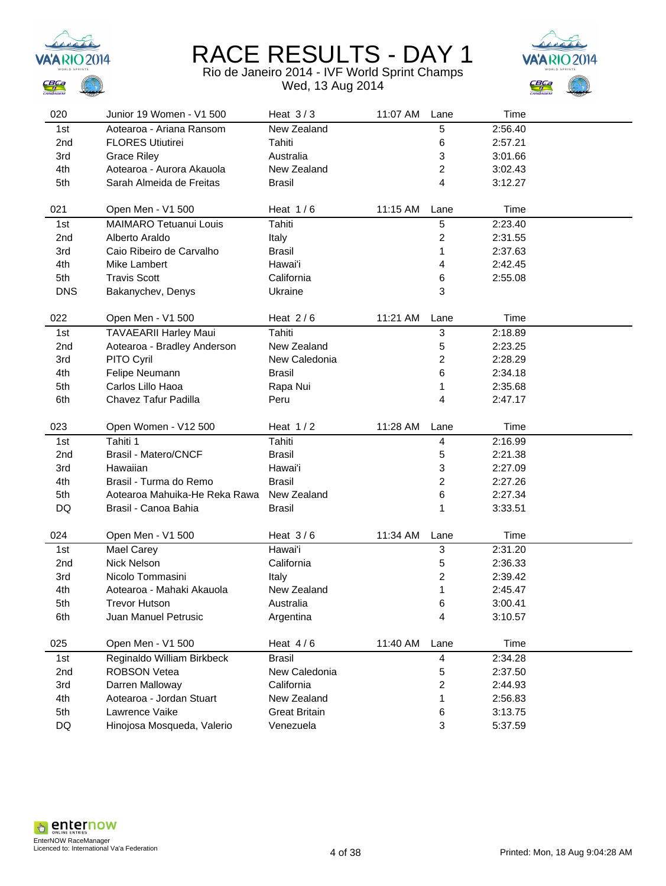



| 020             | Junior 19 Women - V1 500                     | Heat $3/3$                        | 11:07 AM | Lane                    | Time               |  |
|-----------------|----------------------------------------------|-----------------------------------|----------|-------------------------|--------------------|--|
| 1st             | Aotearoa - Ariana Ransom                     | New Zealand                       |          | 5                       | 2:56.40            |  |
| 2 <sub>nd</sub> | <b>FLORES Utiutirei</b>                      | Tahiti                            |          | 6                       | 2:57.21            |  |
| 3rd             | <b>Grace Riley</b>                           | Australia                         |          | 3                       | 3:01.66            |  |
| 4th             | Aotearoa - Aurora Akauola                    | New Zealand                       |          | 2                       | 3:02.43            |  |
| 5th             | Sarah Almeida de Freitas                     | <b>Brasil</b>                     |          | 4                       | 3:12.27            |  |
|                 |                                              |                                   |          |                         |                    |  |
| 021             | Open Men - V1 500                            | Heat $1/6$                        | 11:15 AM | Lane                    | Time               |  |
| 1st             | MAIMARO Tetuanui Louis                       | Tahiti                            |          | 5                       | 2:23.40            |  |
| 2 <sub>nd</sub> | Alberto Araldo                               | Italy                             |          | 2                       | 2:31.55            |  |
| 3rd             | Caio Ribeiro de Carvalho                     | <b>Brasil</b>                     |          | 1                       | 2:37.63            |  |
| 4th             | Mike Lambert                                 | Hawai'i                           |          | 4                       | 2:42.45            |  |
| 5th             | <b>Travis Scott</b>                          | California                        |          | 6                       | 2:55.08            |  |
| <b>DNS</b>      | Bakanychev, Denys                            | Ukraine                           |          | 3                       |                    |  |
| 022             | Open Men - V1 500                            | Heat $2/6$                        | 11:21 AM | Lane                    | Time               |  |
| 1st             | <b>TAVAEARII Harley Maui</b>                 | Tahiti                            |          | 3                       | 2:18.89            |  |
| 2nd             | Aotearoa - Bradley Anderson                  | New Zealand                       |          | 5                       | 2:23.25            |  |
| 3rd             | PITO Cyril                                   | New Caledonia                     |          | 2                       | 2:28.29            |  |
| 4th             | Felipe Neumann                               | <b>Brasil</b>                     |          | 6                       | 2:34.18            |  |
| 5th             | Carlos Lillo Haoa                            | Rapa Nui                          |          | 1                       | 2:35.68            |  |
| 6th             | Chavez Tafur Padilla                         | Peru                              |          | 4                       | 2:47.17            |  |
|                 |                                              |                                   |          |                         |                    |  |
|                 |                                              |                                   |          |                         |                    |  |
| 023             | Open Women - V12 500                         | Heat $1/2$                        | 11:28 AM | Lane                    | Time               |  |
| 1st             | Tahiti 1                                     | Tahiti                            |          | 4                       | 2:16.99            |  |
| 2nd             | Brasil - Matero/CNCF                         | <b>Brasil</b>                     |          | 5                       | 2:21.38            |  |
| 3rd             | Hawaiian                                     | Hawai'i                           |          | 3                       | 2:27.09            |  |
| 4th             | Brasil - Turma do Remo                       | <b>Brasil</b>                     |          | 2                       | 2:27.26            |  |
| 5th             | Aotearoa Mahuika-He Reka Rawa                | New Zealand                       |          | 6                       | 2:27.34            |  |
| DQ              | Brasil - Canoa Bahia                         | <b>Brasil</b>                     |          | 1                       | 3:33.51            |  |
| 024             | Open Men - V1 500                            | Heat $3/6$                        | 11:34 AM | Lane                    | Time               |  |
| 1st             |                                              | Hawai'i                           |          | 3                       | 2:31.20            |  |
| 2 <sub>nd</sub> | Mael Carey<br><b>Nick Nelson</b>             | California                        |          | 5                       | 2:36.33            |  |
| 3rd             | Nicolo Tommasini                             | Italy                             |          | $\overline{\mathbf{c}}$ | 2:39.42            |  |
| 4th             | Aotearoa - Mahaki Akauola                    | New Zealand                       |          | 1                       | 2:45.47            |  |
| 5th             | <b>Trevor Hutson</b>                         | Australia                         |          | 6                       | 3:00.41            |  |
| 6th             | Juan Manuel Petrusic                         | Argentina                         |          | 4                       | 3:10.57            |  |
|                 |                                              |                                   |          |                         |                    |  |
| 025             | Open Men - V1 500                            | Heat $4/6$                        | 11:40 AM | Lane                    | Time               |  |
| 1st             | Reginaldo William Birkbeck                   | <b>Brasil</b>                     |          | 4                       | 2:34.28            |  |
| 2nd             | <b>ROBSON Vetea</b>                          | New Caledonia                     |          | 5                       | 2:37.50            |  |
| 3rd             | Darren Malloway                              | California                        |          | 2                       | 2:44.93            |  |
| 4th             | Aotearoa - Jordan Stuart                     | New Zealand                       |          | 1                       | 2:56.83            |  |
| 5th<br>DQ       | Lawrence Vaike<br>Hinojosa Mosqueda, Valerio | <b>Great Britain</b><br>Venezuela |          | 6<br>3                  | 3:13.75<br>5:37.59 |  |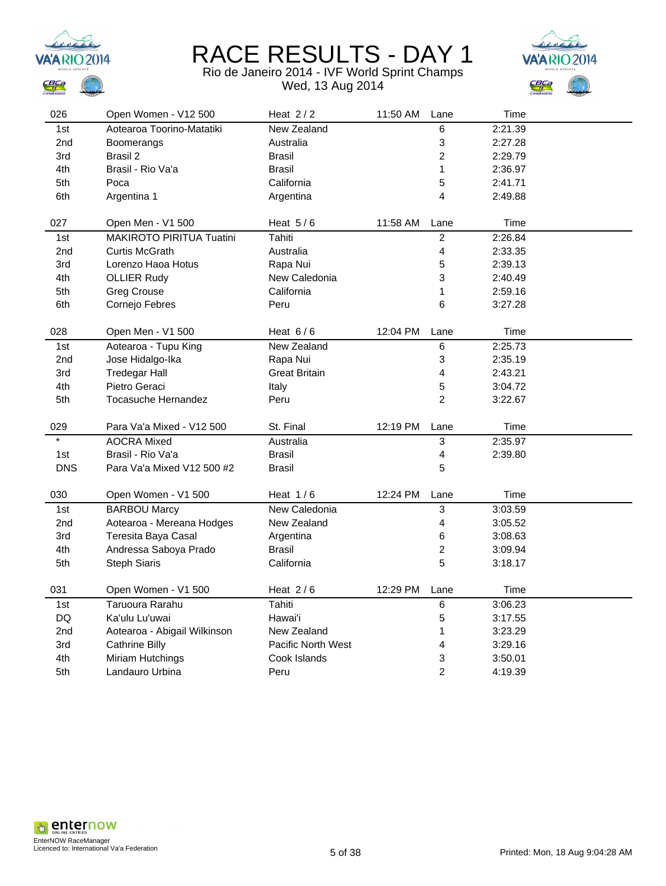



| 026                      | Open Women - V12 500         | Heat $2/2$                | 11:50 AM | Lane                    | Time    |  |
|--------------------------|------------------------------|---------------------------|----------|-------------------------|---------|--|
| 1st                      | Aotearoa Toorino-Matatiki    | <b>New Zealand</b>        |          | 6                       | 2:21.39 |  |
| 2nd                      | Boomerangs                   | Australia                 |          | 3                       | 2:27.28 |  |
| 3rd                      | <b>Brasil 2</b>              | <b>Brasil</b>             |          | $\overline{c}$          | 2:29.79 |  |
| 4th                      | Brasil - Rio Va'a            | <b>Brasil</b>             |          | 1                       | 2:36.97 |  |
| 5th                      | Poca                         | California                |          | 5                       | 2:41.71 |  |
| 6th                      | Argentina 1                  | Argentina                 |          | 4                       | 2:49.88 |  |
|                          |                              |                           |          |                         |         |  |
| 027                      | Open Men - V1 500            | Heat $5/6$                | 11:58 AM | Lane                    | Time    |  |
| 1st                      | MAKIROTO PIRITUA Tuatini     | Tahiti                    |          | $\boldsymbol{2}$        | 2:26.84 |  |
| 2nd                      | <b>Curtis McGrath</b>        | Australia                 |          | $\overline{\mathbf{4}}$ | 2:33.35 |  |
| 3rd                      | Lorenzo Haoa Hotus           | Rapa Nui                  |          | 5                       | 2:39.13 |  |
| 4th                      | <b>OLLIER Rudy</b>           | New Caledonia             |          | 3                       | 2:40.49 |  |
| 5th                      | <b>Greg Crouse</b>           | California                |          | 1                       | 2:59.16 |  |
| 6th                      | Cornejo Febres               | Peru                      |          | 6                       | 3:27.28 |  |
|                          |                              |                           |          |                         |         |  |
| 028                      | Open Men - V1 500            | Heat $6/6$                | 12:04 PM | Lane                    | Time    |  |
| 1st                      | Aotearoa - Tupu King         | New Zealand               |          | $\,6\,$                 | 2:25.73 |  |
| 2nd                      | Jose Hidalgo-Ika             | Rapa Nui                  |          | 3                       | 2:35.19 |  |
| 3rd                      | <b>Tredegar Hall</b>         | <b>Great Britain</b>      |          | 4                       | 2:43.21 |  |
| 4th                      | Pietro Geraci                | Italy                     |          | 5                       | 3:04.72 |  |
| 5th                      | <b>Tocasuche Hernandez</b>   | Peru                      |          | $\overline{2}$          | 3:22.67 |  |
|                          |                              |                           |          |                         |         |  |
| 029<br>$\overline{\ast}$ | Para Va'a Mixed - V12 500    | St. Final                 | 12:19 PM | Lane                    | Time    |  |
|                          | <b>AOCRA Mixed</b>           | Australia                 |          | 3                       | 2:35.97 |  |
| 1st                      | Brasil - Rio Va'a            | <b>Brasil</b>             |          | 4                       | 2:39.80 |  |
| <b>DNS</b>               | Para Va'a Mixed V12 500 #2   | <b>Brasil</b>             |          | 5                       |         |  |
|                          |                              |                           |          |                         |         |  |
| 030                      | Open Women - V1 500          | Heat $1/6$                | 12:24 PM | Lane                    | Time    |  |
| 1st                      | <b>BARBOU Marcy</b>          | New Caledonia             |          | 3                       | 3:03.59 |  |
| 2nd                      | Aotearoa - Mereana Hodges    | New Zealand               |          | 4                       | 3:05.52 |  |
| 3rd                      | Teresita Baya Casal          | Argentina                 |          | 6                       | 3:08.63 |  |
| 4th                      | Andressa Saboya Prado        | <b>Brasil</b>             |          | $\overline{c}$          | 3:09.94 |  |
| 5th                      | <b>Steph Siaris</b>          | California                |          | 5                       | 3:18.17 |  |
| 031                      | Open Women - V1 500          | Heat $2/6$                | 12:29 PM | Lane                    | Time    |  |
| 1st                      | Taruoura Rarahu              | Tahiti                    |          | 6                       | 3:06.23 |  |
| <b>DQ</b>                | Ka'ulu Lu'uwai               | Hawai'i                   |          | 5                       | 3:17.55 |  |
| 2nd                      | Aotearoa - Abigail Wilkinson | New Zealand               |          | 1                       | 3:23.29 |  |
| 3rd                      | <b>Cathrine Billy</b>        | <b>Pacific North West</b> |          | 4                       | 3:29.16 |  |
| 4th                      | Miriam Hutchings             | Cook Islands              |          | 3                       | 3:50.01 |  |
| 5th                      | Landauro Urbina              | Peru                      |          | $\overline{2}$          | 4:19.39 |  |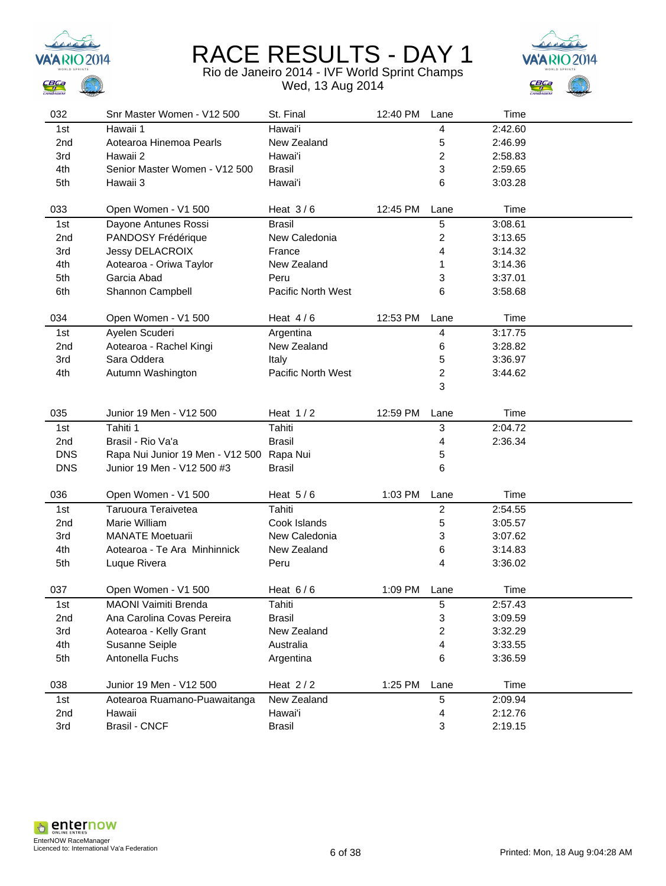



| 032             | Snr Master Women - V12 500                | St. Final          | 12:40 PM | Lane                    | Time    |  |
|-----------------|-------------------------------------------|--------------------|----------|-------------------------|---------|--|
| 1st             | Hawaii 1                                  | Hawai'i            |          | 4                       | 2:42.60 |  |
| 2 <sub>nd</sub> | Aotearoa Hinemoa Pearls                   | New Zealand        |          | 5                       | 2:46.99 |  |
| 3rd             | Hawaii 2                                  | Hawai'i            |          | 2                       | 2:58.83 |  |
| 4th             | Senior Master Women - V12 500             | <b>Brasil</b>      |          | 3                       | 2:59.65 |  |
| 5th             | Hawaii 3                                  | Hawai'i            |          | 6                       | 3:03.28 |  |
|                 |                                           |                    |          |                         |         |  |
| 033             | Open Women - V1 500                       | Heat $3/6$         | 12:45 PM | Lane                    | Time    |  |
| 1st             | Dayone Antunes Rossi                      | <b>Brasil</b>      |          | 5                       | 3:08.61 |  |
| 2nd             | PANDOSY Frédérique                        | New Caledonia      |          | $\overline{c}$          | 3:13.65 |  |
| 3rd             | Jessy DELACROIX                           | France             |          | 4                       | 3:14.32 |  |
| 4th             | Aotearoa - Oriwa Taylor                   | New Zealand        |          | 1                       | 3:14.36 |  |
| 5th             | Garcia Abad                               | Peru               |          | 3                       | 3:37.01 |  |
| 6th             | Shannon Campbell                          | Pacific North West |          | 6                       | 3:58.68 |  |
|                 |                                           |                    |          |                         |         |  |
| 034             | Open Women - V1 500                       | Heat $4/6$         | 12:53 PM | Lane                    | Time    |  |
| 1st             | Ayelen Scuderi                            | Argentina          |          | 4                       | 3:17.75 |  |
| 2 <sub>nd</sub> | Aotearoa - Rachel Kingi                   | New Zealand        |          | 6                       | 3:28.82 |  |
| 3rd             | Sara Oddera                               | Italy              |          | 5                       | 3:36.97 |  |
| 4th             | Autumn Washington                         | Pacific North West |          | $\overline{\mathbf{c}}$ | 3:44.62 |  |
|                 |                                           |                    |          | 3                       |         |  |
|                 |                                           |                    |          |                         |         |  |
| 035             | Junior 19 Men - V12 500                   | Heat $1/2$         | 12:59 PM | Lane                    | Time    |  |
| 1st             | Tahiti 1                                  | Tahiti             |          | 3                       | 2:04.72 |  |
| 2nd             | Brasil - Rio Va'a                         | <b>Brasil</b>      |          | 4                       | 2:36.34 |  |
| <b>DNS</b>      | Rapa Nui Junior 19 Men - V12 500 Rapa Nui |                    |          | 5                       |         |  |
| <b>DNS</b>      | Junior 19 Men - V12 500 #3                | <b>Brasil</b>      |          | 6                       |         |  |
|                 |                                           |                    |          |                         |         |  |
| 036             | Open Women - V1 500                       | Heat $5/6$         | 1:03 PM  | Lane                    | Time    |  |
| 1st             | Taruoura Teraivetea                       | Tahiti             |          | $\overline{c}$          | 2:54.55 |  |
| 2 <sub>nd</sub> | Marie William                             | Cook Islands       |          | 5                       | 3:05.57 |  |
| 3rd             | <b>MANATE Moetuarii</b>                   | New Caledonia      |          | 3                       | 3:07.62 |  |
| 4th             | Aotearoa - Te Ara Minhinnick              | New Zealand        |          | 6                       | 3:14.83 |  |
| 5th             | Luque Rivera                              | Peru               |          | 4                       | 3:36.02 |  |
|                 |                                           |                    |          |                         |         |  |
| 037             | Open Women - V1 500                       | Heat $6/6$         | 1:09 PM  | Lane                    | Time    |  |
| 1st             | MAONI Vaimiti Brenda                      | Tahiti             |          | 5                       | 2:57.43 |  |
| 2nd             | Ana Carolina Covas Pereira                | <b>Brasil</b>      |          | 3                       | 3:09.59 |  |
| 3rd             | Aotearoa - Kelly Grant                    | New Zealand        |          | 2                       | 3:32.29 |  |
| 4th             | Susanne Seiple                            | Australia          |          | 4                       | 3:33.55 |  |
| 5th             | Antonella Fuchs                           | Argentina          |          | 6                       | 3:36.59 |  |
|                 |                                           |                    |          |                         |         |  |
| 038             | Junior 19 Men - V12 500                   | Heat $2/2$         | 1:25 PM  | Lane                    | Time    |  |
| 1st             | Aotearoa Ruamano-Puawaitanga              | New Zealand        |          | 5                       | 2:09.94 |  |
| 2nd             | Hawaii                                    | Hawai'i            |          | 4                       | 2:12.76 |  |
| 3rd             | <b>Brasil - CNCF</b>                      | <b>Brasil</b>      |          | 3                       | 2:19.15 |  |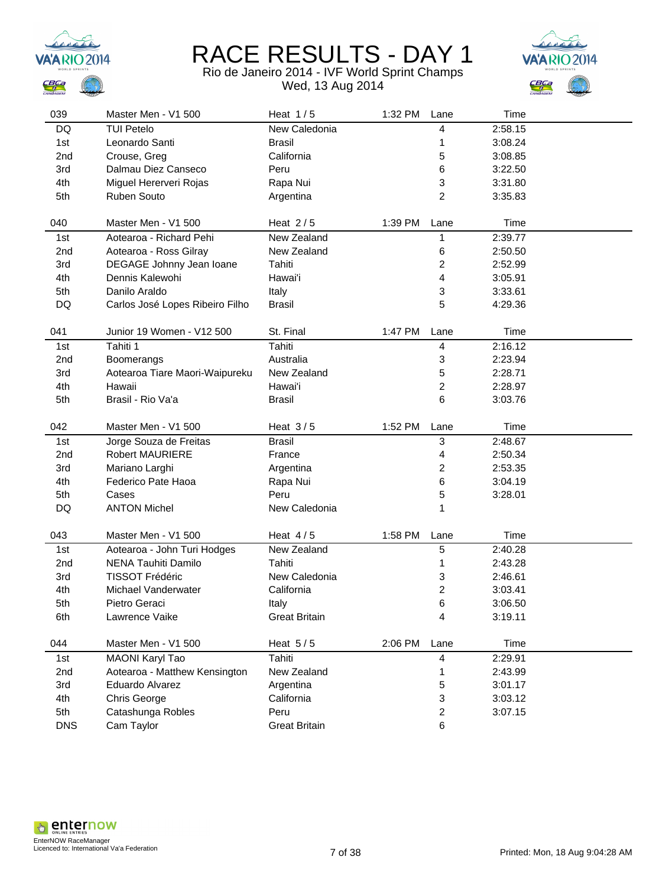



| 039        | Master Men - V1 500             | Heat $1/5$           | 1:32 PM | Lane           | Time    |  |
|------------|---------------------------------|----------------------|---------|----------------|---------|--|
| DQ         | <b>TUI Petelo</b>               | New Caledonia        |         | 4              | 2:58.15 |  |
| 1st        | Leonardo Santi                  | <b>Brasil</b>        |         | 1              | 3:08.24 |  |
| 2nd        | Crouse, Greg                    | California           |         | 5              | 3:08.85 |  |
| 3rd        | Dalmau Diez Canseco             | Peru                 |         | 6              | 3:22.50 |  |
| 4th        | Miguel Hererveri Rojas          | Rapa Nui             |         | 3              | 3:31.80 |  |
| 5th        | Ruben Souto                     | Argentina            |         | $\overline{c}$ | 3:35.83 |  |
|            |                                 |                      |         |                |         |  |
| 040        | Master Men - V1 500             | Heat $2/5$           | 1:39 PM | Lane           | Time    |  |
| 1st        | Aotearoa - Richard Pehi         | New Zealand          |         | 1              | 2:39.77 |  |
| 2nd        | Aotearoa - Ross Gilray          | New Zealand          |         | 6              | 2:50.50 |  |
| 3rd        | DEGAGE Johnny Jean Ioane        | Tahiti               |         | 2              | 2:52.99 |  |
| 4th        | Dennis Kalewohi                 | Hawai'i              |         | 4              | 3:05.91 |  |
| 5th        | Danilo Araldo                   | Italy                |         | 3              | 3:33.61 |  |
| DQ         | Carlos José Lopes Ribeiro Filho | <b>Brasil</b>        |         | 5              | 4:29.36 |  |
|            |                                 |                      |         |                |         |  |
| 041        | Junior 19 Women - V12 500       | St. Final            | 1:47 PM | Lane           | Time    |  |
| 1st        | Tahiti 1                        | Tahiti               |         | 4              | 2:16.12 |  |
| 2nd        | Boomerangs                      | Australia            |         | 3              | 2:23.94 |  |
| 3rd        | Aotearoa Tiare Maori-Waipureku  | New Zealand          |         | 5              | 2:28.71 |  |
| 4th        | Hawaii                          | Hawai'i              |         | 2              | 2:28.97 |  |
| 5th        | Brasil - Rio Va'a               | <b>Brasil</b>        |         | 6              | 3:03.76 |  |
|            |                                 |                      |         |                |         |  |
| 042        | Master Men - V1 500             | Heat $3/5$           | 1:52 PM | Lane           | Time    |  |
| 1st        | Jorge Souza de Freitas          | <b>Brasil</b>        |         | 3              | 2:48.67 |  |
| 2nd        | <b>Robert MAURIERE</b>          | France               |         | 4              | 2:50.34 |  |
| 3rd        | Mariano Larghi                  | Argentina            |         | 2              | 2:53.35 |  |
| 4th        | Federico Pate Haoa              | Rapa Nui             |         | 6              | 3:04.19 |  |
| 5th        | Cases                           | Peru                 |         | 5              | 3:28.01 |  |
| DQ         | <b>ANTON Michel</b>             | New Caledonia        |         | 1              |         |  |
|            |                                 |                      |         |                |         |  |
| 043        | Master Men - V1 500             | Heat $4/5$           | 1:58 PM | Lane           | Time    |  |
| 1st        | Aotearoa - John Turi Hodges     | New Zealand          |         | 5              | 2:40.28 |  |
| 2nd        | NENA Tauhiti Damilo             | Tahiti               |         | 1              | 2:43.28 |  |
| 3rd        | <b>TISSOT Frédéric</b>          | New Caledonia        |         | 3              | 2:46.61 |  |
| 4th        | Michael Vanderwater             | California           |         | 2              | 3:03.41 |  |
| 5th        | Pietro Geraci                   | Italy                |         | 6              | 3:06.50 |  |
| 6th        | Lawrence Vaike                  | <b>Great Britain</b> |         | 4              | 3:19.11 |  |
|            |                                 |                      |         |                |         |  |
| 044        | Master Men - V1 500             | Heat $5/5$           | 2:06 PM | Lane           | Time    |  |
| 1st        | <b>MAONI Karyl Tao</b>          | Tahiti               |         | 4              | 2:29.91 |  |
| 2nd        | Aotearoa - Matthew Kensington   | New Zealand          |         | 1              | 2:43.99 |  |
| 3rd        | Eduardo Alvarez                 | Argentina            |         | 5              | 3:01.17 |  |
| 4th        | Chris George                    | California           |         | 3              | 3:03.12 |  |
| 5th        | Catashunga Robles               | Peru                 |         | $\overline{c}$ | 3:07.15 |  |
| <b>DNS</b> | Cam Taylor                      | <b>Great Britain</b> |         | 6              |         |  |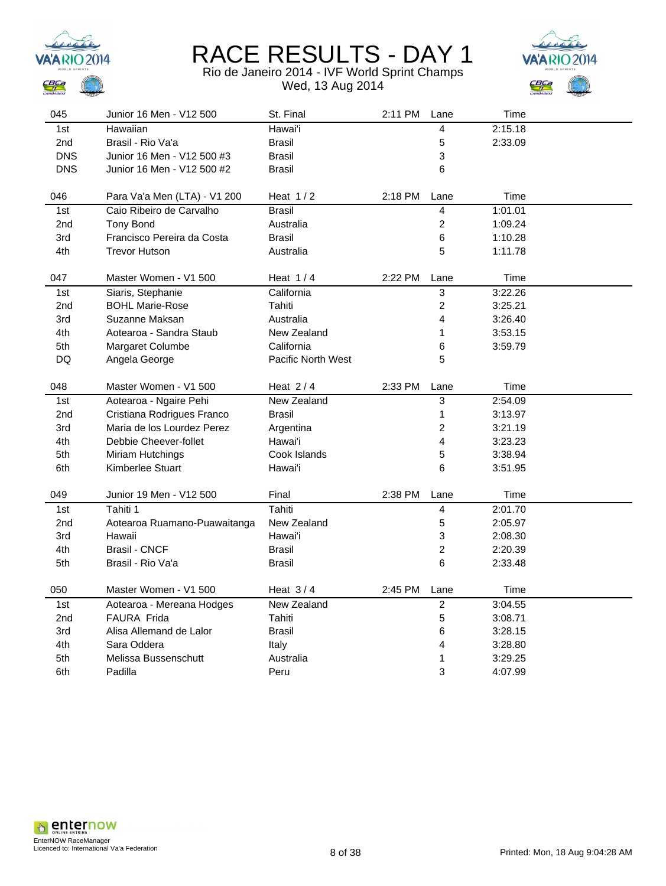



| 045             | Junior 16 Men - V12 500      | St. Final                 | 2:11 PM | Lane           | Time    |  |
|-----------------|------------------------------|---------------------------|---------|----------------|---------|--|
| 1st             | Hawaiian                     | Hawai'i                   |         | 4              | 2:15.18 |  |
| 2nd             | Brasil - Rio Va'a            | <b>Brasil</b>             |         | 5              | 2:33.09 |  |
| <b>DNS</b>      | Junior 16 Men - V12 500 #3   | <b>Brasil</b>             |         | 3              |         |  |
| <b>DNS</b>      | Junior 16 Men - V12 500 #2   | <b>Brasil</b>             |         | 6              |         |  |
|                 |                              |                           |         |                |         |  |
| 046             | Para Va'a Men (LTA) - V1 200 | Heat $1/2$                | 2:18 PM | Lane           | Time    |  |
| 1st             | Caio Ribeiro de Carvalho     | <b>Brasil</b>             |         | 4              | 1:01.01 |  |
| 2nd             | <b>Tony Bond</b>             | Australia                 |         | $\overline{c}$ | 1:09.24 |  |
| 3rd             | Francisco Pereira da Costa   | <b>Brasil</b>             |         | 6              | 1:10.28 |  |
| 4th             | <b>Trevor Hutson</b>         | Australia                 |         | 5              | 1:11.78 |  |
|                 |                              |                           |         |                |         |  |
| 047             | Master Women - V1 500        | Heat $1/4$                | 2:22 PM | Lane           | Time    |  |
| 1st             | Siaris, Stephanie            | California                |         | 3              | 3:22.26 |  |
| 2 <sub>nd</sub> | <b>BOHL Marie-Rose</b>       | Tahiti                    |         | $\overline{c}$ | 3:25.21 |  |
| 3rd             | Suzanne Maksan               | Australia                 |         | 4              | 3:26.40 |  |
| 4th             | Aotearoa - Sandra Staub      | New Zealand               |         | 1              | 3:53.15 |  |
| 5th             | Margaret Columbe             | California                |         | 6              | 3:59.79 |  |
| DQ              | Angela George                | <b>Pacific North West</b> |         | 5              |         |  |
|                 |                              |                           |         |                |         |  |
| 048             | Master Women - V1 500        | Heat $2/4$                | 2:33 PM | Lane           | Time    |  |
| 1st             | Aotearoa - Ngaire Pehi       | New Zealand               |         | 3              | 2:54.09 |  |
| 2nd             | Cristiana Rodrigues Franco   | Brasil                    |         | $\mathbf 1$    | 3:13.97 |  |
| 3rd             | Maria de los Lourdez Perez   | Argentina                 |         | $\overline{c}$ | 3:21.19 |  |
| 4th             | Debbie Cheever-follet        | Hawai'i                   |         | 4              | 3:23.23 |  |
| 5th             | Miriam Hutchings             | Cook Islands              |         | 5              | 3:38.94 |  |
| 6th             | Kimberlee Stuart             | Hawai'i                   |         | 6              | 3:51.95 |  |
|                 |                              |                           |         |                |         |  |
| 049             | Junior 19 Men - V12 500      | Final                     | 2:38 PM | Lane           | Time    |  |
| 1st             | Tahiti 1                     | Tahiti                    |         | $\overline{4}$ | 2:01.70 |  |
| 2nd             | Aotearoa Ruamano-Puawaitanga | New Zealand               |         | 5              | 2:05.97 |  |
| 3rd             | Hawaii                       | Hawai'i                   |         | 3              | 2:08.30 |  |
| 4th             | <b>Brasil - CNCF</b>         | <b>Brasil</b>             |         | $\overline{c}$ | 2:20.39 |  |
| 5th             | Brasil - Rio Va'a            | <b>Brasil</b>             |         | 6              | 2:33.48 |  |
|                 |                              |                           |         |                |         |  |
| 050             | Master Women - V1 500        | Heat $3/4$                | 2:45 PM | Lane           | Time    |  |
| 1st             | Aotearoa - Mereana Hodges    | New Zealand               |         | $\overline{c}$ | 3:04.55 |  |
| 2nd             | <b>FAURA Frida</b>           | Tahiti                    |         | 5              | 3:08.71 |  |
| 3rd             | Alisa Allemand de Lalor      | <b>Brasil</b>             |         | 6              | 3:28.15 |  |
| 4th             | Sara Oddera                  | Italy                     |         | 4              | 3:28.80 |  |
| 5th             | Melissa Bussenschutt         | Australia                 |         | 1              | 3:29.25 |  |
| 6th             | Padilla                      | Peru                      |         | 3              | 4:07.99 |  |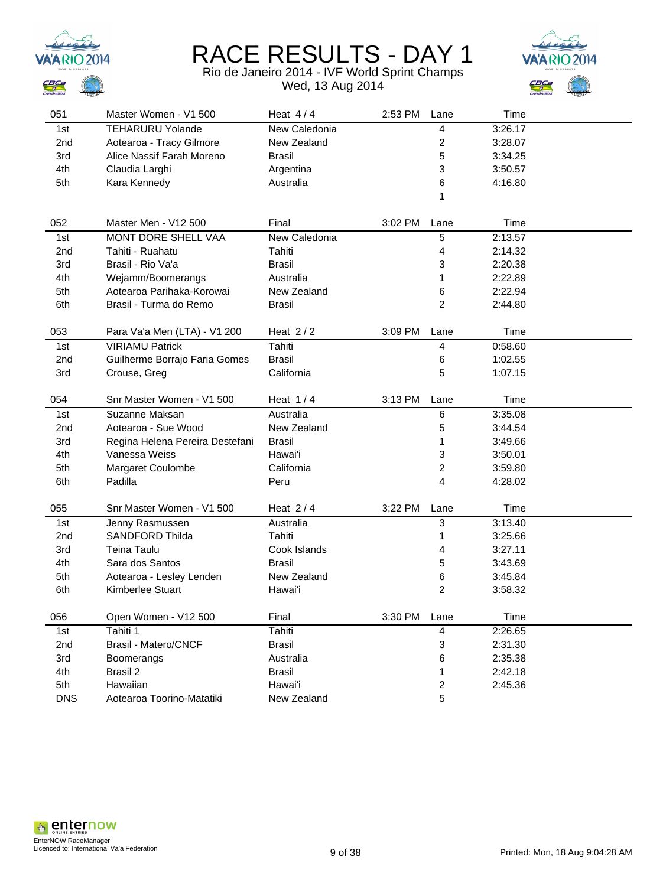



| 051             | Master Women - V1 500           | Heat $4/4$    | 2:53 PM | Lane                    | Time    |  |
|-----------------|---------------------------------|---------------|---------|-------------------------|---------|--|
| 1st             | <b>TEHARURU Yolande</b>         | New Caledonia |         | 4                       | 3:26.17 |  |
| 2nd             | Aotearoa - Tracy Gilmore        | New Zealand   |         | 2                       | 3:28.07 |  |
| 3rd             | Alice Nassif Farah Moreno       | Brasil        |         | 5                       | 3:34.25 |  |
| 4th             | Claudia Larghi                  | Argentina     |         | 3                       | 3:50.57 |  |
| 5th             | Kara Kennedy                    | Australia     |         | 6                       | 4:16.80 |  |
|                 |                                 |               |         | 1                       |         |  |
|                 |                                 |               |         |                         |         |  |
| 052             | Master Men - V12 500            | Final         | 3:02 PM | Lane                    | Time    |  |
| 1st             | <b>MONT DORE SHELL VAA</b>      | New Caledonia |         | 5                       | 2:13.57 |  |
| 2 <sub>nd</sub> | Tahiti - Ruahatu                | Tahiti        |         | 4                       | 2:14.32 |  |
| 3rd             | Brasil - Rio Va'a               | <b>Brasil</b> |         | 3                       | 2:20.38 |  |
| 4th             | Wejamm/Boomerangs               | Australia     |         | 1                       | 2:22.89 |  |
| 5th             | Aotearoa Parihaka-Korowai       | New Zealand   |         | 6                       | 2:22.94 |  |
| 6th             | Brasil - Turma do Remo          | <b>Brasil</b> |         | $\overline{c}$          | 2:44.80 |  |
|                 |                                 |               |         |                         |         |  |
| 053             | Para Va'a Men (LTA) - V1 200    | Heat $2/2$    | 3:09 PM | Lane                    | Time    |  |
| 1st             | <b>VIRIAMU Patrick</b>          | Tahiti        |         | 4                       | 0:58.60 |  |
| 2nd             | Guilherme Borrajo Faria Gomes   | <b>Brasil</b> |         | 6                       | 1:02.55 |  |
| 3rd             | Crouse, Greg                    | California    |         | 5                       | 1:07.15 |  |
|                 |                                 |               |         |                         |         |  |
| 054             | Snr Master Women - V1 500       | Heat $1/4$    | 3:13 PM | Lane                    | Time    |  |
| 1st             | Suzanne Maksan                  | Australia     |         | $\,6$                   | 3:35.08 |  |
| 2nd             | Aotearoa - Sue Wood             | New Zealand   |         | 5                       | 3:44.54 |  |
| 3rd             | Regina Helena Pereira Destefani | <b>Brasil</b> |         | 1                       | 3:49.66 |  |
| 4th             | Vanessa Weiss                   | Hawai'i       |         | 3                       | 3:50.01 |  |
| 5th             | Margaret Coulombe               | California    |         | $\overline{\mathbf{c}}$ | 3:59.80 |  |
| 6th             | Padilla                         | Peru          |         | 4                       | 4:28.02 |  |
|                 |                                 |               |         |                         |         |  |
| 055             | Snr Master Women - V1 500       | Heat $2/4$    | 3:22 PM | Lane                    | Time    |  |
| 1st             | Jenny Rasmussen                 | Australia     |         | 3                       | 3:13.40 |  |
| 2 <sub>nd</sub> | <b>SANDFORD Thilda</b>          | Tahiti        |         | 1                       | 3:25.66 |  |
| 3rd             | Teina Taulu                     | Cook Islands  |         | 4                       | 3:27.11 |  |
| 4th             | Sara dos Santos                 | Brasil        |         | 5                       | 3:43.69 |  |
| 5th             | Aotearoa - Lesley Lenden        | New Zealand   |         | 6                       | 3:45.84 |  |
| 6th             | Kimberlee Stuart                | Hawai'i       |         | 2                       | 3:58.32 |  |
|                 |                                 |               |         |                         |         |  |
| 056             | Open Women - V12 500            | Final         | 3:30 PM | Lane                    | Time    |  |
| 1st             | Tahiti 1                        | Tahiti        |         | 4                       | 2:26.65 |  |
| 2nd             | <b>Brasil - Matero/CNCF</b>     | <b>Brasil</b> |         | 3                       | 2:31.30 |  |
| 3rd             | <b>Boomerangs</b>               | Australia     |         | 6                       | 2:35.38 |  |
| 4th             | Brasil 2                        | <b>Brasil</b> |         | 1                       | 2:42.18 |  |
| 5th             | Hawaiian                        | Hawai'i       |         | 2                       | 2:45.36 |  |
| <b>DNS</b>      | Aotearoa Toorino-Matatiki       | New Zealand   |         | 5                       |         |  |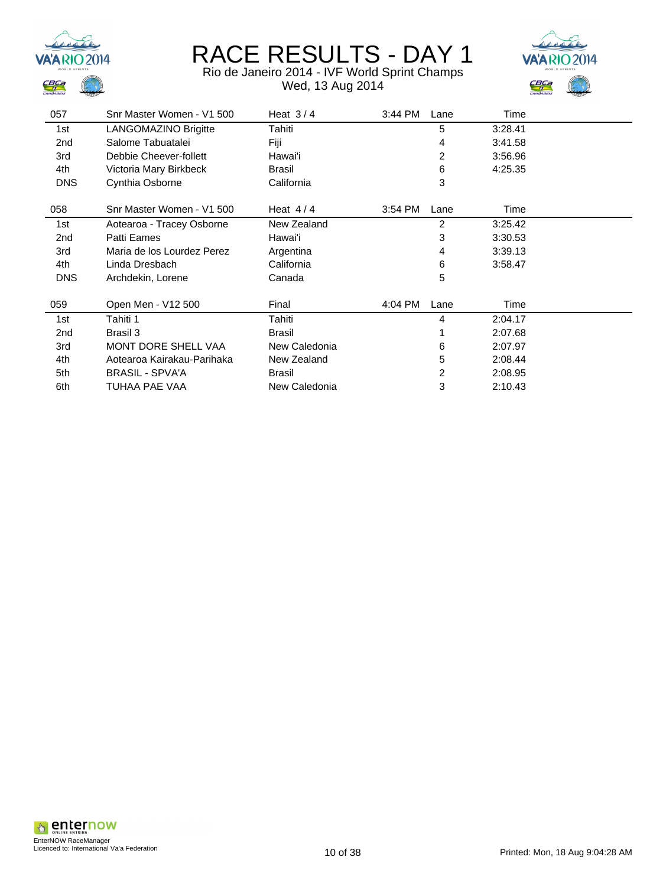



| 057             | Snr Master Women - V1 500  | Heat $3/4$    | 3:44 PM | Lane | Time    |  |
|-----------------|----------------------------|---------------|---------|------|---------|--|
| 1st             | LANGOMAZINO Brigitte       | Tahiti        |         | 5    | 3:28.41 |  |
| 2nd             | Salome Tabuatalei          | Fiji          |         | 4    | 3:41.58 |  |
| 3rd             | Debbie Cheever-follett     | Hawai'i       |         | 2    | 3:56.96 |  |
| 4th             | Victoria Mary Birkbeck     | Brasil        |         | 6    | 4:25.35 |  |
| <b>DNS</b>      | Cynthia Osborne            | California    |         | 3    |         |  |
| 058             | Snr Master Women - V1 500  | Heat $4/4$    | 3:54 PM | Lane | Time    |  |
| 1st             | Aotearoa - Tracey Osborne  | New Zealand   |         | 2    | 3:25.42 |  |
| 2 <sub>nd</sub> | Patti Eames                | Hawai'i       |         | 3    | 3:30.53 |  |
| 3rd             | Maria de los Lourdez Perez | Argentina     |         | 4    | 3:39.13 |  |
| 4th             | Linda Dresbach             | California    |         | 6    | 3:58.47 |  |
| <b>DNS</b>      | Archdekin, Lorene          | Canada        |         | 5    |         |  |
| 059             | Open Men - V12 500         | Final         | 4:04 PM | Lane | Time    |  |
| 1st             | Tahiti 1                   | Tahiti        |         | 4    | 2:04.17 |  |
| 2nd             | Brasil 3                   | <b>Brasil</b> |         |      | 2:07.68 |  |
| 3rd             | MONT DORE SHELL VAA        | New Caledonia |         | 6    | 2:07.97 |  |
| 4th             | Aotearoa Kairakau-Parihaka | New Zealand   |         | 5    | 2:08.44 |  |
| 5th             | <b>BRASIL - SPVA'A</b>     | Brasil        |         | 2    | 2:08.95 |  |
| 6th             | TUHAA PAE VAA              | New Caledonia |         | 3    | 2:10.43 |  |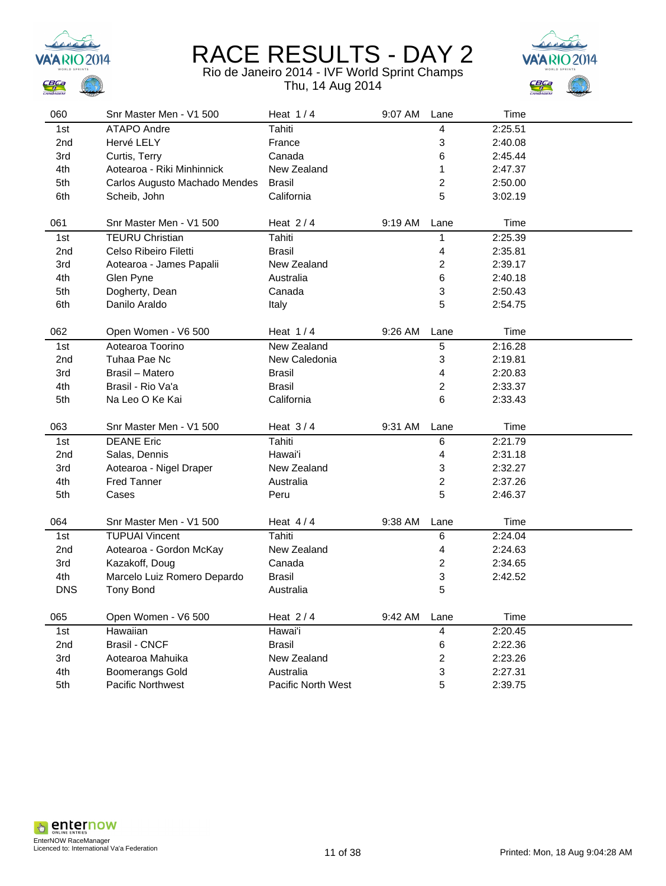



| 060        | Snr Master Men - V1 500       | Heat $1/4$         | 9:07 AM | Lane | Time    |  |
|------------|-------------------------------|--------------------|---------|------|---------|--|
| 1st        | ATAPO Andre                   | Tahiti             |         | 4    | 2:25.51 |  |
| 2nd        | Hervé LELY                    | France             |         | 3    | 2:40.08 |  |
| 3rd        | Curtis, Terry                 | Canada             |         | 6    | 2:45.44 |  |
| 4th        | Aotearoa - Riki Minhinnick    | New Zealand        |         | 1    | 2:47.37 |  |
| 5th        | Carlos Augusto Machado Mendes | <b>Brasil</b>      |         | 2    | 2:50.00 |  |
| 6th        | Scheib, John                  | California         |         | 5    | 3:02.19 |  |
|            |                               |                    |         |      |         |  |
| 061        | Snr Master Men - V1 500       | Heat $2/4$         | 9:19 AM | Lane | Time    |  |
| 1st        | <b>TEURU Christian</b>        | <b>Tahiti</b>      |         | 1    | 2:25.39 |  |
| 2nd        | Celso Ribeiro Filetti         | <b>Brasil</b>      |         | 4    | 2:35.81 |  |
| 3rd        | Aotearoa - James Papalii      | New Zealand        |         | 2    | 2:39.17 |  |
| 4th        | Glen Pyne                     | Australia          |         | 6    | 2:40.18 |  |
| 5th        | Dogherty, Dean                | Canada             |         | 3    | 2:50.43 |  |
| 6th        | Danilo Araldo                 | Italy              |         | 5    | 2:54.75 |  |
|            |                               |                    |         |      |         |  |
| 062        | Open Women - V6 500           | Heat $1/4$         | 9:26 AM | Lane | Time    |  |
| 1st        | Aotearoa Toorino              | New Zealand        |         | 5    | 2:16.28 |  |
| 2nd        | Tuhaa Pae Nc                  | New Caledonia      |         | 3    | 2:19.81 |  |
| 3rd        | Brasil - Matero               | <b>Brasil</b>      |         | 4    | 2:20.83 |  |
| 4th        | Brasil - Rio Va'a             | Brasil             |         | 2    | 2:33.37 |  |
| 5th        | Na Leo O Ke Kai               | California         |         | 6    | 2:33.43 |  |
|            |                               |                    |         |      |         |  |
| 063        | Snr Master Men - V1 500       | Heat $3/4$         | 9:31 AM | Lane | Time    |  |
| 1st        | <b>DEANE Eric</b>             | <b>Tahiti</b>      |         | 6    | 2:21.79 |  |
| 2nd        | Salas, Dennis                 | Hawai'i            |         | 4    | 2:31.18 |  |
| 3rd        | Aotearoa - Nigel Draper       | New Zealand        |         | 3    | 2:32.27 |  |
| 4th        | <b>Fred Tanner</b>            | Australia          |         | 2    | 2:37.26 |  |
| 5th        | Cases                         | Peru               |         | 5    | 2:46.37 |  |
|            |                               |                    |         |      |         |  |
| 064        | Snr Master Men - V1 500       | Heat $4/4$         | 9:38 AM | Lane | Time    |  |
| 1st        | <b>TUPUAI Vincent</b>         | Tahiti             |         | 6    | 2:24.04 |  |
| 2nd        | Aotearoa - Gordon McKay       | New Zealand        |         | 4    | 2:24.63 |  |
| 3rd        | Kazakoff, Doug                | Canada             |         | 2    | 2:34.65 |  |
| 4th        | Marcelo Luiz Romero Depardo   | <b>Brasil</b>      |         | 3    | 2:42.52 |  |
| <b>DNS</b> | <b>Tony Bond</b>              | Australia          |         | 5    |         |  |
|            |                               |                    |         |      |         |  |
| 065        | Open Women - V6 500           | Heat $2/4$         | 9:42 AM | Lane | Time    |  |
| 1st        | Hawaiian                      | Hawai'i            |         | 4    | 2:20.45 |  |
| 2nd        | <b>Brasil - CNCF</b>          | <b>Brasil</b>      |         | 6    | 2:22.36 |  |
| 3rd        | Aotearoa Mahuika              | New Zealand        |         | 2    | 2:23.26 |  |
| 4th        | <b>Boomerangs Gold</b>        | Australia          |         | 3    | 2:27.31 |  |
| 5th        | Pacific Northwest             | Pacific North West |         | 5    | 2:39.75 |  |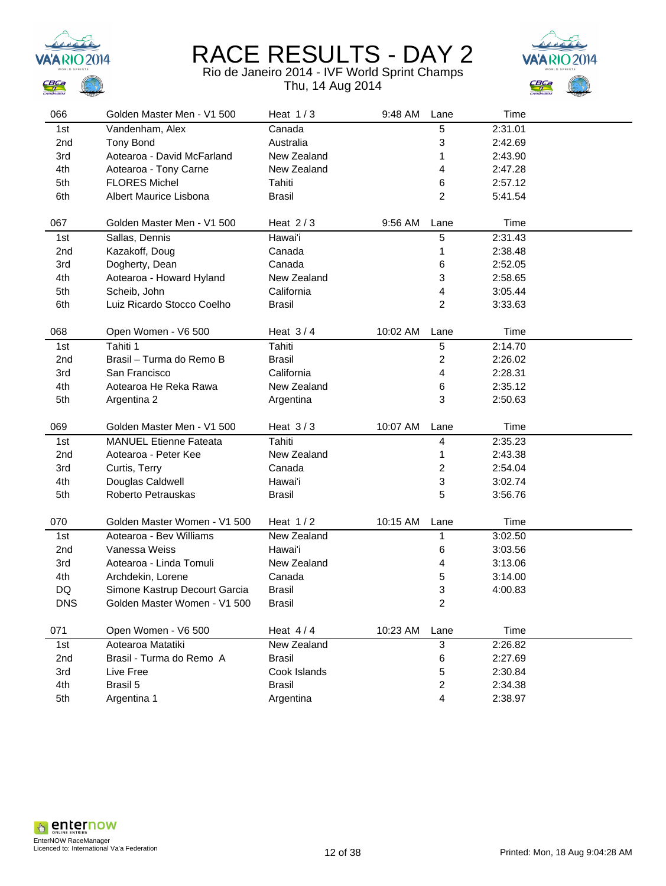



| 066             | Golden Master Men - V1 500    | Heat $1/3$    | 9:48 AM  | Lane                    | Time    |  |
|-----------------|-------------------------------|---------------|----------|-------------------------|---------|--|
| 1st             | Vandenham, Alex               | Canada        |          | 5                       | 2:31.01 |  |
| 2 <sub>nd</sub> | <b>Tony Bond</b>              | Australia     |          | 3                       | 2:42.69 |  |
| 3rd             | Aotearoa - David McFarland    | New Zealand   |          | 1                       | 2:43.90 |  |
| 4th             | Aotearoa - Tony Carne         | New Zealand   |          | 4                       | 2:47.28 |  |
| 5th             | <b>FLORES Michel</b>          | Tahiti        |          | 6                       | 2:57.12 |  |
| 6th             | Albert Maurice Lisbona        | <b>Brasil</b> |          | 2                       | 5:41.54 |  |
|                 |                               |               |          |                         |         |  |
| 067             | Golden Master Men - V1 500    | Heat $2/3$    | 9:56 AM  | Lane                    | Time    |  |
| 1st             | Sallas, Dennis                | Hawai'i       |          | 5                       | 2:31.43 |  |
| 2 <sub>nd</sub> | Kazakoff, Doug                | Canada        |          | 1                       | 2:38.48 |  |
| 3rd             | Dogherty, Dean                | Canada        |          | 6                       | 2:52.05 |  |
| 4th             | Aotearoa - Howard Hyland      | New Zealand   |          | 3                       | 2:58.65 |  |
| 5th             | Scheib, John                  | California    |          | 4                       | 3:05.44 |  |
| 6th             | Luiz Ricardo Stocco Coelho    | <b>Brasil</b> |          | 2                       | 3:33.63 |  |
|                 |                               |               |          |                         |         |  |
| 068             | Open Women - V6 500           | Heat $3/4$    | 10:02 AM | Lane                    | Time    |  |
| 1st             | Tahiti 1                      | <b>Tahiti</b> |          | 5                       | 2:14.70 |  |
| 2 <sub>nd</sub> | Brasil - Turma do Remo B      | Brasil        |          | 2                       | 2:26.02 |  |
| 3rd             | San Francisco                 | California    |          | 4                       | 2:28.31 |  |
| 4th             | Aotearoa He Reka Rawa         | New Zealand   |          | 6                       | 2:35.12 |  |
| 5th             | Argentina 2                   | Argentina     |          | 3                       | 2:50.63 |  |
| 069             | Golden Master Men - V1 500    | Heat $3/3$    | 10:07 AM |                         | Time    |  |
|                 |                               |               |          | Lane                    |         |  |
| 1st             | <b>MANUEL Etienne Fateata</b> | Tahiti        |          | 4                       | 2:35.23 |  |
| 2 <sub>nd</sub> | Aotearoa - Peter Kee          | New Zealand   |          | 1                       | 2:43.38 |  |
| 3rd             | Curtis, Terry                 | Canada        |          | $\overline{\mathbf{c}}$ | 2:54.04 |  |
| 4th             | Douglas Caldwell              | Hawai'i       |          | 3                       | 3:02.74 |  |
| 5th             | Roberto Petrauskas            | <b>Brasil</b> |          | 5                       | 3:56.76 |  |
| 070             | Golden Master Women - V1 500  | Heat $1/2$    | 10:15 AM | Lane                    | Time    |  |
| 1st             | Aotearoa - Bev Williams       | New Zealand   |          | 1                       | 3:02.50 |  |
| 2 <sub>nd</sub> | Vanessa Weiss                 | Hawai'i       |          | 6                       | 3:03.56 |  |
| 3rd             | Aotearoa - Linda Tomuli       | New Zealand   |          | 4                       | 3:13.06 |  |
| 4th             | Archdekin, Lorene             | Canada        |          | 5                       | 3:14.00 |  |
| DQ              | Simone Kastrup Decourt Garcia | <b>Brasil</b> |          | 3                       | 4:00.83 |  |
| <b>DNS</b>      | Golden Master Women - V1 500  | <b>Brasil</b> |          | 2                       |         |  |
|                 |                               |               |          |                         |         |  |
| 071             | Open Women - V6 500           | Heat $4/4$    | 10:23 AM | Lane                    | Time    |  |
| 1st             | Aotearoa Matatiki             | New Zealand   |          | 3                       | 2:26.82 |  |
| 2nd             | Brasil - Turma do Remo A      | <b>Brasil</b> |          | 6                       | 2:27.69 |  |
| 3rd             | Live Free                     | Cook Islands  |          | 5                       | 2:30.84 |  |
| 4th             | Brasil 5                      | <b>Brasil</b> |          | 2                       | 2:34.38 |  |
| 5th             | Argentina 1                   | Argentina     |          | 4                       | 2:38.97 |  |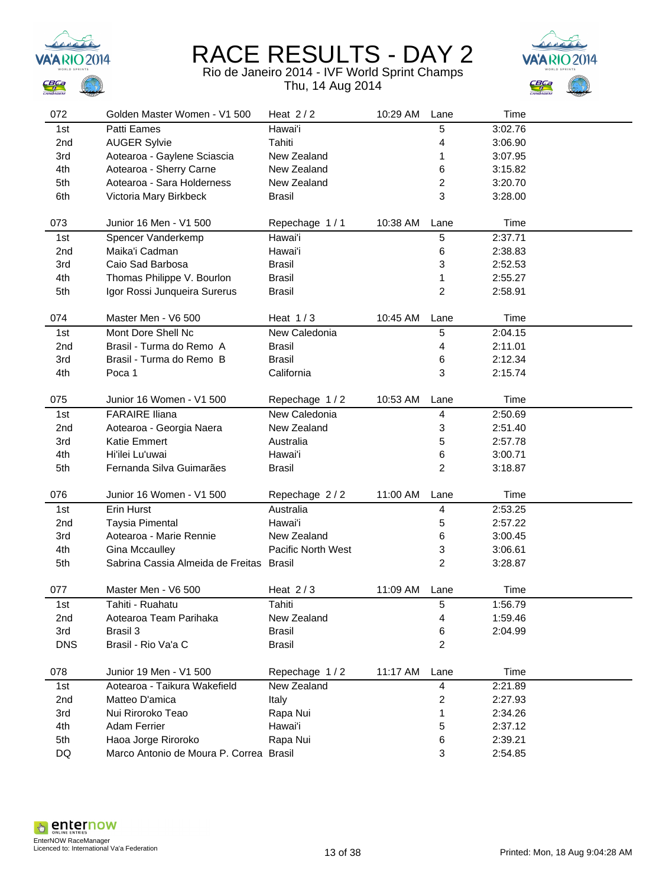





| 072             | Golden Master Women - V1 500            | Heat $2/2$         | 10:29 AM | Lane           | Time    |  |
|-----------------|-----------------------------------------|--------------------|----------|----------------|---------|--|
| 1st             | Patti Eames                             | Hawai'i            |          | 5              | 3:02.76 |  |
| 2nd             | <b>AUGER Sylvie</b>                     | Tahiti             |          | 4              | 3:06.90 |  |
| 3rd             | Aotearoa - Gaylene Sciascia             | New Zealand        |          | 1              | 3:07.95 |  |
| 4th             | Aotearoa - Sherry Carne                 | New Zealand        |          | 6              | 3:15.82 |  |
| 5th             | Aotearoa - Sara Holderness              | New Zealand        |          | 2              | 3:20.70 |  |
| 6th             | Victoria Mary Birkbeck                  | <b>Brasil</b>      |          | 3              | 3:28.00 |  |
|                 |                                         |                    |          |                |         |  |
| 073             | Junior 16 Men - V1 500                  | Repechage 1/1      | 10:38 AM | Lane           | Time    |  |
| 1st             | Spencer Vanderkemp                      | Hawai'i            |          | $\sqrt{5}$     | 2:37.71 |  |
| 2 <sub>nd</sub> | Maika'i Cadman                          | Hawai'i            |          | 6              | 2:38.83 |  |
| 3rd             | Caio Sad Barbosa                        | <b>Brasil</b>      |          | 3              | 2:52.53 |  |
| 4th             | Thomas Philippe V. Bourlon              | <b>Brasil</b>      |          | 1              | 2:55.27 |  |
| 5th             | Igor Rossi Junqueira Surerus            | <b>Brasil</b>      |          | $\overline{c}$ | 2:58.91 |  |
|                 |                                         |                    |          |                |         |  |
| 074             | Master Men - V6 500                     | Heat $1/3$         | 10:45 AM | Lane           | Time    |  |
| 1st             | Mont Dore Shell Nc                      | New Caledonia      |          | 5              | 2:04.15 |  |
| 2nd             | Brasil - Turma do Remo A                | <b>Brasil</b>      |          | 4              | 2:11.01 |  |
| 3rd             | Brasil - Turma do Remo B                | <b>Brasil</b>      |          | 6              | 2:12.34 |  |
| 4th             | Poca 1                                  | California         |          | 3              | 2:15.74 |  |
|                 |                                         |                    |          |                |         |  |
| 075             | Junior 16 Women - V1 500                | Repechage 1/2      | 10:53 AM | Lane           | Time    |  |
| 1st             | <b>FARAIRE Iliana</b>                   | New Caledonia      |          | 4              | 2:50.69 |  |
| 2nd             | Aotearoa - Georgia Naera                | New Zealand        |          | 3              | 2:51.40 |  |
| 3rd             | <b>Katie Emmert</b>                     | Australia          |          | 5              | 2:57.78 |  |
| 4th             | Hi'ilei Lu'uwai                         | Hawai'i            |          | 6              | 3:00.71 |  |
| 5th             | Fernanda Silva Guimarães                | <b>Brasil</b>      |          | $\overline{c}$ | 3:18.87 |  |
|                 |                                         |                    |          |                |         |  |
| 076             | Junior 16 Women - V1 500                | Repechage 2/2      | 11:00 AM | Lane           | Time    |  |
| 1st             | Erin Hurst                              | Australia          |          | 4              | 2:53.25 |  |
| 2 <sub>nd</sub> | <b>Taysia Pimental</b>                  | Hawai'i            |          | 5              | 2:57.22 |  |
| 3rd             | Aotearoa - Marie Rennie                 | New Zealand        |          | 6              | 3:00.45 |  |
| 4th             | Gina Mccaulley                          | Pacific North West |          | 3              | 3:06.61 |  |
| 5th             | Sabrina Cassia Almeida de Freitas       | Brasil             |          | $\overline{2}$ | 3:28.87 |  |
|                 |                                         |                    |          |                |         |  |
| 077             | Master Men - V6 500                     | Heat $2/3$         | 11:09 AM | Lane           | Time    |  |
| 1st             | Tahiti - Ruahatu                        | Tahiti             |          | 5              | 1:56.79 |  |
| 2nd             | Aotearoa Team Parihaka                  | New Zealand        |          | 4              | 1:59.46 |  |
| 3rd             | Brasil 3                                | <b>Brasil</b>      |          | 6              | 2:04.99 |  |
| <b>DNS</b>      | Brasil - Rio Va'a C                     | <b>Brasil</b>      |          | $\overline{c}$ |         |  |
|                 |                                         |                    |          |                |         |  |
| 078             | Junior 19 Men - V1 500                  | Repechage 1/2      | 11:17 AM | Lane           | Time    |  |
| 1st             | Aotearoa - Taikura Wakefield            | New Zealand        |          | 4              | 2:21.89 |  |
| 2nd             | Matteo D'amica                          | Italy              |          | 2              | 2:27.93 |  |
| 3rd             | Nui Riroroko Teao                       | Rapa Nui           |          | 1              | 2:34.26 |  |
| 4th             | Adam Ferrier                            | Hawai'i            |          | 5              | 2:37.12 |  |
| 5th             | Haoa Jorge Riroroko                     | Rapa Nui           |          | 6              | 2:39.21 |  |
| DQ              | Marco Antonio de Moura P. Correa Brasil |                    |          | 3              | 2:54.85 |  |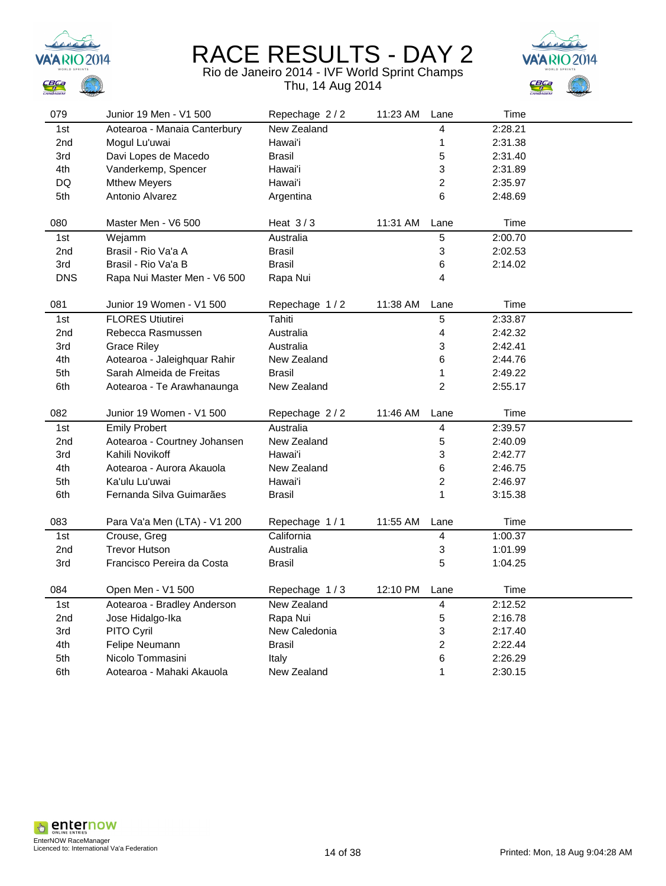



| 079        | Junior 19 Men - V1 500       | Repechage 2/2      | 11:23 AM | Lane                    | Time    |  |
|------------|------------------------------|--------------------|----------|-------------------------|---------|--|
| 1st        | Aotearoa - Manaia Canterbury | <b>New Zealand</b> |          | 4                       | 2:28.21 |  |
| 2nd        | Mogul Lu'uwai                | Hawai'i            |          | 1                       | 2:31.38 |  |
| 3rd        | Davi Lopes de Macedo         | <b>Brasil</b>      |          | 5                       | 2:31.40 |  |
| 4th        | Vanderkemp, Spencer          | Hawai'i            |          | 3                       | 2:31.89 |  |
| DQ         | <b>Mthew Meyers</b>          | Hawai'i            |          | $\overline{a}$          | 2:35.97 |  |
| 5th        | Antonio Alvarez              | Argentina          |          | 6                       | 2:48.69 |  |
|            |                              |                    |          |                         |         |  |
| 080        | Master Men - V6 500          | Heat $3/3$         | 11:31 AM | Lane                    | Time    |  |
| 1st        | Wejamm                       | Australia          |          | $\sqrt{5}$              | 2:00.70 |  |
| 2nd        | Brasil - Rio Va'a A          | Brasil             |          | 3                       | 2:02.53 |  |
| 3rd        | Brasil - Rio Va'a B          | <b>Brasil</b>      |          | 6                       | 2:14.02 |  |
| <b>DNS</b> | Rapa Nui Master Men - V6 500 | Rapa Nui           |          | 4                       |         |  |
|            |                              |                    |          |                         |         |  |
| 081        | Junior 19 Women - V1 500     | Repechage 1/2      | 11:38 AM | Lane                    | Time    |  |
| 1st        | <b>FLORES Utiutirei</b>      | Tahiti             |          | 5                       | 2:33.87 |  |
| 2nd        | Rebecca Rasmussen            | Australia          |          | 4                       | 2:42.32 |  |
| 3rd        | <b>Grace Riley</b>           | Australia          |          | 3                       | 2:42.41 |  |
| 4th        | Aotearoa - Jaleighquar Rahir | New Zealand        |          | 6                       | 2:44.76 |  |
| 5th        | Sarah Almeida de Freitas     | <b>Brasil</b>      |          | 1                       | 2:49.22 |  |
| 6th        | Aotearoa - Te Arawhanaunga   | New Zealand        |          | $\overline{2}$          | 2:55.17 |  |
|            |                              |                    |          |                         |         |  |
| 082        | Junior 19 Women - V1 500     | Repechage 2/2      | 11:46 AM | Lane                    | Time    |  |
| 1st        | <b>Emily Probert</b>         | Australia          |          | 4                       | 2:39.57 |  |
| 2nd        | Aotearoa - Courtney Johansen | New Zealand        |          | 5                       | 2:40.09 |  |
| 3rd        | Kahili Novikoff              | Hawai'i            |          | 3                       | 2:42.77 |  |
| 4th        | Aotearoa - Aurora Akauola    | New Zealand        |          | 6                       | 2:46.75 |  |
| 5th        | Ka'ulu Lu'uwai               | Hawai'i            |          | $\overline{c}$          | 2:46.97 |  |
| 6th        | Fernanda Silva Guimarães     | <b>Brasil</b>      |          | 1                       | 3:15.38 |  |
|            |                              |                    |          |                         |         |  |
| 083        | Para Va'a Men (LTA) - V1 200 | Repechage 1/1      | 11:55 AM | Lane                    | Time    |  |
| 1st        | Crouse, Greg                 | California         |          | 4                       | 1:00.37 |  |
| 2nd        | <b>Trevor Hutson</b>         | Australia          |          | 3                       | 1:01.99 |  |
| 3rd        | Francisco Pereira da Costa   | <b>Brasil</b>      |          | 5                       | 1:04.25 |  |
|            |                              |                    |          |                         |         |  |
| 084        | Open Men - V1 500            | Repechage 1/3      | 12:10 PM | Lane                    | Time    |  |
| 1st        | Aotearoa - Bradley Anderson  | New Zealand        |          | $\overline{\mathbf{4}}$ | 2:12.52 |  |
| 2nd        | Jose Hidalgo-Ika             | Rapa Nui           |          | $\mathbf 5$             | 2:16.78 |  |
| 3rd        | PITO Cyril                   | New Caledonia      |          | 3                       | 2:17.40 |  |
| 4th        | Felipe Neumann               | <b>Brasil</b>      |          | $\overline{c}$          | 2:22.44 |  |
| 5th        |                              |                    |          |                         |         |  |
|            | Nicolo Tommasini             | Italy              |          | 6                       | 2:26.29 |  |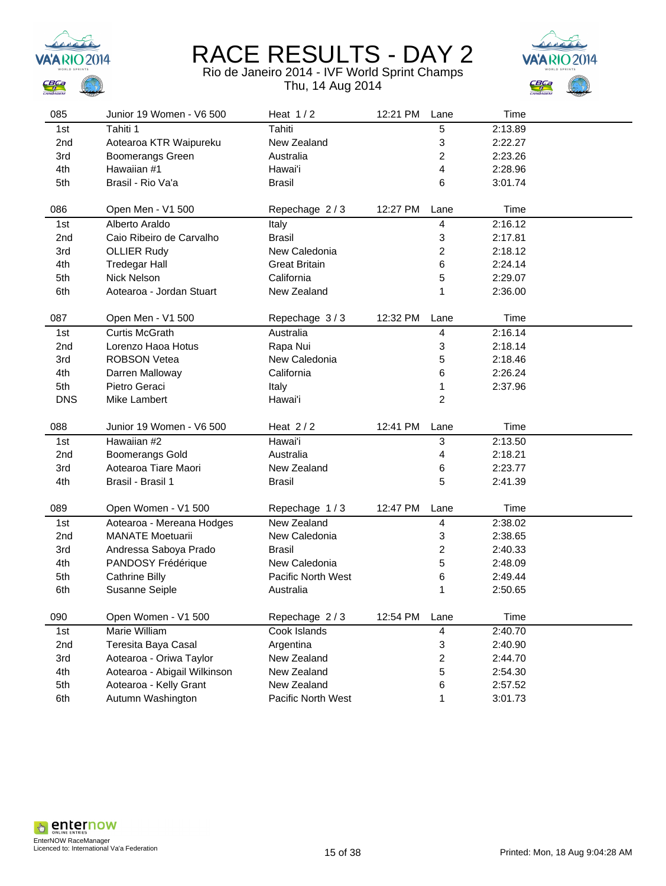



| 085             | Junior 19 Women - V6 500     | Heat $1/2$           | 12:21 PM | Lane                      | Time    |  |
|-----------------|------------------------------|----------------------|----------|---------------------------|---------|--|
| 1st             | Tahiti 1                     | Tahiti               |          | 5                         | 2:13.89 |  |
| 2nd             | Aotearoa KTR Waipureku       | New Zealand          |          | 3                         | 2:22.27 |  |
| 3rd             | Boomerangs Green             | Australia            |          | 2                         | 2:23.26 |  |
| 4th             | Hawaiian #1                  | Hawai'i              |          | 4                         | 2:28.96 |  |
| 5th             | Brasil - Rio Va'a            | <b>Brasil</b>        |          | 6                         | 3:01.74 |  |
|                 |                              |                      |          |                           |         |  |
| 086             | Open Men - V1 500            | Repechage 2/3        | 12:27 PM | Lane                      | Time    |  |
| 1st             | Alberto Araldo               | Italy                |          | 4                         | 2:16.12 |  |
| 2 <sub>nd</sub> | Caio Ribeiro de Carvalho     | <b>Brasil</b>        |          | 3                         | 2:17.81 |  |
| 3rd             | <b>OLLIER Rudy</b>           | New Caledonia        |          | $\overline{c}$            | 2:18.12 |  |
| 4th             | <b>Tredegar Hall</b>         | <b>Great Britain</b> |          | 6                         | 2:24.14 |  |
| 5th             | <b>Nick Nelson</b>           | California           |          | 5                         | 2:29.07 |  |
| 6th             | Aotearoa - Jordan Stuart     | New Zealand          |          | 1                         | 2:36.00 |  |
|                 |                              |                      |          |                           |         |  |
| 087             | Open Men - V1 500            | Repechage 3/3        | 12:32 PM | Lane                      | Time    |  |
| 1st             | <b>Curtis McGrath</b>        | Australia            |          | 4                         | 2:16.14 |  |
| 2 <sub>nd</sub> | Lorenzo Haoa Hotus           | Rapa Nui             |          | 3                         | 2:18.14 |  |
| 3rd             | <b>ROBSON Vetea</b>          | New Caledonia        |          | 5                         | 2:18.46 |  |
| 4th             | Darren Malloway              | California           |          | 6                         | 2:26.24 |  |
| 5th             | Pietro Geraci                | Italy                |          | 1                         | 2:37.96 |  |
| <b>DNS</b>      | Mike Lambert                 | Hawai'i              |          | $\overline{\mathbf{c}}$   |         |  |
| 088             | Junior 19 Women - V6 500     | Heat $2/2$           | 12:41 PM | Lane                      | Time    |  |
| 1st             | Hawaiian #2                  | Hawai'i              |          | $\ensuremath{\mathsf{3}}$ | 2:13.50 |  |
| 2nd             | <b>Boomerangs Gold</b>       | Australia            |          | 4                         | 2:18.21 |  |
| 3rd             | Aotearoa Tiare Maori         | New Zealand          |          | 6                         | 2:23.77 |  |
| 4th             | Brasil - Brasil 1            | <b>Brasil</b>        |          | 5                         | 2:41.39 |  |
|                 |                              |                      |          |                           |         |  |
| 089             | Open Women - V1 500          | Repechage 1/3        | 12:47 PM | Lane                      | Time    |  |
| 1st             | Aotearoa - Mereana Hodges    | New Zealand          |          | 4                         | 2:38.02 |  |
| 2 <sub>nd</sub> | <b>MANATE Moetuarii</b>      | New Caledonia        |          | 3                         | 2:38.65 |  |
| 3rd             | Andressa Saboya Prado        | <b>Brasil</b>        |          | $\overline{c}$            | 2:40.33 |  |
| 4th             | PANDOSY Frédérique           | New Caledonia        |          | 5                         | 2:48.09 |  |
| 5th             | <b>Cathrine Billy</b>        | Pacific North West   |          | 6                         | 2:49.44 |  |
| 6th             | Susanne Seiple               | Australia            |          | 1                         | 2:50.65 |  |
|                 |                              |                      |          |                           |         |  |
| 090             | Open Women - V1 500          | Repechage 2/3        | 12:54 PM | Lane                      | Time    |  |
| 1st             | Marie William                | Cook Islands         |          | 4                         | 2:40.70 |  |
| 2nd             | Teresita Baya Casal          | Argentina            |          | 3                         | 2:40.90 |  |
| 3rd             | Aotearoa - Oriwa Taylor      | New Zealand          |          | $\overline{\mathbf{c}}$   | 2:44.70 |  |
| 4th             | Aotearoa - Abigail Wilkinson | New Zealand          |          | 5                         | 2:54.30 |  |
| 5th             | Aotearoa - Kelly Grant       | New Zealand          |          | 6                         | 2:57.52 |  |
| 6th             | Autumn Washington            | Pacific North West   |          | 1                         | 3:01.73 |  |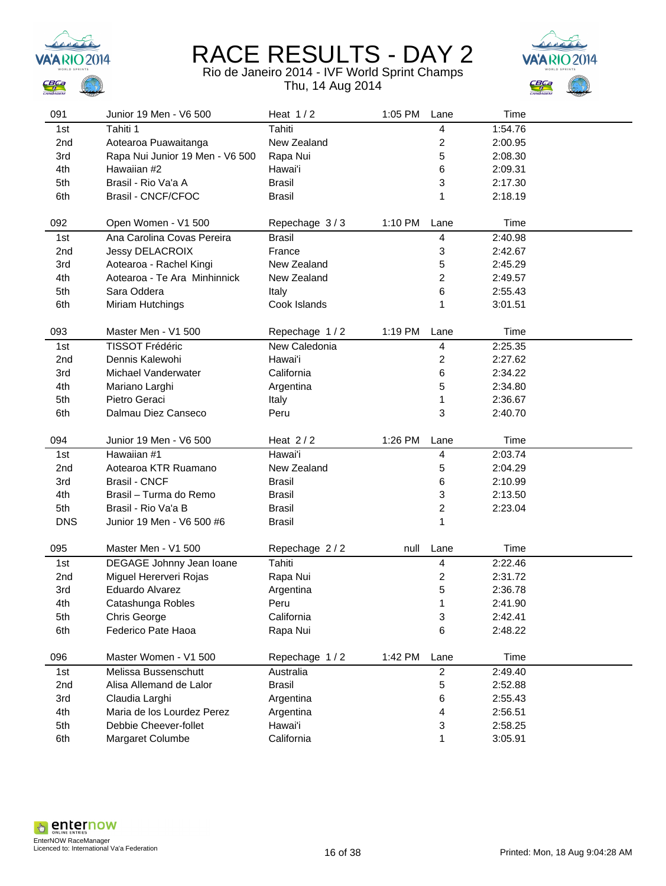





|                 | Junior 19 Men - V6 500                              | Heat $1/2$           | 1:05 PM | Lane                    | Time               |  |
|-----------------|-----------------------------------------------------|----------------------|---------|-------------------------|--------------------|--|
| 1st             | Tahiti 1                                            | Tahiti               |         | 4                       | 1:54.76            |  |
| 2nd             | Aotearoa Puawaitanga                                | New Zealand          |         | 2                       | 2:00.95            |  |
| 3rd             | Rapa Nui Junior 19 Men - V6 500                     | Rapa Nui             |         | 5                       | 2:08.30            |  |
| 4th             | Hawaiian #2                                         | Hawai'i              |         | 6                       | 2:09.31            |  |
| 5th             | Brasil - Rio Va'a A                                 | <b>Brasil</b>        |         | 3                       | 2:17.30            |  |
| 6th             | Brasil - CNCF/CFOC                                  | <b>Brasil</b>        |         | 1                       | 2:18.19            |  |
|                 |                                                     |                      |         |                         |                    |  |
| 092             | Open Women - V1 500                                 | Repechage 3/3        | 1:10 PM | Lane                    | Time               |  |
| 1st             | Ana Carolina Covas Pereira                          | <b>Brasil</b>        |         | $\overline{4}$          | 2:40.98            |  |
| 2 <sub>nd</sub> | Jessy DELACROIX                                     | France               |         | 3                       | 2:42.67            |  |
| 3rd             | Aotearoa - Rachel Kingi                             | New Zealand          |         | 5                       | 2:45.29            |  |
| 4th             | Aotearoa - Te Ara Minhinnick                        | New Zealand          |         | $\overline{\mathbf{c}}$ | 2:49.57            |  |
| 5th             | Sara Oddera                                         | Italy                |         | 6                       | 2:55.43            |  |
| 6th             | Miriam Hutchings                                    | Cook Islands         |         | 1                       | 3:01.51            |  |
| 093             | Master Men - V1 500                                 | Repechage 1/2        | 1:19 PM | Lane                    | Time               |  |
| 1st             | <b>TISSOT Frédéric</b>                              | New Caledonia        |         | 4                       | 2:25.35            |  |
| 2 <sub>nd</sub> | Dennis Kalewohi                                     | Hawai'i              |         | $\boldsymbol{2}$        | 2:27.62            |  |
| 3rd             | Michael Vanderwater                                 | California           |         | 6                       | 2:34.22            |  |
| 4th             |                                                     |                      |         | 5                       | 2:34.80            |  |
|                 | Mariano Larghi                                      | Argentina            |         |                         |                    |  |
| 5th             | Pietro Geraci                                       | Italy                |         | 1                       | 2:36.67            |  |
| 6th             | Dalmau Diez Canseco                                 | Peru                 |         | 3                       | 2:40.70            |  |
| 094             | Junior 19 Men - V6 500                              | Heat $2/2$           | 1:26 PM | Lane                    | Time               |  |
| 1st             | Hawaiian #1                                         | Hawai'i              |         | $\overline{\mathbf{4}}$ | 2:03.74            |  |
|                 |                                                     |                      |         | 5                       | 2:04.29            |  |
| 2nd             | Aotearoa KTR Ruamano                                | New Zealand          |         |                         |                    |  |
| 3rd             | <b>Brasil - CNCF</b>                                | <b>Brasil</b>        |         | 6                       | 2:10.99            |  |
| 4th             | Brasil - Turma do Remo                              | <b>Brasil</b>        |         | 3                       | 2:13.50            |  |
| 5th             | Brasil - Rio Va'a B                                 | <b>Brasil</b>        |         | $\overline{c}$          | 2:23.04            |  |
| <b>DNS</b>      | Junior 19 Men - V6 500 #6                           | <b>Brasil</b>        |         | $\mathbf{1}$            |                    |  |
|                 |                                                     |                      |         |                         |                    |  |
| 095             | Master Men - V1 500                                 | Repechage 2/2        | null    | Lane                    | Time               |  |
| 1st             | DEGAGE Johnny Jean Ioane                            | Tahiti               |         | $\overline{\mathbf{4}}$ | 2:22.46            |  |
| 2nd             | Miguel Hererveri Rojas                              | Rapa Nui             |         | $\overline{\mathbf{c}}$ | 2:31.72            |  |
| 3rd             | Eduardo Alvarez                                     | Argentina            |         | 5                       | 2:36.78            |  |
| 4th             | Catashunga Robles                                   | Peru                 |         | 1                       | 2:41.90            |  |
| 5th             | Chris George                                        | California           |         | 3                       | 2:42.41            |  |
| 6th             | Federico Pate Haoa                                  | Rapa Nui             |         | 6                       | 2:48.22            |  |
| 096             | Master Women - V1 500                               | Repechage 1/2        | 1:42 PM | Lane                    | Time               |  |
| 1st             | Melissa Bussenschutt                                | Australia            |         | $\overline{c}$          | 2:49.40            |  |
|                 | Alisa Allemand de Lalor                             | <b>Brasil</b>        |         |                         |                    |  |
| 2nd             |                                                     |                      |         | 5                       | 2:52.88            |  |
| 3rd             | Claudia Larghi                                      | Argentina            |         | 6<br>4                  | 2:55.43            |  |
| 4th<br>5th      | Maria de los Lourdez Perez<br>Debbie Cheever-follet | Argentina<br>Hawai'i |         | 3                       | 2:56.51<br>2:58.25 |  |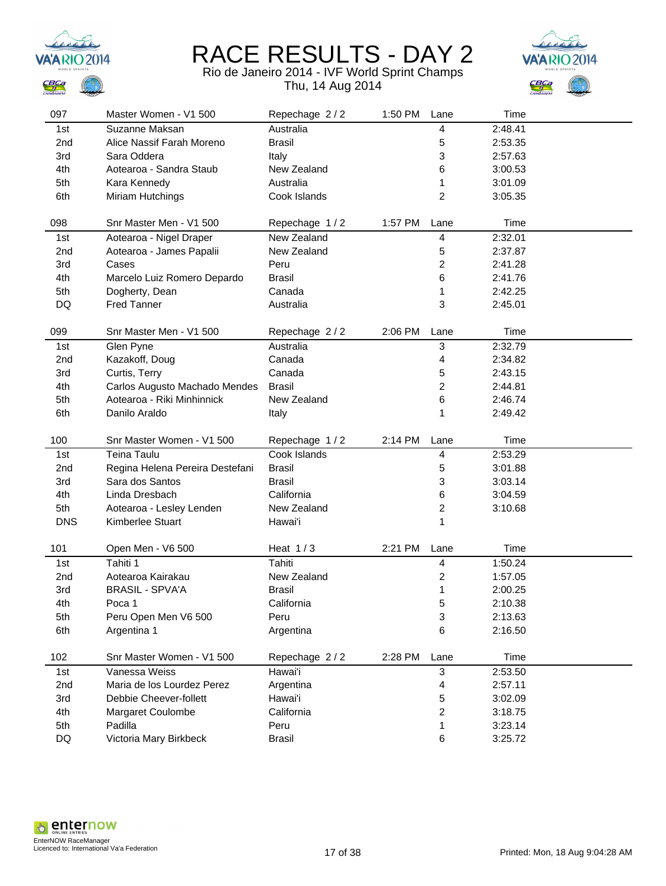



| 097             | Master Women - V1 500             | Repechage 2/2         | 1:50 PM | Lane                    | Time               |  |
|-----------------|-----------------------------------|-----------------------|---------|-------------------------|--------------------|--|
| 1st             | Suzanne Maksan                    | Australia             |         | 4                       | 2:48.41            |  |
| 2 <sub>nd</sub> | Alice Nassif Farah Moreno         | <b>Brasil</b>         |         | 5                       | 2:53.35            |  |
| 3rd             | Sara Oddera                       | Italy                 |         | 3                       | 2:57.63            |  |
| 4th             | Aotearoa - Sandra Staub           | New Zealand           |         | 6                       | 3:00.53            |  |
| 5th             | Kara Kennedy                      | Australia             |         | 1                       | 3:01.09            |  |
| 6th             | Miriam Hutchings                  | Cook Islands          |         | $\overline{2}$          | 3:05.35            |  |
|                 |                                   |                       |         |                         |                    |  |
| 098             | Snr Master Men - V1 500           | Repechage 1/2         | 1:57 PM | Lane                    | Time               |  |
| 1st             | Aotearoa - Nigel Draper           | New Zealand           |         | 4                       | 2:32.01            |  |
| 2 <sub>nd</sub> | Aotearoa - James Papalii          | New Zealand           |         | 5                       | 2:37.87            |  |
| 3rd             | Cases                             | Peru                  |         | 2                       | 2:41.28            |  |
| 4th             | Marcelo Luiz Romero Depardo       | <b>Brasil</b>         |         | 6                       | 2:41.76            |  |
| 5th             | Dogherty, Dean                    | Canada                |         | 1                       | 2:42.25            |  |
| DQ              | <b>Fred Tanner</b>                | Australia             |         | 3                       | 2:45.01            |  |
|                 |                                   |                       |         |                         |                    |  |
| 099             | Snr Master Men - V1 500           | Repechage 2/2         | 2:06 PM | Lane                    | Time               |  |
| 1st             | Glen Pyne                         | Australia             |         | 3                       | 2:32.79            |  |
| 2nd             | Kazakoff, Doug                    | Canada                |         | 4                       | 2:34.82            |  |
| 3rd             | Curtis, Terry                     | Canada                |         | 5                       | 2:43.15            |  |
| 4th             | Carlos Augusto Machado Mendes     | <b>Brasil</b>         |         | 2                       | 2:44.81            |  |
| 5th             | Aotearoa - Riki Minhinnick        | New Zealand           |         | 6                       | 2:46.74            |  |
| 6th             | Danilo Araldo                     | Italy                 |         | 1                       | 2:49.42            |  |
|                 |                                   |                       |         |                         |                    |  |
|                 |                                   |                       |         |                         |                    |  |
| 100             | Snr Master Women - V1 500         | Repechage 1/2         | 2:14 PM | Lane                    | Time               |  |
| 1st             | Teina Taulu                       | Cook Islands          |         | 4                       | 2:53.29            |  |
| 2nd             | Regina Helena Pereira Destefani   | <b>Brasil</b>         |         | 5                       | 3:01.88            |  |
| 3rd             | Sara dos Santos                   | <b>Brasil</b>         |         | 3                       | 3:03.14            |  |
| 4th             | Linda Dresbach                    | California            |         | 6                       | 3:04.59            |  |
| 5th             | Aotearoa - Lesley Lenden          | New Zealand           |         | $\overline{\mathbf{c}}$ | 3:10.68            |  |
| <b>DNS</b>      | Kimberlee Stuart                  | Hawai'i               |         | 1                       |                    |  |
|                 |                                   |                       |         |                         |                    |  |
| 101             | Open Men - V6 500                 | Heat $1/3$            | 2:21 PM | Lane                    | Time               |  |
| 1st             | Tahiti 1                          | Tahiti                |         | 4                       | 1:50.24            |  |
| 2nd             | Aotearoa Kairakau                 | New Zealand           |         | 2                       | 1:57.05            |  |
| 3rd             | <b>BRASIL - SPVA'A</b>            | <b>Brasil</b>         |         | 1                       | 2:00.25            |  |
| 4th             | Poca 1                            | California            |         | 5                       | 2:10.38            |  |
| 5th             | Peru Open Men V6 500              | Peru                  |         | 3                       | 2:13.63            |  |
| 6th             | Argentina 1                       | Argentina             |         | 6                       | 2:16.50            |  |
|                 |                                   |                       |         |                         |                    |  |
| 102             | Snr Master Women - V1 500         | Repechage 2/2         | 2:28 PM | Lane                    | Time               |  |
| 1st             | Vanessa Weiss                     | Hawai'i               |         | $\mathbf{3}$            | 2:53.50            |  |
| 2nd             | Maria de los Lourdez Perez        | Argentina             |         | 4                       | 2:57.11            |  |
| 3rd             | Debbie Cheever-follett            | Hawai'i               |         | 5                       | 3:02.09            |  |
| 4th             | <b>Margaret Coulombe</b>          | California            |         | 2                       | 3:18.75            |  |
| 5th<br>DQ       | Padilla<br>Victoria Mary Birkbeck | Peru<br><b>Brasil</b> |         | 1                       | 3:23.14<br>3:25.72 |  |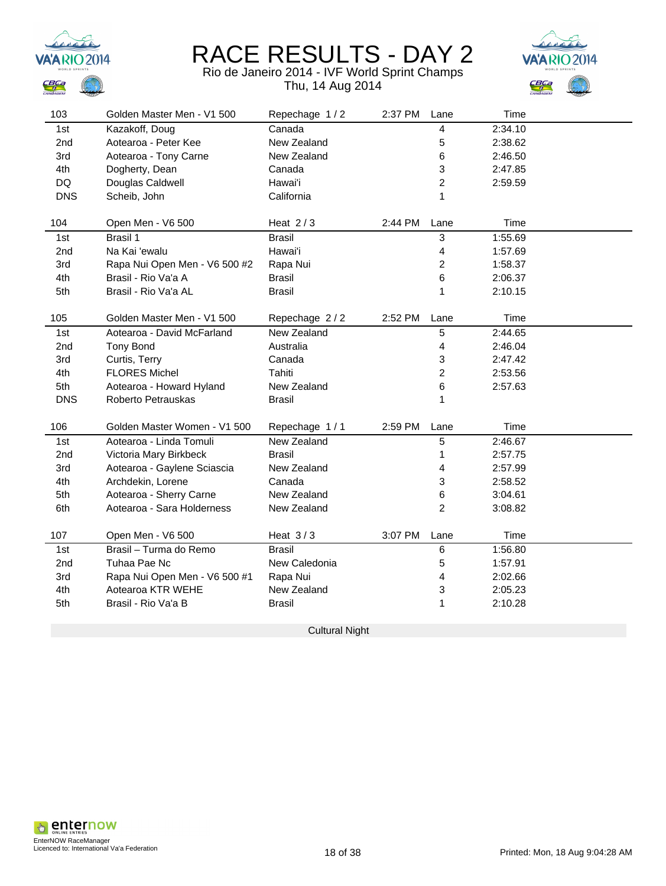

#### Rio de Janeiro 2014 - IVF World Sprint Champs Thu, 14 Aug 2014



| 103        | Golden Master Men - V1 500    | Repechage 1/2 | 2:37 PM | Lane           | Time    |  |
|------------|-------------------------------|---------------|---------|----------------|---------|--|
| 1st        | Kazakoff, Doug                | Canada        |         | 4              | 2:34.10 |  |
| 2nd        | Aotearoa - Peter Kee          | New Zealand   |         | 5              | 2:38.62 |  |
| 3rd        | Aotearoa - Tony Carne         | New Zealand   |         | 6              | 2:46.50 |  |
| 4th        | Dogherty, Dean                | Canada        |         | 3              | 2:47.85 |  |
| DQ         | Douglas Caldwell              | Hawai'i       |         | 2              | 2:59.59 |  |
| <b>DNS</b> | Scheib, John                  | California    |         | 1              |         |  |
|            |                               |               |         |                |         |  |
| 104        | Open Men - V6 500             | Heat $2/3$    | 2:44 PM | Lane           | Time    |  |
| 1st        | <b>Brasil 1</b>               | <b>Brasil</b> |         | 3              | 1:55.69 |  |
| 2nd        | Na Kai 'ewalu                 | Hawai'i       |         | 4              | 1:57.69 |  |
| 3rd        | Rapa Nui Open Men - V6 500 #2 | Rapa Nui      |         | 2              | 1:58.37 |  |
| 4th        | Brasil - Rio Va'a A           | <b>Brasil</b> |         | 6              | 2:06.37 |  |
| 5th        | Brasil - Rio Va'a AL          | <b>Brasil</b> |         | 1              | 2:10.15 |  |
|            |                               |               |         |                |         |  |
| 105        | Golden Master Men - V1 500    | Repechage 2/2 | 2:52 PM | Lane           | Time    |  |
| 1st        | Aotearoa - David McFarland    | New Zealand   |         | 5              | 2:44.65 |  |
| 2nd        | <b>Tony Bond</b>              | Australia     |         | 4              | 2:46.04 |  |
| 3rd        | Curtis, Terry                 | Canada        |         | 3              | 2:47.42 |  |
| 4th        | <b>FLORES Michel</b>          | Tahiti        |         | 2              | 2:53.56 |  |
| 5th        | Aotearoa - Howard Hyland      | New Zealand   |         | 6              | 2:57.63 |  |
| <b>DNS</b> | Roberto Petrauskas            | Brasil        |         | 1              |         |  |
|            |                               |               |         |                |         |  |
| 106        | Golden Master Women - V1 500  | Repechage 1/1 | 2:59 PM | Lane           | Time    |  |
| 1st        | Aotearoa - Linda Tomuli       | New Zealand   |         | 5              | 2:46.67 |  |
| 2nd        | Victoria Mary Birkbeck        | <b>Brasil</b> |         | 1              | 2:57.75 |  |
| 3rd        | Aotearoa - Gaylene Sciascia   | New Zealand   |         | 4              | 2:57.99 |  |
| 4th        | Archdekin, Lorene             | Canada        |         | 3              | 2:58.52 |  |
| 5th        | Aotearoa - Sherry Carne       | New Zealand   |         | 6              | 3:04.61 |  |
| 6th        | Aotearoa - Sara Holderness    | New Zealand   |         | $\overline{2}$ | 3:08.82 |  |
| 107        | Open Men - V6 500             | Heat $3/3$    | 3:07 PM | Lane           | Time    |  |
| 1st        | Brasil - Turma do Remo        | Brasil        |         | $\,6\,$        | 1:56.80 |  |
| 2nd        | Tuhaa Pae Nc                  | New Caledonia |         | 5              | 1:57.91 |  |
| 3rd        | Rapa Nui Open Men - V6 500 #1 | Rapa Nui      |         | 4              | 2:02.66 |  |
| 4th        | Aotearoa KTR WEHE             | New Zealand   |         | 3              | 2:05.23 |  |
| 5th        | Brasil - Rio Va'a B           | <b>Brasil</b> |         | 1              | 2:10.28 |  |
|            |                               |               |         |                |         |  |

Cultural Night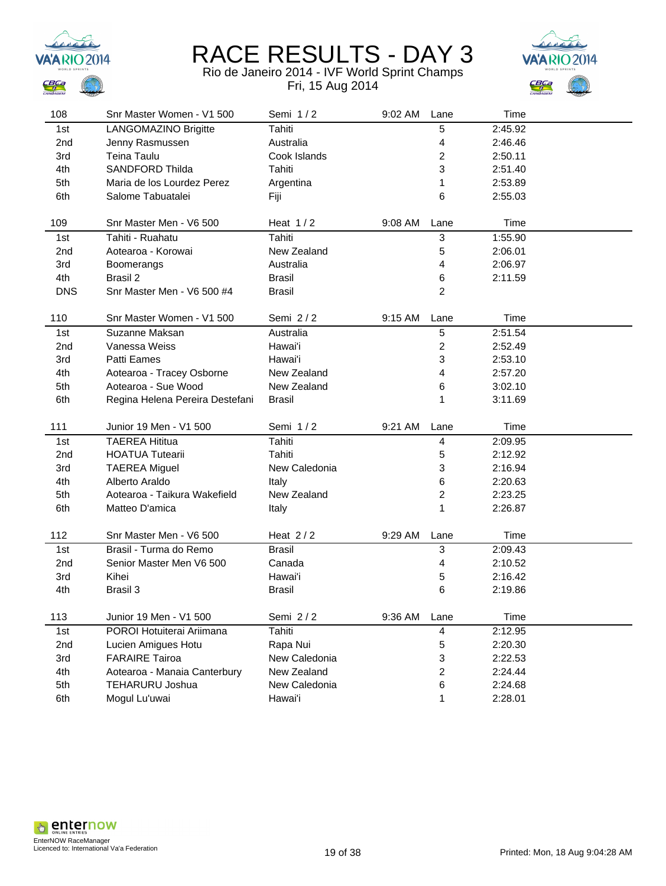





| 108             | Snr Master Women - V1 500       | Semi 1/2      | 9:02 AM | Lane                      | Time    |  |
|-----------------|---------------------------------|---------------|---------|---------------------------|---------|--|
| 1st             | LANGOMAZINO Brigitte            | Tahiti        |         | 5                         | 2:45.92 |  |
| 2 <sub>nd</sub> | Jenny Rasmussen                 | Australia     |         | 4                         | 2:46.46 |  |
| 3rd             | Teina Taulu                     | Cook Islands  |         | 2                         | 2:50.11 |  |
| 4th             | <b>SANDFORD Thilda</b>          | Tahiti        |         | 3                         | 2:51.40 |  |
| 5th             | Maria de los Lourdez Perez      | Argentina     |         | 1                         | 2:53.89 |  |
| 6th             | Salome Tabuatalei               | Fiji          |         | 6                         | 2:55.03 |  |
|                 |                                 |               |         |                           |         |  |
| 109             | Snr Master Men - V6 500         | Heat $1/2$    | 9:08 AM | Lane                      | Time    |  |
| 1st             | Tahiti - Ruahatu                | Tahiti        |         | $\ensuremath{\mathsf{3}}$ | 1:55.90 |  |
| 2 <sub>nd</sub> | Aotearoa - Korowai              | New Zealand   |         | 5                         | 2:06.01 |  |
| 3rd             | Boomerangs                      | Australia     |         | 4                         | 2:06.97 |  |
| 4th             | Brasil 2                        | <b>Brasil</b> |         | 6                         | 2:11.59 |  |
| <b>DNS</b>      | Snr Master Men - V6 500 #4      | <b>Brasil</b> |         | $\overline{c}$            |         |  |
|                 |                                 |               |         |                           |         |  |
| 110             | Snr Master Women - V1 500       | Semi 2/2      | 9:15 AM | Lane                      | Time    |  |
| 1st             | Suzanne Maksan                  | Australia     |         | 5                         | 2:51.54 |  |
| 2 <sub>nd</sub> | Vanessa Weiss                   | Hawai'i       |         | 2                         | 2:52.49 |  |
| 3rd             | Patti Eames                     | Hawai'i       |         | 3                         | 2:53.10 |  |
| 4th             | Aotearoa - Tracey Osborne       | New Zealand   |         | 4                         | 2:57.20 |  |
| 5th             | Aotearoa - Sue Wood             | New Zealand   |         | 6                         | 3:02.10 |  |
| 6th             | Regina Helena Pereira Destefani | <b>Brasil</b> |         | 1                         | 3:11.69 |  |
|                 |                                 |               |         |                           |         |  |
| 111             | Junior 19 Men - V1 500          | Semi 1/2      | 9:21 AM | Lane                      | Time    |  |
| 1st             | <b>TAEREA Hititua</b>           | Tahiti        |         | 4                         | 2:09.95 |  |
| 2 <sub>nd</sub> | <b>HOATUA Tutearii</b>          | Tahiti        |         | 5                         | 2:12.92 |  |
| 3rd             | <b>TAEREA Miguel</b>            | New Caledonia |         | 3                         | 2:16.94 |  |
| 4th             | Alberto Araldo                  | Italy         |         | 6                         | 2:20.63 |  |
| 5th             | Aotearoa - Taikura Wakefield    | New Zealand   |         | $\overline{c}$            | 2:23.25 |  |
| 6th             | Matteo D'amica                  | Italy         |         | 1                         | 2:26.87 |  |
| 112             | Snr Master Men - V6 500         | Heat $2/2$    | 9:29 AM | Lane                      | Time    |  |
| 1st             | Brasil - Turma do Remo          | <b>Brasil</b> |         | 3                         | 2:09.43 |  |
| 2 <sub>nd</sub> | Senior Master Men V6 500        | Canada        |         | 4                         | 2:10.52 |  |
| 3rd             | Kihei                           | Hawai'i       |         | 5                         | 2:16.42 |  |
| 4th             | Brasil 3                        | <b>Brasil</b> |         | 6                         | 2:19.86 |  |
|                 |                                 |               |         |                           |         |  |
| 113             | Junior 19 Men - V1 500          | Semi 2/2      | 9:36 AM | Lane                      | Time    |  |
| 1st             | POROI Hotuiterai Ariimana       | Tahiti        |         | 4                         | 2:12.95 |  |
| 2nd             | Lucien Amigues Hotu             | Rapa Nui      |         | 5                         | 2:20.30 |  |
| 3rd             | <b>FARAIRE Tairoa</b>           | New Caledonia |         | 3                         | 2:22.53 |  |
| 4th             | Aotearoa - Manaia Canterbury    | New Zealand   |         | 2                         | 2:24.44 |  |
| 5th             | <b>TEHARURU Joshua</b>          | New Caledonia |         | 6                         | 2:24.68 |  |
| 6th             | Mogul Lu'uwai                   | Hawai'i       |         | 1                         | 2:28.01 |  |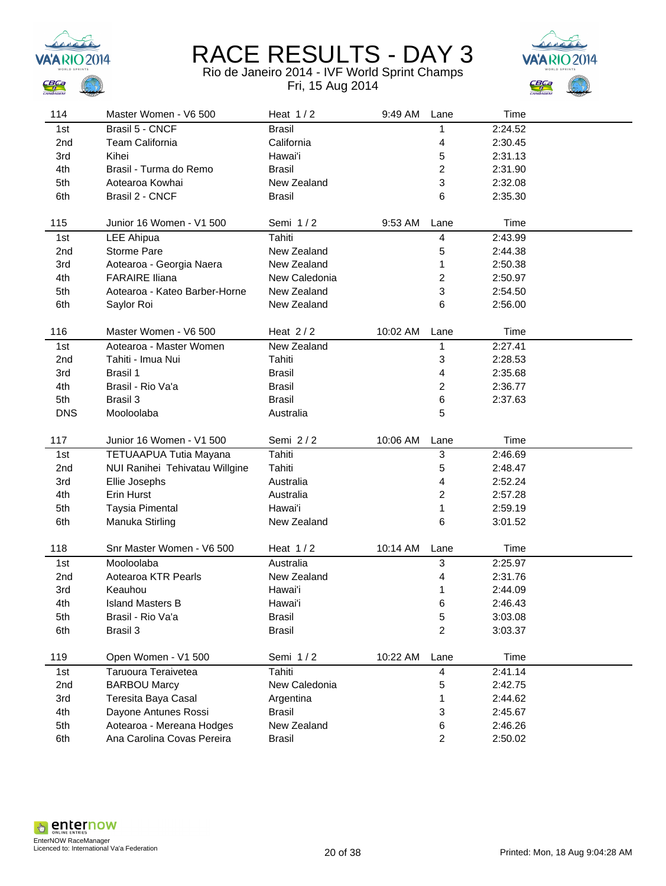



| 114             | Master Women - V6 500                                   | Heat $1/2$                   | 9:49 AM  | Lane                | Time               |  |
|-----------------|---------------------------------------------------------|------------------------------|----------|---------------------|--------------------|--|
| 1st             | Brasil 5 - CNCF                                         | <b>Brasil</b>                |          | 1                   | 2:24.52            |  |
| 2nd             | <b>Team California</b>                                  | California                   |          | 4                   | 2:30.45            |  |
| 3rd             | Kihei                                                   | Hawai'i                      |          | 5                   | 2:31.13            |  |
| 4th             | Brasil - Turma do Remo                                  | <b>Brasil</b>                |          | 2                   | 2:31.90            |  |
| 5th             | Aotearoa Kowhai                                         | New Zealand                  |          | 3                   | 2:32.08            |  |
| 6th             | Brasil 2 - CNCF                                         | <b>Brasil</b>                |          | 6                   | 2:35.30            |  |
|                 |                                                         |                              |          |                     |                    |  |
| 115             | Junior 16 Women - V1 500                                | Semi 1/2                     | 9:53 AM  | Lane                | Time               |  |
| 1st             | <b>LEE Ahipua</b>                                       | Tahiti                       |          | 4                   | 2:43.99            |  |
| 2 <sub>nd</sub> | Storme Pare                                             | New Zealand                  |          | 5                   | 2:44.38            |  |
| 3rd             | Aotearoa - Georgia Naera                                | New Zealand                  |          | 1                   | 2:50.38            |  |
| 4th             | <b>FARAIRE Iliana</b>                                   | New Caledonia                |          | 2                   | 2:50.97            |  |
| 5th             | Aotearoa - Kateo Barber-Horne                           | New Zealand                  |          | 3                   | 2:54.50            |  |
| 6th             | Saylor Roi                                              | New Zealand                  |          | 6                   | 2:56.00            |  |
|                 |                                                         |                              |          |                     |                    |  |
| 116             | Master Women - V6 500                                   | Heat $2/2$                   | 10:02 AM | Lane                | Time               |  |
| 1st             | Aotearoa - Master Women                                 | New Zealand                  |          | 1                   | 2:27.41            |  |
| 2nd             | Tahiti - Imua Nui                                       | Tahiti                       |          | 3                   | 2:28.53            |  |
| 3rd             | Brasil 1                                                | <b>Brasil</b>                |          | 4                   | 2:35.68            |  |
| 4th             | Brasil - Rio Va'a                                       | <b>Brasil</b>                |          | 2                   | 2:36.77            |  |
| 5th             | Brasil 3                                                | <b>Brasil</b>                |          | 6                   | 2:37.63            |  |
| <b>DNS</b>      | Mooloolaba                                              | Australia                    |          | 5                   |                    |  |
|                 |                                                         |                              |          |                     |                    |  |
|                 |                                                         |                              |          |                     |                    |  |
| 117             | Junior 16 Women - V1 500                                | Semi 2/2                     | 10:06 AM | Lane                | Time               |  |
| 1st             | TETUAAPUA Tutia Mayana                                  | Tahiti                       |          | 3                   | 2:46.69            |  |
| 2nd             | NUI Ranihei Tehivatau Willgine                          | Tahiti                       |          | 5                   | 2:48.47            |  |
| 3rd             | Ellie Josephs                                           | Australia                    |          | 4                   | 2:52.24            |  |
| 4th             | Erin Hurst                                              | Australia                    |          | $\overline{c}$      | 2:57.28            |  |
| 5th             | <b>Taysia Pimental</b>                                  | Hawai'i                      |          | 1                   | 2:59.19            |  |
| 6th             | Manuka Stirling                                         | New Zealand                  |          | 6                   | 3:01.52            |  |
|                 |                                                         |                              |          |                     |                    |  |
| 118             | Snr Master Women - V6 500                               | Heat $1/2$                   | 10:14 AM | Lane                | Time               |  |
| 1st             | Mooloolaba                                              | Australia                    |          | 3                   | 2:25.97            |  |
| 2 <sub>nd</sub> | Aotearoa KTR Pearls                                     | New Zealand                  |          | 4                   | 2:31.76            |  |
| 3rd             | Keauhou                                                 | Hawai'i                      |          | 1                   | 2:44.09            |  |
| 4th             | <b>Island Masters B</b>                                 | Hawai'i                      |          | 6                   | 2:46.43            |  |
| 5th             | Brasil - Rio Va'a                                       | <b>Brasil</b>                |          | 5                   | 3:03.08            |  |
| 6th             | Brasil 3                                                | <b>Brasil</b>                |          | $\overline{2}$      | 3:03.37            |  |
|                 |                                                         |                              |          |                     |                    |  |
| 119             | Open Women - V1 500                                     | Semi 1/2                     | 10:22 AM | Lane                | Time               |  |
| 1st             | Taruoura Teraivetea                                     | Tahiti                       |          | 4                   | 2:41.14            |  |
| 2nd             | <b>BARBOU Marcy</b>                                     | New Caledonia                |          | 5                   | 2:42.75            |  |
| 3rd             | Teresita Baya Casal                                     | Argentina                    |          | 1                   | 2:44.62            |  |
| 4th             | Dayone Antunes Rossi                                    | <b>Brasil</b>                |          | 3                   | 2:45.67            |  |
| 5th<br>6th      | Aotearoa - Mereana Hodges<br>Ana Carolina Covas Pereira | New Zealand<br><b>Brasil</b> |          | 6<br>$\overline{c}$ | 2:46.26<br>2:50.02 |  |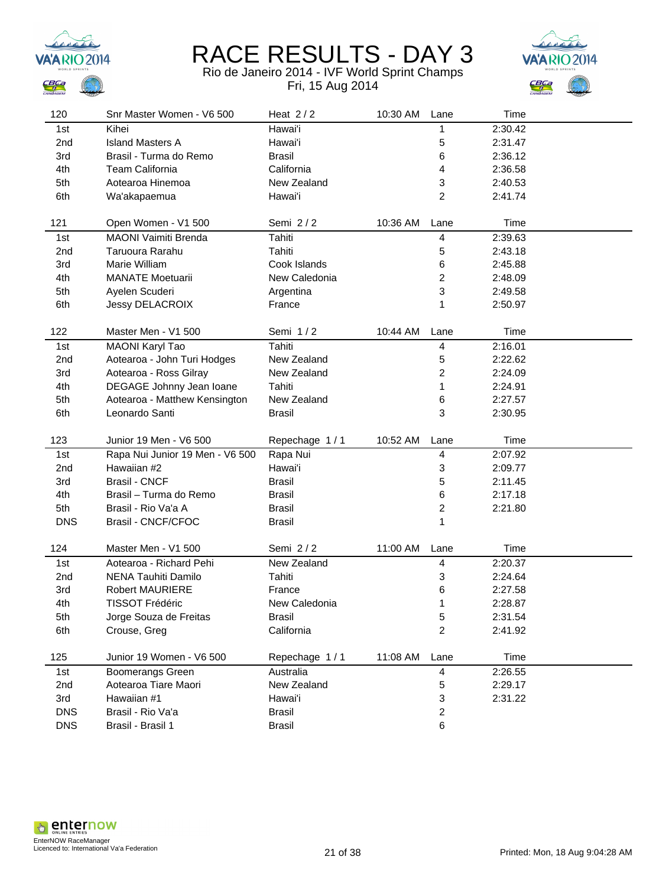



| 120             | Snr Master Women - V6 500           | Heat $2/2$          | 10:30 AM | Lane                         | Time               |  |
|-----------------|-------------------------------------|---------------------|----------|------------------------------|--------------------|--|
| 1st             | Kihei                               | Hawai'i             |          | 1                            | 2:30.42            |  |
| 2 <sub>nd</sub> | <b>Island Masters A</b>             | Hawai'i             |          | 5                            | 2:31.47            |  |
| 3rd             | Brasil - Turma do Remo              | <b>Brasil</b>       |          | 6                            | 2:36.12            |  |
| 4th             | <b>Team California</b>              | California          |          | 4                            | 2:36.58            |  |
| 5th             | Aotearoa Hinemoa                    | New Zealand         |          | 3                            | 2:40.53            |  |
| 6th             | Wa'akapaemua                        | Hawai'i             |          | $\overline{2}$               | 2:41.74            |  |
|                 |                                     |                     |          |                              |                    |  |
| 121             | Open Women - V1 500                 | Semi 2/2            | 10:36 AM | Lane                         | Time               |  |
| 1st             | MAONI Vaimiti Brenda                | Tahiti              |          | 4                            | 2:39.63            |  |
| 2nd             | Taruoura Rarahu                     | Tahiti              |          | 5                            | 2:43.18            |  |
| 3rd             | Marie William                       | Cook Islands        |          | 6                            | 2:45.88            |  |
| 4th             | <b>MANATE Moetuarii</b>             | New Caledonia       |          | 2                            | 2:48.09            |  |
| 5th             | Ayelen Scuderi                      | Argentina           |          | 3                            | 2:49.58            |  |
| 6th             | Jessy DELACROIX                     | France              |          | 1                            | 2:50.97            |  |
|                 |                                     |                     |          |                              |                    |  |
| 122             | Master Men - V1 500                 | Semi 1/2            | 10:44 AM | Lane                         | Time               |  |
| 1st             | MAONI Karyl Tao                     | Tahiti              |          | 4                            | 2:16.01            |  |
| 2nd             | Aotearoa - John Turi Hodges         | New Zealand         |          | 5                            | 2:22.62            |  |
| 3rd             | Aotearoa - Ross Gilray              | New Zealand         |          | 2                            | 2:24.09            |  |
| 4th             | DEGAGE Johnny Jean Ioane            | Tahiti              |          | 1                            | 2:24.91            |  |
| 5th             | Aotearoa - Matthew Kensington       | New Zealand         |          | 6                            | 2:27.57            |  |
| 6th             | Leonardo Santi                      | Brasil              |          | 3                            | 2:30.95            |  |
| 123             | Junior 19 Men - V6 500              |                     |          |                              | Time               |  |
|                 |                                     | Repechage 1/1       | 10:52 AM | Lane                         |                    |  |
| 1st             | Rapa Nui Junior 19 Men - V6 500     | Rapa Nui<br>Hawai'i |          | 4                            | 2:07.92            |  |
| 2nd<br>3rd      | Hawaiian #2<br><b>Brasil - CNCF</b> | <b>Brasil</b>       |          | 3<br>5                       | 2:09.77<br>2:11.45 |  |
| 4th             | Brasil - Turma do Remo              | <b>Brasil</b>       |          |                              | 2:17.18            |  |
| 5th             | Brasil - Rio Va'a A                 | <b>Brasil</b>       |          | 6<br>$\overline{\mathbf{c}}$ | 2:21.80            |  |
| <b>DNS</b>      | Brasil - CNCF/CFOC                  | <b>Brasil</b>       |          | 1                            |                    |  |
|                 |                                     |                     |          |                              |                    |  |
| 124             | Master Men - V1 500                 | Semi 2/2            | 11:00 AM | Lane                         | Time               |  |
| 1st             | Aotearoa - Richard Pehi             | New Zealand         |          | 4                            | 2:20.37            |  |
| 2nd             | NENA Tauhiti Damilo                 | Tahiti              |          | 3                            | 2:24.64            |  |
| 3rd             | <b>Robert MAURIERE</b>              | France              |          | 6                            | 2:27.58            |  |
| 4th             | <b>TISSOT Frédéric</b>              | New Caledonia       |          | 1                            | 2:28.87            |  |
| 5th             | Jorge Souza de Freitas              | <b>Brasil</b>       |          | 5                            | 2:31.54            |  |
| 6th             | Crouse, Greg                        | California          |          | $\overline{c}$               | 2:41.92            |  |
|                 |                                     |                     |          |                              |                    |  |
| 125             | Junior 19 Women - V6 500            | Repechage 1/1       | 11:08 AM | Lane                         | Time               |  |
| 1st             | Boomerangs Green                    | Australia           |          | $\overline{\mathbf{4}}$      | 2:26.55            |  |
| 2nd             | Aotearoa Tiare Maori                | New Zealand         |          | 5                            | 2:29.17            |  |
| 3rd             | Hawaiian #1                         | Hawai'i             |          | 3                            | 2:31.22            |  |
| <b>DNS</b>      | Brasil - Rio Va'a                   | <b>Brasil</b>       |          | $\overline{\mathbf{c}}$      |                    |  |
| <b>DNS</b>      | Brasil - Brasil 1                   | <b>Brasil</b>       |          | 6                            |                    |  |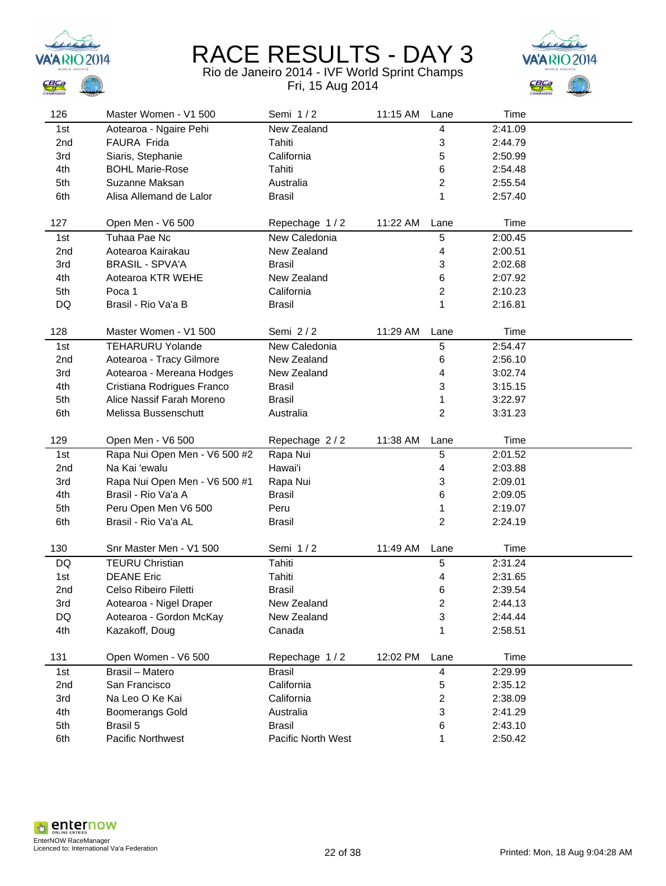



| 126             | Master Women - V1 500         | Semi 1/2                            | 11:15 AM | Lane                    | Time               |  |
|-----------------|-------------------------------|-------------------------------------|----------|-------------------------|--------------------|--|
| 1st             | Aotearoa - Ngaire Pehi        | New Zealand                         |          | 4                       | 2:41.09            |  |
| 2 <sub>nd</sub> | FAURA Frida                   | Tahiti                              |          | 3                       | 2:44.79            |  |
| 3rd             | Siaris, Stephanie             | California                          |          | 5                       | 2:50.99            |  |
| 4th             | <b>BOHL Marie-Rose</b>        | Tahiti                              |          | 6                       | 2:54.48            |  |
| 5th             | Suzanne Maksan                | Australia                           |          | $\overline{c}$          | 2:55.54            |  |
| 6th             | Alisa Allemand de Lalor       | <b>Brasil</b>                       |          | 1                       | 2:57.40            |  |
|                 |                               |                                     |          |                         |                    |  |
| 127             | Open Men - V6 500             | Repechage 1/2                       | 11:22 AM | Lane                    | Time               |  |
| 1st             | Tuhaa Pae Nc                  | New Caledonia                       |          | 5                       | 2:00.45            |  |
| 2 <sub>nd</sub> | Aotearoa Kairakau             | New Zealand                         |          | 4                       | 2:00.51            |  |
| 3rd             | <b>BRASIL - SPVA'A</b>        | <b>Brasil</b>                       |          | 3                       | 2:02.68            |  |
| 4th             | Aotearoa KTR WEHE             | New Zealand                         |          | 6                       | 2:07.92            |  |
| 5th             | Poca 1                        | California                          |          | $\overline{c}$          | 2:10.23            |  |
| DQ              | Brasil - Rio Va'a B           | <b>Brasil</b>                       |          | 1                       | 2:16.81            |  |
|                 |                               |                                     |          |                         |                    |  |
| 128             | Master Women - V1 500         | Semi 2/2                            | 11:29 AM | Lane                    | Time               |  |
| 1st             | <b>TEHARURU Yolande</b>       | New Caledonia                       |          | 5                       | 2:54.47            |  |
| 2nd             | Aotearoa - Tracy Gilmore      | New Zealand                         |          | 6                       | 2:56.10            |  |
| 3rd             | Aotearoa - Mereana Hodges     | New Zealand                         |          | 4                       | 3:02.74            |  |
| 4th             | Cristiana Rodrigues Franco    | Brasil                              |          | 3                       | 3:15.15            |  |
| 5th             | Alice Nassif Farah Moreno     | <b>Brasil</b>                       |          | 1                       | 3:22.97            |  |
| 6th             | Melissa Bussenschutt          | Australia                           |          | $\overline{\mathbf{c}}$ | 3:31.23            |  |
|                 |                               |                                     |          |                         |                    |  |
| 129             | Open Men - V6 500             | Repechage 2/2                       | 11:38 AM | Lane                    | Time               |  |
|                 |                               |                                     |          |                         |                    |  |
| 1st             | Rapa Nui Open Men - V6 500 #2 | Rapa Nui                            |          | 5                       | 2:01.52            |  |
| 2nd             | Na Kai 'ewalu                 | Hawai'i                             |          | 4                       | 2:03.88            |  |
| 3rd             | Rapa Nui Open Men - V6 500 #1 | Rapa Nui                            |          | 3                       | 2:09.01            |  |
| 4th             | Brasil - Rio Va'a A           | <b>Brasil</b>                       |          | 6                       | 2:09.05            |  |
| 5th             | Peru Open Men V6 500          | Peru                                |          | 1                       | 2:19.07            |  |
| 6th             | Brasil - Rio Va'a AL          | <b>Brasil</b>                       |          | $\overline{\mathbf{c}}$ | 2:24.19            |  |
|                 |                               |                                     |          |                         |                    |  |
| 130             | Snr Master Men - V1 500       | Semi 1/2                            | 11:49 AM | Lane                    | Time               |  |
| DQ              | <b>TEURU Christian</b>        | Tahiti                              |          | 5                       | 2:31.24            |  |
| 1st             | <b>DEANE Eric</b>             | Tahiti                              |          | 4                       | 2:31.65            |  |
| 2nd             | Celso Ribeiro Filetti         | <b>Brasil</b>                       |          | 6                       | 2:39.54            |  |
| 3rd             | Aotearoa - Nigel Draper       | New Zealand                         |          | 2                       | 2:44.13            |  |
| DQ              | Aotearoa - Gordon McKay       | New Zealand                         |          | 3                       | 2:44.44            |  |
| 4th             | Kazakoff, Doug                | Canada                              |          | 1                       | 2:58.51            |  |
|                 |                               |                                     |          |                         |                    |  |
| 131             | Open Women - V6 500           | Repechage 1/2                       | 12:02 PM | Lane                    | Time               |  |
| 1st             | Brasil - Matero               | <b>Brasil</b>                       |          | $\overline{\mathbf{4}}$ | 2:29.99            |  |
| 2nd             | San Francisco                 | California                          |          | 5                       | 2:35.12            |  |
| 3rd             | Na Leo O Ke Kai               | California                          |          | $\overline{\mathbf{c}}$ | 2:38.09            |  |
| 4th             | <b>Boomerangs Gold</b>        | Australia                           |          | 3                       | 2:41.29            |  |
| 5th<br>6th      | Brasil 5<br>Pacific Northwest | <b>Brasil</b><br>Pacific North West |          | 6<br>1                  | 2:43.10<br>2:50.42 |  |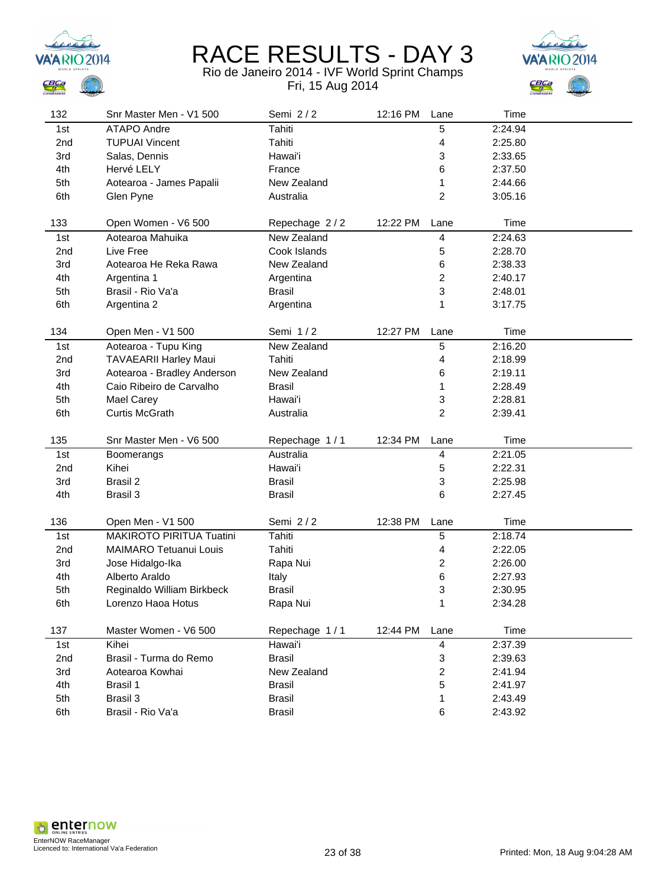



| 132 | Snr Master Men - V1 500       | Semi 2/2      | 12:16 PM | Lane                    | Time    |  |
|-----|-------------------------------|---------------|----------|-------------------------|---------|--|
| 1st | <b>ATAPO Andre</b>            | Tahiti        |          | 5                       | 2:24.94 |  |
| 2nd | <b>TUPUAI Vincent</b>         | Tahiti        |          | 4                       | 2:25.80 |  |
| 3rd | Salas, Dennis                 | Hawai'i       |          | 3                       | 2:33.65 |  |
| 4th | Hervé LELY                    | France        |          | 6                       | 2:37.50 |  |
| 5th | Aotearoa - James Papalii      | New Zealand   |          | 1                       | 2:44.66 |  |
| 6th | Glen Pyne                     | Australia     |          | $\overline{2}$          | 3:05.16 |  |
|     |                               |               |          |                         |         |  |
| 133 | Open Women - V6 500           | Repechage 2/2 | 12:22 PM | Lane                    | Time    |  |
| 1st | Aotearoa Mahuika              | New Zealand   |          | 4                       | 2:24.63 |  |
| 2nd | Live Free                     | Cook Islands  |          | 5                       | 2:28.70 |  |
| 3rd | Aotearoa He Reka Rawa         | New Zealand   |          | 6                       | 2:38.33 |  |
| 4th | Argentina 1                   | Argentina     |          | 2                       | 2:40.17 |  |
| 5th | Brasil - Rio Va'a             | <b>Brasil</b> |          | 3                       | 2:48.01 |  |
| 6th | Argentina 2                   | Argentina     |          | 1                       | 3:17.75 |  |
|     |                               |               |          |                         |         |  |
| 134 | Open Men - V1 500             | Semi 1/2      | 12:27 PM | Lane                    | Time    |  |
| 1st | Aotearoa - Tupu King          | New Zealand   |          | 5                       | 2:16.20 |  |
| 2nd | <b>TAVAEARII Harley Maui</b>  | Tahiti        |          | 4                       | 2:18.99 |  |
| 3rd | Aotearoa - Bradley Anderson   | New Zealand   |          | 6                       | 2:19.11 |  |
| 4th | Caio Ribeiro de Carvalho      | <b>Brasil</b> |          | 1                       | 2:28.49 |  |
| 5th | Mael Carey                    | Hawai'i       |          | 3                       | 2:28.81 |  |
| 6th | <b>Curtis McGrath</b>         | Australia     |          | $\overline{c}$          | 2:39.41 |  |
|     |                               |               |          |                         |         |  |
| 135 | Snr Master Men - V6 500       | Repechage 1/1 | 12:34 PM | Lane                    | Time    |  |
| 1st | Boomerangs                    | Australia     |          | 4                       | 2:21.05 |  |
| 2nd | Kihei                         | Hawai'i       |          | 5                       | 2:22.31 |  |
| 3rd | Brasil 2                      | <b>Brasil</b> |          | 3                       | 2:25.98 |  |
| 4th | Brasil 3                      | <b>Brasil</b> |          | 6                       | 2:27.45 |  |
|     |                               |               |          |                         |         |  |
| 136 | Open Men - V1 500             | Semi 2/2      | 12:38 PM | Lane                    | Time    |  |
| 1st | MAKIROTO PIRITUA Tuatini      | Tahiti        |          | 5                       | 2:18.74 |  |
| 2nd | <b>MAIMARO Tetuanui Louis</b> | Tahiti        |          | 4                       | 2:22.05 |  |
| 3rd | Jose Hidalgo-Ika              | Rapa Nui      |          | 2                       | 2:26.00 |  |
| 4th | Alberto Araldo                | Italy         |          | 6                       | 2:27.93 |  |
| 5th | Reginaldo William Birkbeck    | <b>Brasil</b> |          | 3                       | 2:30.95 |  |
| 6th | Lorenzo Haoa Hotus            | Rapa Nui      |          | 1                       | 2:34.28 |  |
|     |                               |               |          |                         |         |  |
| 137 | Master Women - V6 500         | Repechage 1/1 | 12:44 PM | Lane                    | Time    |  |
| 1st | Kihei                         | Hawai'i       |          | $\overline{\mathbf{4}}$ | 2:37.39 |  |
| 2nd | Brasil - Turma do Remo        | <b>Brasil</b> |          | 3                       | 2:39.63 |  |
| 3rd | Aotearoa Kowhai               | New Zealand   |          | $\overline{\mathbf{c}}$ | 2:41.94 |  |
| 4th | Brasil 1                      | <b>Brasil</b> |          | 5                       | 2:41.97 |  |
| 5th | Brasil 3                      | <b>Brasil</b> |          | 1                       | 2:43.49 |  |
| 6th | Brasil - Rio Va'a             | <b>Brasil</b> |          | 6                       | 2:43.92 |  |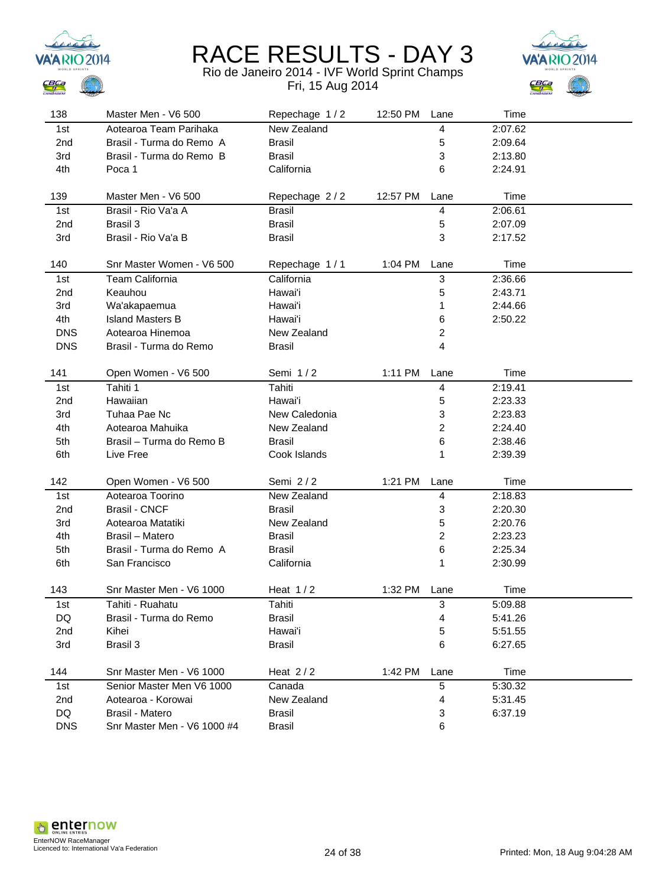



| 138             | Master Men - V6 500         | Repechage 1/2 | 12:50 PM | Lane           | Time    |  |
|-----------------|-----------------------------|---------------|----------|----------------|---------|--|
| 1st             | Aotearoa Team Parihaka      | New Zealand   |          | 4              | 2:07.62 |  |
| 2 <sub>nd</sub> | Brasil - Turma do Remo A    | Brasil        |          | 5              | 2:09.64 |  |
| 3rd             | Brasil - Turma do Remo B    | <b>Brasil</b> |          | 3              | 2:13.80 |  |
| 4th             | Poca 1                      | California    |          | 6              | 2:24.91 |  |
|                 |                             |               |          |                |         |  |
| 139             | Master Men - V6 500         | Repechage 2/2 | 12:57 PM | Lane           | Time    |  |
| 1st             | Brasil - Rio Va'a A         | <b>Brasil</b> |          | 4              | 2:06.61 |  |
| 2nd             | Brasil 3                    | <b>Brasil</b> |          | 5              | 2:07.09 |  |
| 3rd             | Brasil - Rio Va'a B         | <b>Brasil</b> |          | 3              | 2:17.52 |  |
| 140             | Snr Master Women - V6 500   | Repechage 1/1 | 1:04 PM  | Lane           | Time    |  |
| 1st             | Team California             | California    |          | 3              | 2:36.66 |  |
| 2nd             | Keauhou                     | Hawai'i       |          | 5              | 2:43.71 |  |
| 3rd             | Wa'akapaemua                | Hawai'i       |          | 1              | 2:44.66 |  |
| 4th             | <b>Island Masters B</b>     | Hawai'i       |          | 6              | 2:50.22 |  |
| <b>DNS</b>      | Aotearoa Hinemoa            | New Zealand   |          | 2              |         |  |
| <b>DNS</b>      | Brasil - Turma do Remo      | <b>Brasil</b> |          | 4              |         |  |
|                 |                             |               |          |                |         |  |
| 141             | Open Women - V6 500         | Semi 1/2      | 1:11 PM  | Lane           | Time    |  |
| 1st             | Tahiti 1                    | <b>Tahiti</b> |          | 4              | 2:19.41 |  |
| 2nd             | Hawaiian                    | Hawai'i       |          | 5              | 2:23.33 |  |
| 3rd             | Tuhaa Pae Nc                | New Caledonia |          | 3              | 2:23.83 |  |
| 4th             | Aotearoa Mahuika            | New Zealand   |          | $\overline{c}$ | 2:24.40 |  |
| 5th             | Brasil - Turma do Remo B    | <b>Brasil</b> |          | 6              | 2:38.46 |  |
| 6th             | Live Free                   | Cook Islands  |          | 1              | 2:39.39 |  |
|                 |                             |               |          |                |         |  |
| 142             | Open Women - V6 500         | Semi 2/2      | 1:21 PM  | Lane           | Time    |  |
| 1st             | Aotearoa Toorino            | New Zealand   |          | 4              | 2:18.83 |  |
| 2nd             | <b>Brasil - CNCF</b>        | <b>Brasil</b> |          | 3              | 2:20.30 |  |
| 3rd             | Aotearoa Matatiki           | New Zealand   |          | 5              | 2:20.76 |  |
| 4th             | Brasil - Matero             | <b>Brasil</b> |          | $\overline{c}$ | 2:23.23 |  |
| 5th             | Brasil - Turma do Remo A    | <b>Brasil</b> |          | 6              | 2:25.34 |  |
| 6th             | San Francisco               | California    |          | 1              | 2:30.99 |  |
|                 |                             |               |          |                |         |  |
| 143             | Snr Master Men - V6 1000    | Heat $1/2$    | 1:32 PM  | Lane           | Time    |  |
| 1st             | Tahiti - Ruahatu            | Tahiti        |          | 3              | 5:09.88 |  |
| DQ              | Brasil - Turma do Remo      | <b>Brasil</b> |          | 4              | 5:41.26 |  |
| 2nd             | Kihei                       | Hawai'i       |          | 5              | 5:51.55 |  |
| 3rd             | Brasil 3                    | <b>Brasil</b> |          | 6              | 6:27.65 |  |
| 144             | Snr Master Men - V6 1000    | Heat $2/2$    | 1:42 PM  | Lane           | Time    |  |
| 1st             | Senior Master Men V6 1000   | Canada        |          | 5              | 5:30.32 |  |
| 2nd             | Aotearoa - Korowai          | New Zealand   |          | 4              | 5:31.45 |  |
| DQ              | Brasil - Matero             | <b>Brasil</b> |          | 3              | 6:37.19 |  |
| <b>DNS</b>      | Snr Master Men - V6 1000 #4 | <b>Brasil</b> |          | 6              |         |  |
|                 |                             |               |          |                |         |  |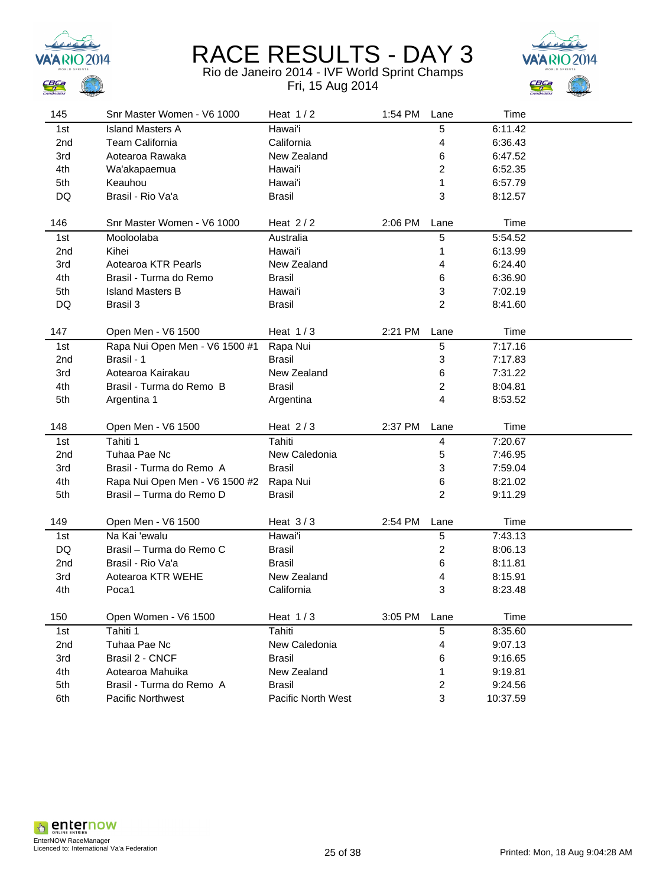



| 145             | Snr Master Women - V6 1000     | Heat $1/2$         | 1:54 PM | Lane           | Time     |  |
|-----------------|--------------------------------|--------------------|---------|----------------|----------|--|
| 1st             | <b>Island Masters A</b>        | Hawai'i            |         | 5              | 6:11.42  |  |
| 2 <sub>nd</sub> | <b>Team California</b>         | California         |         | 4              | 6:36.43  |  |
| 3rd             | Aotearoa Rawaka                | New Zealand        |         | 6              | 6:47.52  |  |
| 4th             | Wa'akapaemua                   | Hawai'i            |         | 2              | 6:52.35  |  |
| 5th             | Keauhou                        | Hawai'i            |         | 1              | 6:57.79  |  |
| DQ              | Brasil - Rio Va'a              | <b>Brasil</b>      |         | 3              | 8:12.57  |  |
|                 |                                |                    |         |                |          |  |
| 146             | Snr Master Women - V6 1000     | Heat $2/2$         | 2:06 PM | Lane           | Time     |  |
| 1st             | Mooloolaba                     | Australia          |         | 5              | 5:54.52  |  |
| 2nd             | Kihei                          | Hawai'i            |         | 1              | 6:13.99  |  |
| 3rd             | Aotearoa KTR Pearls            | New Zealand        |         | 4              | 6:24.40  |  |
| 4th             | Brasil - Turma do Remo         | Brasil             |         | 6              | 6:36.90  |  |
| 5th             | <b>Island Masters B</b>        | Hawai'i            |         | 3              | 7:02.19  |  |
| DQ              | Brasil 3                       | <b>Brasil</b>      |         | $\overline{c}$ | 8:41.60  |  |
|                 |                                |                    |         |                |          |  |
| 147             | Open Men - V6 1500             | Heat $1/3$         | 2:21 PM | Lane           | Time     |  |
| 1st             | Rapa Nui Open Men - V6 1500 #1 | Rapa Nui           |         | 5              | 7:17.16  |  |
| 2nd             | Brasil - 1                     | Brasil             |         | 3              | 7:17.83  |  |
| 3rd             | Aotearoa Kairakau              | New Zealand        |         | 6              | 7:31.22  |  |
| 4th             | Brasil - Turma do Remo B       | <b>Brasil</b>      |         | 2              | 8:04.81  |  |
| 5th             | Argentina 1                    | Argentina          |         | 4              | 8:53.52  |  |
|                 |                                |                    |         |                |          |  |
| 148             | Open Men - V6 1500             | Heat $2/3$         | 2:37 PM | Lane           | Time     |  |
| 1st             | Tahiti 1                       | Tahiti             |         | 4              | 7:20.67  |  |
| 2nd             | Tuhaa Pae Nc                   | New Caledonia      |         | 5              | 7:46.95  |  |
| 3rd             | Brasil - Turma do Remo A       | <b>Brasil</b>      |         | 3              | 7:59.04  |  |
| 4th             | Rapa Nui Open Men - V6 1500 #2 | Rapa Nui           |         | 6              | 8:21.02  |  |
| 5th             | Brasil - Turma do Remo D       | <b>Brasil</b>      |         | 2              | 9:11.29  |  |
| 149             | Open Men - V6 1500             | Heat $3/3$         | 2:54 PM | Lane           | Time     |  |
| 1st             | Na Kai 'ewalu                  | Hawai'i            |         | 5              | 7:43.13  |  |
| DQ              | Brasil - Turma do Remo C       | <b>Brasil</b>      |         | 2              | 8:06.13  |  |
| 2nd             | Brasil - Rio Va'a              | Brasil             |         | 6              | 8:11.81  |  |
| 3rd             | Aotearoa KTR WEHE              | New Zealand        |         | 4              | 8:15.91  |  |
| 4th             | Poca1                          | California         |         | 3              | 8:23.48  |  |
|                 |                                |                    |         |                |          |  |
| 150             | Open Women - V6 1500           | Heat $1/3$         | 3:05 PM | Lane           | Time     |  |
| 1st             | Tahiti 1                       | Tahiti             |         | 5              | 8:35.60  |  |
| 2nd             | Tuhaa Pae Nc                   | New Caledonia      |         | 4              | 9:07.13  |  |
| 3rd             | Brasil 2 - CNCF                | Brasil             |         | 6              | 9:16.65  |  |
| 4th             | Aotearoa Mahuika               | New Zealand        |         | 1              | 9:19.81  |  |
| 5th             | Brasil - Turma do Remo A       | Brasil             |         | 2              | 9:24.56  |  |
| 6th             | <b>Pacific Northwest</b>       | Pacific North West |         | 3              | 10:37.59 |  |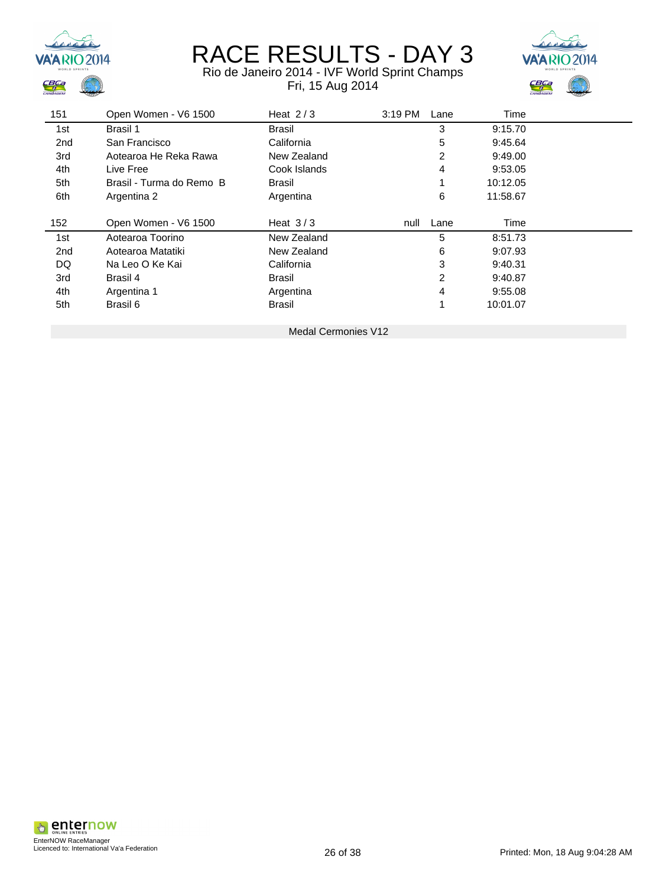



| 151 | Open Women - V6 1500     | Heat $2/3$                 | 3:19 PM<br>Lane | Time     |  |
|-----|--------------------------|----------------------------|-----------------|----------|--|
| 1st | Brasil 1                 | Brasil                     | 3               | 9:15.70  |  |
| 2nd | San Francisco            | California                 | 5               | 9:45.64  |  |
| 3rd | Aotearoa He Reka Rawa    | New Zealand                | 2               | 9:49.00  |  |
| 4th | Live Free                | Cook Islands               | 4               | 9:53.05  |  |
| 5th | Brasil - Turma do Remo B | Brasil                     |                 | 10:12.05 |  |
| 6th | Argentina 2              | Argentina                  | 6               | 11:58.67 |  |
| 152 | Open Women - V6 1500     | Heat $3/3$                 | Lane<br>null    | Time     |  |
| 1st | Aotearoa Toorino         | New Zealand                | 5               | 8:51.73  |  |
| 2nd | Aotearoa Matatiki        | New Zealand                | 6               | 9:07.93  |  |
| DQ  | Na Leo O Ke Kai          | California                 | 3               | 9:40.31  |  |
| 3rd | Brasil 4                 | Brasil                     | 2               | 9:40.87  |  |
| 4th | Argentina 1              | Argentina                  | 4               | 9:55.08  |  |
| 5th | Brasil 6                 | <b>Brasil</b>              | 1               | 10:01.07 |  |
|     |                          | <b>Medal Cermonies V12</b> |                 |          |  |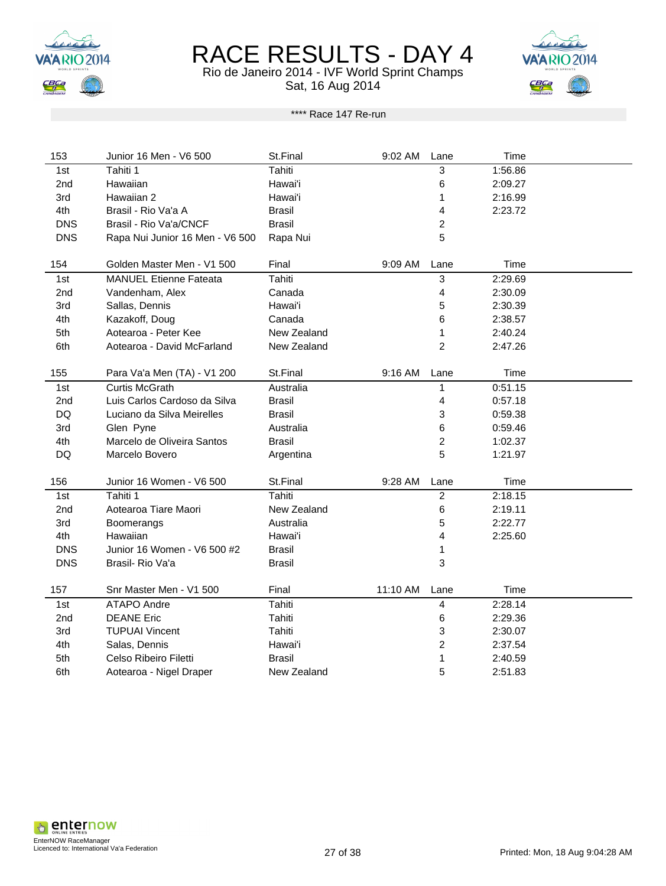

Rio de Janeiro 2014 - IVF World Sprint Champs Sat, 16 Aug 2014



#### \*\*\*\* Race 147 Re-run

| 153        | Junior 16 Men - V6 500          | St.Final      | 9:02 AM   | Lane                    | Time    |  |
|------------|---------------------------------|---------------|-----------|-------------------------|---------|--|
| 1st        | Tahiti 1                        | <b>Tahiti</b> |           | 3                       | 1:56.86 |  |
| 2nd        | Hawaiian                        | Hawai'i       |           | 6                       | 2:09.27 |  |
| 3rd        | Hawaiian 2                      | Hawai'i       |           | 1                       | 2:16.99 |  |
| 4th        | Brasil - Rio Va'a A             | <b>Brasil</b> |           | 4                       | 2:23.72 |  |
| <b>DNS</b> | Brasil - Rio Va'a/CNCF          | <b>Brasil</b> |           | $\overline{c}$          |         |  |
| <b>DNS</b> | Rapa Nui Junior 16 Men - V6 500 | Rapa Nui      |           | 5                       |         |  |
|            |                                 |               |           |                         |         |  |
| 154        | Golden Master Men - V1 500      | Final         | 9:09 AM   | Lane                    | Time    |  |
| 1st        | <b>MANUEL Etienne Fateata</b>   | Tahiti        |           | 3                       | 2:29.69 |  |
| 2nd        | Vandenham, Alex                 | Canada        |           | 4                       | 2:30.09 |  |
| 3rd        | Sallas, Dennis                  | Hawai'i       |           | 5                       | 2:30.39 |  |
| 4th        | Kazakoff, Doug                  | Canada        |           | 6                       | 2:38.57 |  |
| 5th        | Aotearoa - Peter Kee            | New Zealand   |           | 1                       | 2:40.24 |  |
| 6th        | Aotearoa - David McFarland      | New Zealand   |           | $\overline{2}$          | 2:47.26 |  |
|            |                                 |               |           |                         |         |  |
| 155        | Para Va'a Men (TA) - V1 200     | St.Final      | $9:16$ AM | Lane                    | Time    |  |
| 1st        | Curtis McGrath                  | Australia     |           | 1                       | 0:51.15 |  |
| 2nd        | Luis Carlos Cardoso da Silva    | <b>Brasil</b> |           | 4                       | 0:57.18 |  |
| DQ         | Luciano da Silva Meirelles      | <b>Brasil</b> |           | 3                       | 0:59.38 |  |
| 3rd        | Glen Pyne                       | Australia     |           | 6                       | 0:59.46 |  |
| 4th        | Marcelo de Oliveira Santos      | <b>Brasil</b> |           | $\overline{\mathbf{c}}$ | 1:02.37 |  |
| DQ         | Marcelo Bovero                  | Argentina     |           | 5                       | 1:21.97 |  |
|            |                                 |               |           |                         |         |  |
| 156        | Junior 16 Women - V6 500        | St.Final      | 9:28 AM   | Lane                    | Time    |  |
| 1st        | Tahiti 1                        | Tahiti        |           | $\overline{c}$          | 2:18.15 |  |
| 2nd        | Aotearoa Tiare Maori            | New Zealand   |           | 6                       | 2:19.11 |  |
| 3rd        | Boomerangs                      | Australia     |           | 5                       | 2:22.77 |  |
| 4th        | Hawaiian                        | Hawai'i       |           | 4                       | 2:25.60 |  |
| <b>DNS</b> | Junior 16 Women - V6 500 #2     | <b>Brasil</b> |           | 1                       |         |  |
| <b>DNS</b> | Brasil- Rio Va'a                | <b>Brasil</b> |           | 3                       |         |  |
|            |                                 |               |           |                         |         |  |
| 157        | Snr Master Men - V1 500         | Final         | 11:10 AM  | Lane                    | Time    |  |
| 1st        | ATAPO Andre                     | Tahiti        |           | 4                       | 2:28.14 |  |
| 2nd        | <b>DEANE Eric</b>               | Tahiti        |           | 6                       | 2:29.36 |  |
| 3rd        | <b>TUPUAI Vincent</b>           | Tahiti        |           | 3                       | 2:30.07 |  |
| 4th        | Salas, Dennis                   | Hawai'i       |           | $\overline{c}$          | 2:37.54 |  |
| 5th        | Celso Ribeiro Filetti           | <b>Brasil</b> |           | 1                       | 2:40.59 |  |
| 6th        | Aotearoa - Nigel Draper         | New Zealand   |           | 5                       | 2:51.83 |  |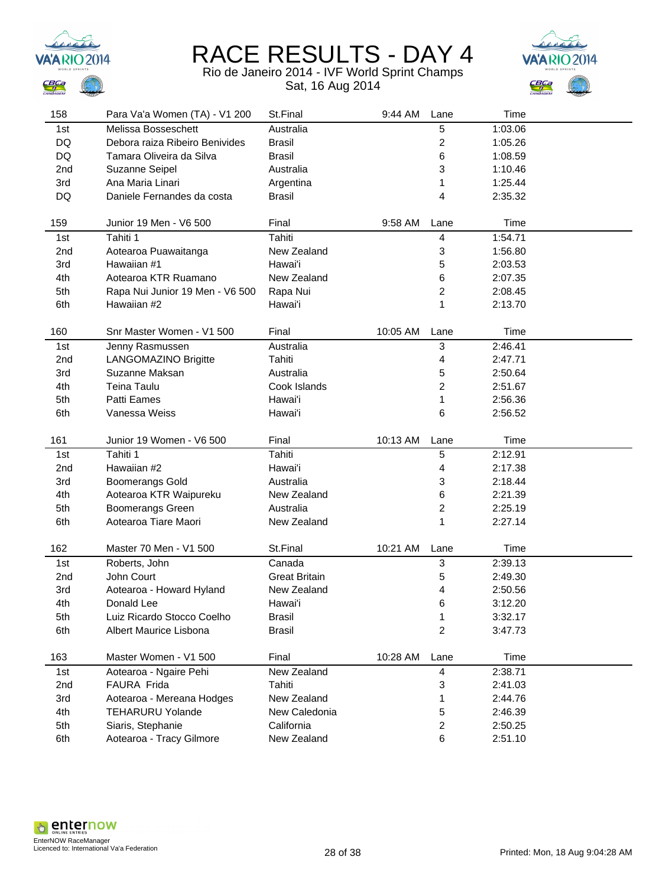



| 158             | Para Va'a Women (TA) - V1 200                 | St.Final                  | 9:44 AM  | Lane                    | Time               |  |
|-----------------|-----------------------------------------------|---------------------------|----------|-------------------------|--------------------|--|
| 1st             | Melissa Bosseschett                           | Australia                 |          | 5                       | 1:03.06            |  |
| DQ              | Debora raiza Ribeiro Benivides                | <b>Brasil</b>             |          | $\overline{\mathbf{c}}$ | 1:05.26            |  |
| DQ              | Tamara Oliveira da Silva                      | <b>Brasil</b>             |          | 6                       | 1:08.59            |  |
| 2nd             | Suzanne Seipel                                | Australia                 |          | 3                       | 1:10.46            |  |
| 3rd             | Ana Maria Linari                              | Argentina                 |          | 1                       | 1:25.44            |  |
| DQ              | Daniele Fernandes da costa                    | <b>Brasil</b>             |          | 4                       | 2:35.32            |  |
|                 |                                               |                           |          |                         |                    |  |
| 159             | Junior 19 Men - V6 500                        | Final                     | 9:58 AM  | Lane                    | Time               |  |
| 1st             | Tahiti 1                                      | Tahiti                    |          | 4                       | 1:54.71            |  |
| 2nd             | Aotearoa Puawaitanga                          | New Zealand               |          | 3                       | 1:56.80            |  |
| 3rd             | Hawaiian #1                                   | Hawai'i                   |          | 5                       | 2:03.53            |  |
| 4th             | Aotearoa KTR Ruamano                          | New Zealand               |          | 6                       | 2:07.35            |  |
| 5th             | Rapa Nui Junior 19 Men - V6 500               | Rapa Nui                  |          | 2                       | 2:08.45            |  |
| 6th             | Hawaiian #2                                   | Hawai'i                   |          | 1                       | 2:13.70            |  |
|                 |                                               |                           |          |                         |                    |  |
| 160             | Snr Master Women - V1 500                     | Final                     | 10:05 AM | Lane                    | Time               |  |
| 1st             | Jenny Rasmussen                               | Australia                 |          | 3                       | 2:46.41            |  |
| 2 <sub>nd</sub> | LANGOMAZINO Brigitte                          | Tahiti                    |          | 4                       | 2:47.71            |  |
| 3rd             | Suzanne Maksan                                | Australia                 |          | 5                       | 2:50.64            |  |
| 4th             | Teina Taulu                                   | Cook Islands              |          | 2                       | 2:51.67            |  |
| 5th             | Patti Eames                                   | Hawai'i                   |          | 1                       | 2:56.36            |  |
| 6th             | Vanessa Weiss                                 | Hawai'i                   |          | 6                       | 2:56.52            |  |
|                 |                                               |                           |          |                         |                    |  |
|                 |                                               |                           |          |                         |                    |  |
| 161             | Junior 19 Women - V6 500                      | Final                     | 10:13 AM | Lane                    | Time               |  |
| 1st             | Tahiti 1                                      | Tahiti                    |          | 5                       | 2:12.91            |  |
| 2nd             | Hawaiian #2                                   | Hawai'i                   |          | 4                       | 2:17.38            |  |
| 3rd             | <b>Boomerangs Gold</b>                        | Australia                 |          | 3                       | 2:18.44            |  |
| 4th             | Aotearoa KTR Waipureku                        | New Zealand               |          | 6                       | 2:21.39            |  |
| 5th             | Boomerangs Green                              | Australia                 |          | 2                       | 2:25.19            |  |
| 6th             | Aotearoa Tiare Maori                          | New Zealand               |          | 1                       | 2:27.14            |  |
|                 |                                               |                           |          |                         |                    |  |
| 162             | Master 70 Men - V1 500                        | St.Final                  | 10:21 AM | Lane                    | Time               |  |
| 1st             | Roberts, John                                 | Canada                    |          | 3                       | 2:39.13            |  |
| 2nd             | John Court                                    | <b>Great Britain</b>      |          | 5                       | 2:49.30            |  |
| 3rd             | Aotearoa - Howard Hyland                      | New Zealand               |          | 4                       | 2:50.56            |  |
| 4th             | Donald Lee                                    | Hawai'i                   |          | 6                       | 3:12.20            |  |
| 5th             | Luiz Ricardo Stocco Coelho                    | <b>Brasil</b>             |          | 1                       | 3:32.17            |  |
| 6th             | Albert Maurice Lisbona                        | <b>Brasil</b>             |          | $\overline{c}$          | 3:47.73            |  |
|                 |                                               |                           |          |                         |                    |  |
| 163             | Master Women - V1 500                         | Final                     | 10:28 AM | Lane                    | Time               |  |
| 1st             | Aotearoa - Ngaire Pehi                        | New Zealand               |          | $\overline{\mathbf{4}}$ | 2:38.71            |  |
| 2nd             | FAURA Frida                                   | Tahiti                    |          | 3                       | 2:41.03            |  |
| 3rd             | Aotearoa - Mereana Hodges                     | New Zealand               |          | 1                       | 2:44.76            |  |
| 4th             | <b>TEHARURU Yolande</b>                       | New Caledonia             |          | 5                       | 2:46.39            |  |
| 5th<br>6th      | Siaris, Stephanie<br>Aotearoa - Tracy Gilmore | California<br>New Zealand |          | $\overline{\mathbf{c}}$ | 2:50.25<br>2:51.10 |  |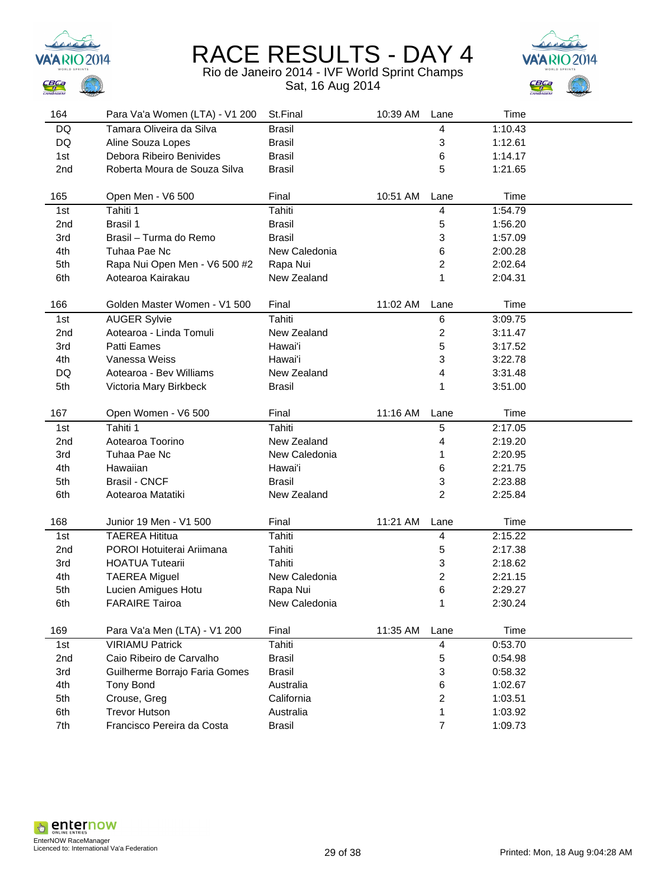



| 164             | Para Va'a Women (LTA) - V1 200 | St.Final      | 10:39 AM | Lane                    | Time    |  |
|-----------------|--------------------------------|---------------|----------|-------------------------|---------|--|
| DQ              | Tamara Oliveira da Silva       | <b>Brasil</b> |          | 4                       | 1:10.43 |  |
| DQ              | Aline Souza Lopes              | <b>Brasil</b> |          | 3                       | 1:12.61 |  |
| 1st             | Debora Ribeiro Benivides       | <b>Brasil</b> |          | 6                       | 1:14.17 |  |
| 2nd             | Roberta Moura de Souza Silva   | <b>Brasil</b> |          | 5                       | 1:21.65 |  |
|                 |                                |               |          |                         |         |  |
| 165             | Open Men - V6 500              | Final         | 10:51 AM | Lane                    | Time    |  |
| 1st             | Tahiti 1                       | Tahiti        |          | 4                       | 1:54.79 |  |
| 2nd             | Brasil 1                       | <b>Brasil</b> |          | 5                       | 1:56.20 |  |
| 3rd             | Brasil - Turma do Remo         | <b>Brasil</b> |          | 3                       | 1:57.09 |  |
| 4th             | Tuhaa Pae Nc                   | New Caledonia |          | 6                       | 2:00.28 |  |
| 5th             | Rapa Nui Open Men - V6 500 #2  | Rapa Nui      |          | $\overline{\mathbf{c}}$ | 2:02.64 |  |
| 6th             | Aotearoa Kairakau              | New Zealand   |          | 1                       | 2:04.31 |  |
|                 |                                |               |          |                         |         |  |
| 166             | Golden Master Women - V1 500   | Final         | 11:02 AM | Lane                    | Time    |  |
| 1st             | <b>AUGER Sylvie</b>            | Tahiti        |          | 6                       | 3:09.75 |  |
| 2 <sub>nd</sub> | Aotearoa - Linda Tomuli        | New Zealand   |          | $\overline{\mathbf{c}}$ | 3:11.47 |  |
| 3rd             | Patti Eames                    | Hawai'i       |          | 5                       | 3:17.52 |  |
| 4th             | Vanessa Weiss                  | Hawai'i       |          | 3                       | 3:22.78 |  |
| DQ              | Aotearoa - Bev Williams        | New Zealand   |          | 4                       | 3:31.48 |  |
| 5th             | Victoria Mary Birkbeck         | <b>Brasil</b> |          | 1                       | 3:51.00 |  |
|                 |                                |               |          |                         |         |  |
| 167             | Open Women - V6 500            | Final         | 11:16 AM | Lane                    | Time    |  |
| 1st             | Tahiti 1                       | Tahiti        |          | 5                       | 2:17.05 |  |
| 2nd             | Aotearoa Toorino               | New Zealand   |          | 4                       | 2:19.20 |  |
| 3rd             | Tuhaa Pae Nc                   | New Caledonia |          | 1                       | 2:20.95 |  |
| 4th             | Hawaiian                       | Hawai'i       |          | 6                       | 2:21.75 |  |
| 5th             | <b>Brasil - CNCF</b>           | <b>Brasil</b> |          | 3                       | 2:23.88 |  |
| 6th             | Aotearoa Matatiki              | New Zealand   |          | $\overline{c}$          | 2:25.84 |  |
|                 |                                |               |          |                         |         |  |
| 168             | Junior 19 Men - V1 500         | Final         | 11:21 AM | Lane                    | Time    |  |
| 1st             | <b>TAEREA Hititua</b>          | Tahiti        |          | 4                       | 2:15.22 |  |
| 2nd             | POROI Hotuiterai Ariimana      | Tahiti        |          | 5                       | 2:17.38 |  |
| 3rd             | <b>HOATUA Tutearii</b>         | Tahiti        |          | 3                       | 2:18.62 |  |
| 4th             | <b>TAEREA Miguel</b>           | New Caledonia |          | 2                       | 2:21.15 |  |
| 5th             | Lucien Amigues Hotu            | Rapa Nui      |          | 6                       | 2:29.27 |  |
| 6th             | <b>FARAIRE Tairoa</b>          | New Caledonia |          | 1                       | 2:30.24 |  |
|                 |                                |               |          |                         |         |  |
| 169             | Para Va'a Men (LTA) - V1 200   | Final         | 11:35 AM | Lane                    | Time    |  |
| 1st             | <b>VIRIAMU Patrick</b>         | Tahiti        |          | 4                       | 0:53.70 |  |
| 2nd             | Caio Ribeiro de Carvalho       | <b>Brasil</b> |          | 5                       | 0:54.98 |  |
| 3rd             | Guilherme Borrajo Faria Gomes  | <b>Brasil</b> |          | 3                       | 0:58.32 |  |
| 4th             | <b>Tony Bond</b>               | Australia     |          | 6                       | 1:02.67 |  |
| 5th             | Crouse, Greg                   | California    |          | $\overline{\mathbf{c}}$ | 1:03.51 |  |
| 6th             | <b>Trevor Hutson</b>           | Australia     |          | 1                       | 1:03.92 |  |
| 7th             | Francisco Pereira da Costa     | <b>Brasil</b> |          | $\overline{7}$          | 1:09.73 |  |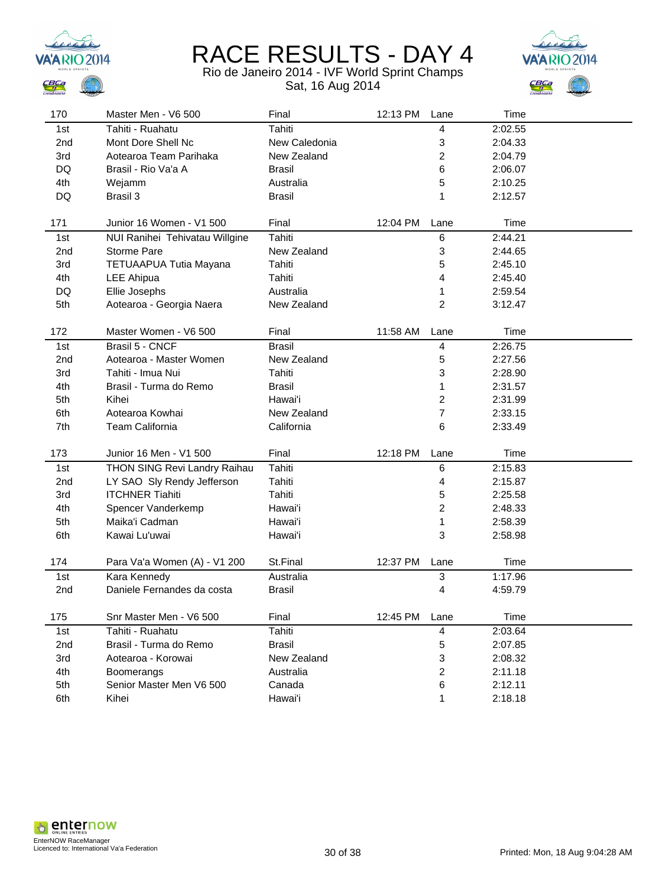



| 170             | Master Men - V6 500            | Final         | 12:13 PM | Lane                    | Time    |  |
|-----------------|--------------------------------|---------------|----------|-------------------------|---------|--|
| 1st             | Tahiti - Ruahatu               | Tahiti        |          | 4                       | 2:02.55 |  |
| 2nd             | Mont Dore Shell Nc             | New Caledonia |          | 3                       | 2:04.33 |  |
| 3rd             | Aotearoa Team Parihaka         | New Zealand   |          | 2                       | 2:04.79 |  |
| DQ              | Brasil - Rio Va'a A            | <b>Brasil</b> |          | 6                       | 2:06.07 |  |
| 4th             | Wejamm                         | Australia     |          | 5                       | 2:10.25 |  |
| DQ              | Brasil 3                       | <b>Brasil</b> |          | 1                       | 2:12.57 |  |
|                 |                                |               |          |                         |         |  |
| 171             | Junior 16 Women - V1 500       | Final         | 12:04 PM | Lane                    | Time    |  |
| 1st             | NUI Ranihei Tehivatau Willgine | Tahiti        |          | 6                       | 2:44.21 |  |
| 2nd             | <b>Storme Pare</b>             | New Zealand   |          | 3                       | 2:44.65 |  |
| 3rd             | TETUAAPUA Tutia Mayana         | Tahiti        |          | 5                       | 2:45.10 |  |
| 4th             | <b>LEE Ahipua</b>              | Tahiti        |          | 4                       | 2:45.40 |  |
| DQ              | Ellie Josephs                  | Australia     |          | 1                       | 2:59.54 |  |
| 5th             | Aotearoa - Georgia Naera       | New Zealand   |          | 2                       | 3:12.47 |  |
|                 |                                |               |          |                         |         |  |
| 172             | Master Women - V6 500          | Final         | 11:58 AM | Lane                    | Time    |  |
| 1st             | Brasil 5 - CNCF                | <b>Brasil</b> |          | $\overline{\mathbf{4}}$ | 2:26.75 |  |
| 2 <sub>nd</sub> | Aotearoa - Master Women        | New Zealand   |          | 5                       | 2:27.56 |  |
| 3rd             | Tahiti - Imua Nui              | Tahiti        |          | 3                       | 2:28.90 |  |
| 4th             | Brasil - Turma do Remo         | <b>Brasil</b> |          | 1                       | 2:31.57 |  |
| 5th             | Kihei                          | Hawai'i       |          | $\overline{\mathbf{c}}$ | 2:31.99 |  |
| 6th             | Aotearoa Kowhai                | New Zealand   |          | 7                       | 2:33.15 |  |
| 7th             | Team California                | California    |          | 6                       | 2:33.49 |  |
|                 |                                |               |          |                         |         |  |
| 173             | Junior 16 Men - V1 500         | Final         | 12:18 PM | Lane                    | Time    |  |
| 1st             | THON SING Revi Landry Raihau   | Tahiti        |          | 6                       | 2:15.83 |  |
| 2nd             | LY SAO Sly Rendy Jefferson     | Tahiti        |          | 4                       | 2:15.87 |  |
| 3rd             | <b>ITCHNER Tiahiti</b>         | Tahiti        |          | 5                       | 2:25.58 |  |
| 4th             | Spencer Vanderkemp             | Hawai'i       |          | $\overline{\mathbf{c}}$ | 2:48.33 |  |
| 5th             | Maika'i Cadman                 | Hawai'i       |          | 1                       | 2:58.39 |  |
| 6th             | Kawai Lu'uwai                  | Hawai'i       |          | 3                       | 2:58.98 |  |
|                 |                                |               |          |                         |         |  |
| 174             | Para Va'a Women (A) - V1 200   | St.Final      | 12:37 PM | Lane                    | Time    |  |
| 1st             | Kara Kennedy                   | Australia     |          | 3                       | 1:17.96 |  |
| 2nd             | Daniele Fernandes da costa     | <b>Brasil</b> |          | 4                       | 4:59.79 |  |
| 175             | Snr Master Men - V6 500        | Final         | 12:45 PM | Lane                    | Time    |  |
| 1st             | Tahiti - Ruahatu               | Tahiti        |          | 4                       | 2:03.64 |  |
| 2nd             | Brasil - Turma do Remo         | <b>Brasil</b> |          | 5                       | 2:07.85 |  |
| 3rd             | Aotearoa - Korowai             | New Zealand   |          | 3                       | 2:08.32 |  |
| 4th             | Boomerangs                     | Australia     |          | 2                       | 2:11.18 |  |
| 5th             | Senior Master Men V6 500       | Canada        |          | 6                       | 2:12.11 |  |
| 6th             | Kihei                          | Hawai'i       |          | 1                       | 2:18.18 |  |
|                 |                                |               |          |                         |         |  |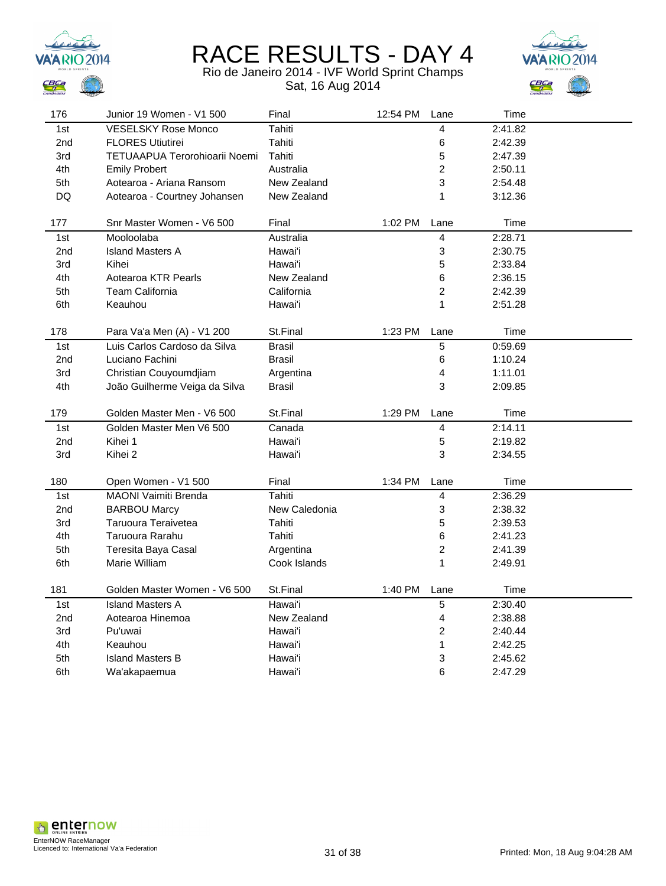



| 176       | Junior 19 Women - V1 500      | Final         | 12:54 PM | Lane                    | Time    |  |
|-----------|-------------------------------|---------------|----------|-------------------------|---------|--|
| 1st       | <b>VESELSKY Rose Monco</b>    | Tahiti        |          | 4                       | 2:41.82 |  |
| 2nd       | <b>FLORES Utiutirei</b>       | Tahiti        |          | 6                       | 2:42.39 |  |
| 3rd       | TETUAAPUA Terorohioarii Noemi | Tahiti        |          | 5                       | 2:47.39 |  |
| 4th       | <b>Emily Probert</b>          | Australia     |          | $\overline{c}$          | 2:50.11 |  |
| 5th       | Aotearoa - Ariana Ransom      | New Zealand   |          | 3                       | 2:54.48 |  |
| <b>DQ</b> | Aotearoa - Courtney Johansen  | New Zealand   |          | 1                       | 3:12.36 |  |
|           |                               |               |          |                         |         |  |
| 177       | Snr Master Women - V6 500     | Final         | 1:02 PM  | Lane                    | Time    |  |
| 1st       | Mooloolaba                    | Australia     |          | $\overline{\mathbf{4}}$ | 2:28.71 |  |
| 2nd       | <b>Island Masters A</b>       | Hawai'i       |          | 3                       | 2:30.75 |  |
| 3rd       | Kihei                         | Hawai'i       |          | 5                       | 2:33.84 |  |
| 4th       | Aotearoa KTR Pearls           | New Zealand   |          | 6                       | 2:36.15 |  |
| 5th       | <b>Team California</b>        | California    |          | $\overline{\mathbf{c}}$ | 2:42.39 |  |
| 6th       | Keauhou                       | Hawai'i       |          | 1                       | 2:51.28 |  |
|           |                               |               |          |                         |         |  |
| 178       | Para Va'a Men (A) - V1 200    | St.Final      | 1:23 PM  | Lane                    | Time    |  |
| 1st       | Luis Carlos Cardoso da Silva  | <b>Brasil</b> |          | $\overline{5}$          | 0:59.69 |  |
| 2nd       | Luciano Fachini               | <b>Brasil</b> |          | 6                       | 1:10.24 |  |
| 3rd       | Christian Couyoumdjiam        | Argentina     |          | $\overline{\mathbf{4}}$ | 1:11.01 |  |
| 4th       | João Guilherme Veiga da Silva | <b>Brasil</b> |          | 3                       | 2:09.85 |  |
|           |                               |               |          |                         |         |  |
| 179       | Golden Master Men - V6 500    | St.Final      | 1:29 PM  | Lane                    | Time    |  |
| 1st       | Golden Master Men V6 500      | Canada        |          | 4                       | 2:14.11 |  |
| 2nd       | Kihei 1                       | Hawai'i       |          | $\mathbf 5$             | 2:19.82 |  |
| 3rd       | Kihei 2                       | Hawai'i       |          | 3                       | 2:34.55 |  |
|           |                               |               |          |                         |         |  |
| 180       | Open Women - V1 500           | Final         | 1:34 PM  | Lane                    | Time    |  |
| 1st       | <b>MAONI Vaimiti Brenda</b>   | Tahiti        |          | $\overline{4}$          | 2:36.29 |  |
| 2nd       | <b>BARBOU Marcy</b>           | New Caledonia |          | 3                       | 2:38.32 |  |
| 3rd       | Taruoura Teraivetea           | Tahiti        |          | 5                       | 2:39.53 |  |
| 4th       | Taruoura Rarahu               | Tahiti        |          | 6                       | 2:41.23 |  |
| 5th       | Teresita Baya Casal           | Argentina     |          | $\overline{c}$          | 2:41.39 |  |
| 6th       | Marie William                 | Cook Islands  |          | 1                       | 2:49.91 |  |
|           |                               |               |          |                         |         |  |
| 181       | Golden Master Women - V6 500  | St.Final      | 1:40 PM  | Lane                    | Time    |  |
| 1st       | <b>Island Masters A</b>       | Hawai'i       |          | $\sqrt{5}$              | 2:30.40 |  |
| 2nd       | Aotearoa Hinemoa              | New Zealand   |          | 4                       | 2:38.88 |  |
| 3rd       | Pu'uwai                       | Hawai'i       |          | $\overline{c}$          | 2:40.44 |  |
| 4th       | Keauhou                       | Hawai'i       |          | 1                       | 2:42.25 |  |
| 5th       | <b>Island Masters B</b>       | Hawai'i       |          | 3                       | 2:45.62 |  |
| 6th       | Wa'akapaemua                  | Hawai'i       |          | 6                       | 2:47.29 |  |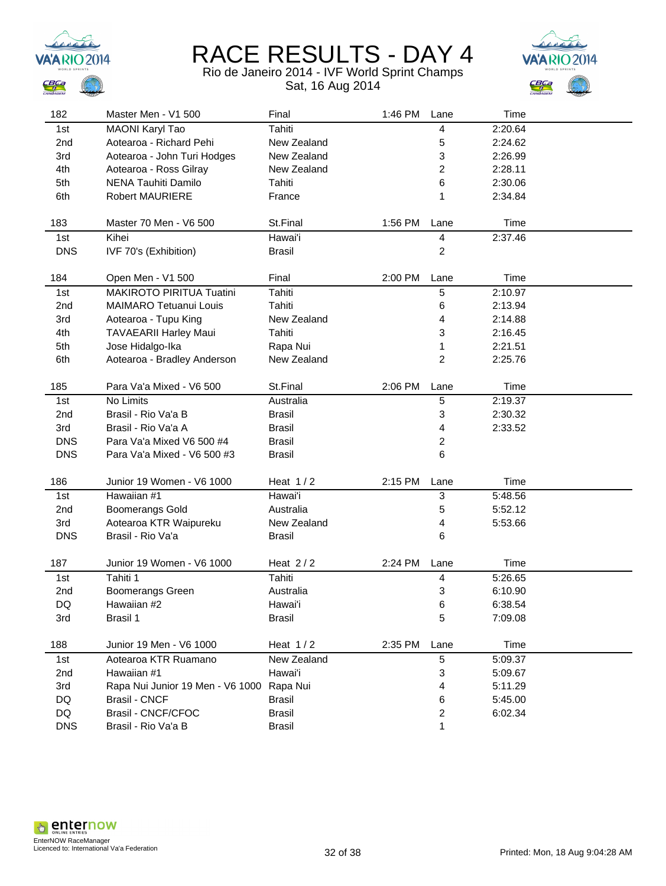



| 182             | Master Men - V1 500              | Final         | 1:46 PM | Lane | Time    |  |
|-----------------|----------------------------------|---------------|---------|------|---------|--|
| 1st             | <b>MAONI Karyl Tao</b>           | Tahiti        |         | 4    | 2:20.64 |  |
| 2nd             | Aotearoa - Richard Pehi          | New Zealand   |         | 5    | 2:24.62 |  |
| 3rd             | Aotearoa - John Turi Hodges      | New Zealand   |         | 3    | 2:26.99 |  |
| 4th             | Aotearoa - Ross Gilray           | New Zealand   |         | 2    | 2:28.11 |  |
| 5th             | <b>NENA Tauhiti Damilo</b>       | Tahiti        |         | 6    | 2:30.06 |  |
| 6th             | <b>Robert MAURIERE</b>           | France        |         | 1    | 2:34.84 |  |
|                 |                                  |               |         |      |         |  |
| 183             | Master 70 Men - V6 500           | St.Final      | 1:56 PM | Lane | Time    |  |
| 1st             | Kihei                            | Hawai'i       |         | 4    | 2:37.46 |  |
| <b>DNS</b>      | IVF 70's (Exhibition)            | <b>Brasil</b> |         | 2    |         |  |
|                 |                                  |               |         |      |         |  |
| 184             | Open Men - V1 500                | Final         | 2:00 PM | Lane | Time    |  |
| 1st             | MAKIROTO PIRITUA Tuatini         | Tahiti        |         | 5    | 2:10.97 |  |
| 2 <sub>nd</sub> | <b>MAIMARO Tetuanui Louis</b>    | Tahiti        |         | 6    | 2:13.94 |  |
| 3rd             | Aotearoa - Tupu King             | New Zealand   |         | 4    | 2:14.88 |  |
| 4th             | <b>TAVAEARII Harley Maui</b>     | Tahiti        |         | 3    | 2:16.45 |  |
| 5th             | Jose Hidalgo-Ika                 | Rapa Nui      |         | 1    | 2:21.51 |  |
| 6th             | Aotearoa - Bradley Anderson      | New Zealand   |         | 2    | 2:25.76 |  |
|                 |                                  |               |         |      |         |  |
| 185             | Para Va'a Mixed - V6 500         | St.Final      | 2:06 PM | Lane | Time    |  |
| 1st             | No Limits                        | Australia     |         | 5    | 2:19.37 |  |
| 2nd             | Brasil - Rio Va'a B              | <b>Brasil</b> |         | 3    | 2:30.32 |  |
| 3rd             | Brasil - Rio Va'a A              | <b>Brasil</b> |         | 4    | 2:33.52 |  |
| <b>DNS</b>      | Para Va'a Mixed V6 500 #4        | <b>Brasil</b> |         | 2    |         |  |
| <b>DNS</b>      | Para Va'a Mixed - V6 500 #3      | <b>Brasil</b> |         | 6    |         |  |
|                 |                                  |               |         |      |         |  |
| 186             | Junior 19 Women - V6 1000        | Heat $1/2$    | 2:15 PM | Lane | Time    |  |
| 1st             | Hawaiian #1                      | Hawai'i       |         | 3    | 5:48.56 |  |
| 2nd             | <b>Boomerangs Gold</b>           | Australia     |         | 5    | 5:52.12 |  |
| 3rd             | Aotearoa KTR Waipureku           | New Zealand   |         | 4    | 5:53.66 |  |
| <b>DNS</b>      | Brasil - Rio Va'a                | <b>Brasil</b> |         | 6    |         |  |
| 187             | Junior 19 Women - V6 1000        | Heat $2/2$    | 2:24 PM | Lane | Time    |  |
| 1st             | Tahiti 1                         | Tahiti        |         | 4    | 5:26.65 |  |
| 2nd             | <b>Boomerangs Green</b>          | Australia     |         | 3    | 6:10.90 |  |
| DQ              | Hawaiian #2                      | Hawai'i       |         | 6    | 6:38.54 |  |
| 3rd             | Brasil 1                         | Brasil        |         | 5    | 7:09.08 |  |
|                 |                                  |               |         |      |         |  |
| 188             | Junior 19 Men - V6 1000          | Heat $1/2$    | 2:35 PM | Lane | Time    |  |
| 1st             | Aotearoa KTR Ruamano             | New Zealand   |         | 5    | 5:09.37 |  |
| 2nd             | Hawaiian #1                      | Hawai'i       |         | 3    | 5:09.67 |  |
| 3rd             | Rapa Nui Junior 19 Men - V6 1000 | Rapa Nui      |         | 4    | 5:11.29 |  |
| DQ              | <b>Brasil - CNCF</b>             | Brasil        |         | 6    | 5:45.00 |  |
| DQ              | Brasil - CNCF/CFOC               | Brasil        |         | 2    | 6:02.34 |  |
| <b>DNS</b>      | Brasil - Rio Va'a B              | <b>Brasil</b> |         | 1    |         |  |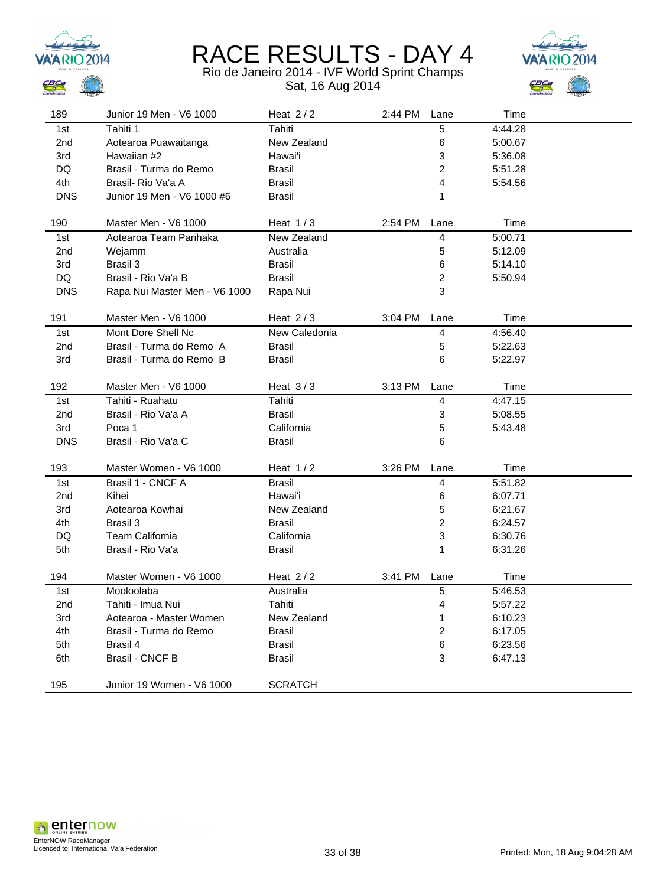



| 189             | Junior 19 Men - V6 1000       | Heat $2/2$     | 2:44 PM | Lane                    | Time    |  |
|-----------------|-------------------------------|----------------|---------|-------------------------|---------|--|
| 1st             | Tahiti 1                      | Tahiti         |         | 5                       | 4:44.28 |  |
| 2nd             | Aotearoa Puawaitanga          | New Zealand    |         | 6                       | 5:00.67 |  |
| 3rd             | Hawaiian #2                   | Hawai'i        |         | 3                       | 5:36.08 |  |
| DQ              | Brasil - Turma do Remo        | <b>Brasil</b>  |         | 2                       | 5:51.28 |  |
| 4th             | Brasil- Rio Va'a A            | <b>Brasil</b>  |         | 4                       | 5:54.56 |  |
| <b>DNS</b>      | Junior 19 Men - V6 1000 #6    | <b>Brasil</b>  |         | 1                       |         |  |
|                 |                               |                |         |                         |         |  |
| 190             | Master Men - V6 1000          | Heat $1/3$     | 2:54 PM | Lane                    | Time    |  |
| 1st             | Aotearoa Team Parihaka        | New Zealand    |         | 4                       | 5:00.71 |  |
| 2nd             | Wejamm                        | Australia      |         | 5                       | 5:12.09 |  |
| 3rd             | Brasil 3                      | <b>Brasil</b>  |         | 6                       | 5:14.10 |  |
| DQ              | Brasil - Rio Va'a B           | <b>Brasil</b>  |         | $\overline{2}$          | 5:50.94 |  |
| <b>DNS</b>      | Rapa Nui Master Men - V6 1000 | Rapa Nui       |         | 3                       |         |  |
| 191             | Master Men - V6 1000          | Heat $2/3$     | 3:04 PM | Lane                    | Time    |  |
| 1st             | Mont Dore Shell Nc            | New Caledonia  |         | $\overline{\mathbf{4}}$ | 4:56.40 |  |
| 2 <sub>nd</sub> | Brasil - Turma do Remo A      | <b>Brasil</b>  |         | 5                       | 5:22.63 |  |
| 3rd             | Brasil - Turma do Remo B      | <b>Brasil</b>  |         | 6                       | 5:22.97 |  |
|                 |                               |                |         |                         |         |  |
| 192             | Master Men - V6 1000          | Heat $3/3$     | 3:13 PM | Lane                    | Time    |  |
| 1st             | Tahiti - Ruahatu              | Tahiti         |         | 4                       | 4:47.15 |  |
| 2nd             | Brasil - Rio Va'a A           | <b>Brasil</b>  |         | 3                       | 5:08.55 |  |
| 3rd             | Poca 1                        | California     |         | 5                       | 5:43.48 |  |
| <b>DNS</b>      | Brasil - Rio Va'a C           | Brasil         |         | 6                       |         |  |
|                 |                               |                |         |                         |         |  |
| 193             | Master Women - V6 1000        | Heat $1/2$     | 3:26 PM | Lane                    | Time    |  |
| 1st             | Brasil 1 - CNCF A             | <b>Brasil</b>  |         | 4                       | 5:51.82 |  |
| 2nd             | Kihei                         | Hawai'i        |         | 6                       | 6:07.71 |  |
| 3rd             | Aotearoa Kowhai               | New Zealand    |         | 5                       | 6:21.67 |  |
| 4th             | Brasil 3                      | <b>Brasil</b>  |         | $\overline{c}$          | 6:24.57 |  |
| DQ              | <b>Team California</b>        | California     |         | 3                       | 6:30.76 |  |
| 5th             | Brasil - Rio Va'a             | Brasil         |         | 1                       | 6:31.26 |  |
| 194             | Master Women - V6 1000        | Heat $2/2$     | 3:41 PM | Lane                    | Time    |  |
| 1st             | Mooloolaba                    | Australia      |         | 5                       | 5:46.53 |  |
| 2nd             | Tahiti - Imua Nui             | Tahiti         |         | 4                       | 5:57.22 |  |
| 3rd             | Aotearoa - Master Women       | New Zealand    |         | 1                       | 6:10.23 |  |
| 4th             | Brasil - Turma do Remo        | <b>Brasil</b>  |         | 2                       | 6:17.05 |  |
| 5th             | Brasil 4                      | <b>Brasil</b>  |         | 6                       | 6:23.56 |  |
| 6th             | <b>Brasil - CNCF B</b>        | <b>Brasil</b>  |         | 3                       | 6:47.13 |  |
|                 |                               |                |         |                         |         |  |
| 195             | Junior 19 Women - V6 1000     | <b>SCRATCH</b> |         |                         |         |  |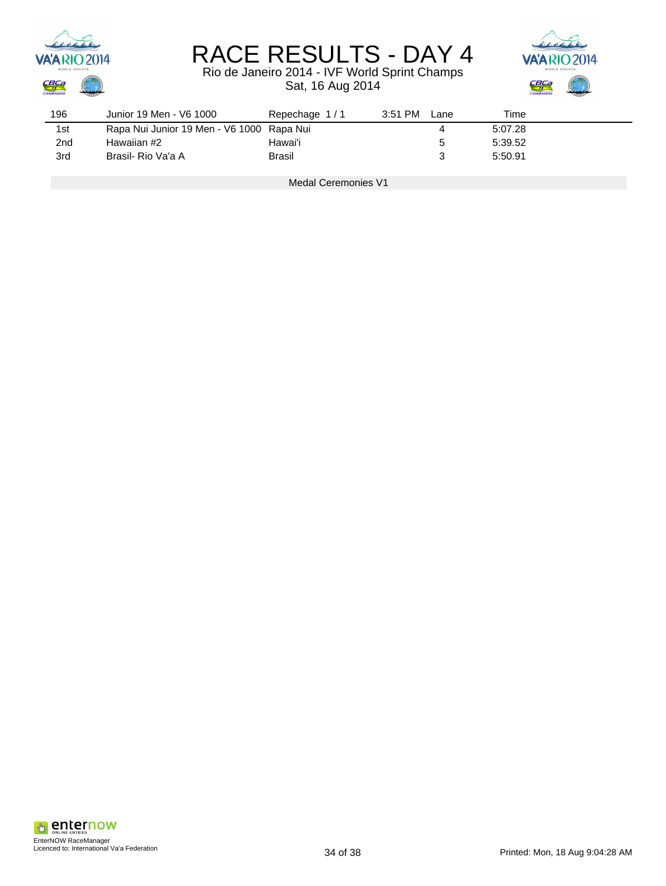

### Rio de Janeiro 2014 - IVF World Sprint Champs Sat, 16 Aug 2014



| 196 | Junior 19 Men - V6 1000                   | Repechage 1/1 | $3:51$ PM | Lane        | Time    |  |
|-----|-------------------------------------------|---------------|-----------|-------------|---------|--|
| 1st | Rapa Nui Junior 19 Men - V6 1000 Rapa Nui |               |           |             | 5:07.28 |  |
| 2nd | Hawaiian #2                               | Hawai'i       |           | $\mathbf b$ | 5:39.52 |  |
| 3rd | Brasil- Rio Va'a A                        | Brasil        |           |             | 5:50.91 |  |

Medal Ceremonies V1

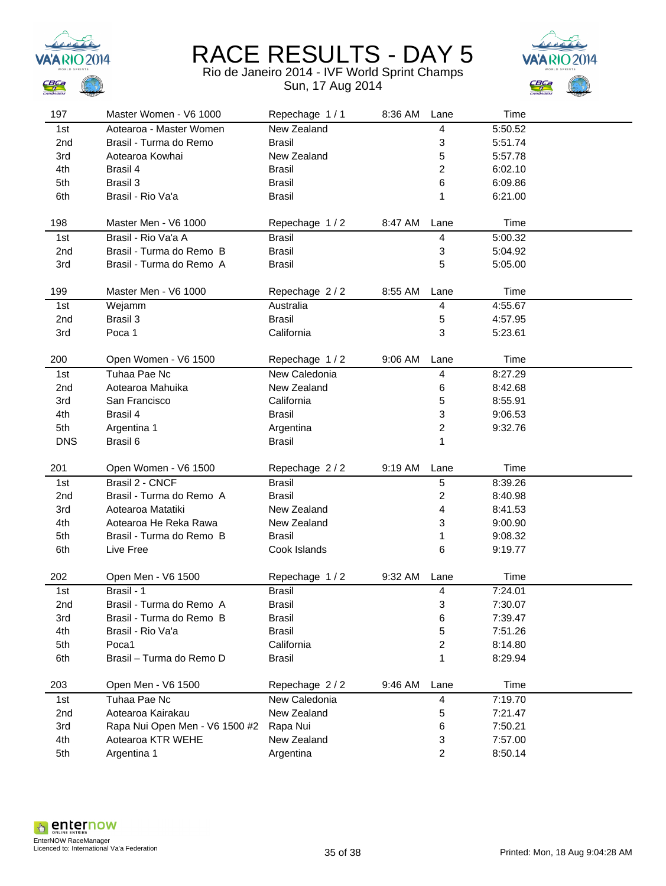



| 197             | Master Women - V6 1000           | Repechage 1/1 | 8:36 AM | Lane                    | Time    |  |
|-----------------|----------------------------------|---------------|---------|-------------------------|---------|--|
| 1st             | Aotearoa - Master Women          | New Zealand   |         | 4                       | 5:50.52 |  |
| 2 <sub>nd</sub> | Brasil - Turma do Remo           | <b>Brasil</b> |         | 3                       | 5:51.74 |  |
| 3rd             | Aotearoa Kowhai                  | New Zealand   |         | 5                       | 5:57.78 |  |
| 4th             | Brasil 4                         | Brasil        |         | $\overline{\mathbf{c}}$ | 6:02.10 |  |
| 5th             | Brasil 3                         | <b>Brasil</b> |         | 6                       | 6:09.86 |  |
| 6th             | Brasil - Rio Va'a                | <b>Brasil</b> |         | 1                       | 6:21.00 |  |
|                 |                                  |               |         |                         |         |  |
| 198             | Master Men - V6 1000             | Repechage 1/2 | 8:47 AM | Lane                    | Time    |  |
| 1st             | Brasil - Rio Va'a A              | <b>Brasil</b> |         | 4                       | 5:00.32 |  |
| 2nd             | Brasil - Turma do Remo B         | <b>Brasil</b> |         | 3                       | 5:04.92 |  |
| 3rd             | Brasil - Turma do Remo A         | <b>Brasil</b> |         | 5                       | 5:05.00 |  |
|                 |                                  |               |         |                         |         |  |
| 199             | Master Men - V6 1000             | Repechage 2/2 | 8:55 AM | Lane                    | Time    |  |
| 1st             | Wejamm                           | Australia     |         | 4                       | 4:55.67 |  |
| 2nd             | Brasil 3                         | <b>Brasil</b> |         | 5                       | 4:57.95 |  |
| 3rd             | Poca 1                           | California    |         | 3                       | 5:23.61 |  |
|                 |                                  |               |         |                         |         |  |
| 200             | Open Women - V6 1500             | Repechage 1/2 | 9:06 AM | Lane                    | Time    |  |
| 1st             | Tuhaa Pae Nc                     | New Caledonia |         | 4                       | 8:27.29 |  |
| 2 <sub>nd</sub> | Aotearoa Mahuika                 | New Zealand   |         | 6                       | 8:42.68 |  |
| 3rd             | San Francisco                    | California    |         | 5                       | 8:55.91 |  |
| 4th             | Brasil 4                         | <b>Brasil</b> |         | 3                       | 9:06.53 |  |
| 5th             | Argentina 1                      | Argentina     |         | $\overline{\mathbf{c}}$ | 9:32.76 |  |
| <b>DNS</b>      | Brasil 6                         | <b>Brasil</b> |         | 1                       |         |  |
|                 |                                  |               |         |                         |         |  |
| 201             | Open Women - V6 1500             | Repechage 2/2 | 9:19 AM | Lane                    | Time    |  |
|                 |                                  |               |         |                         |         |  |
| 1st             | Brasil 2 - CNCF                  | <b>Brasil</b> |         | 5                       | 8:39.26 |  |
| 2nd             | Brasil - Turma do Remo A         | <b>Brasil</b> |         | $\overline{\mathbf{c}}$ | 8:40.98 |  |
| 3rd             | Aotearoa Matatiki                | New Zealand   |         | 4                       | 8:41.53 |  |
| 4th             | Aotearoa He Reka Rawa            | New Zealand   |         | 3                       | 9:00.90 |  |
| 5th             | Brasil - Turma do Remo B         | <b>Brasil</b> |         | 1                       | 9:08.32 |  |
| 6th             | Live Free                        | Cook Islands  |         | 6                       | 9:19.77 |  |
|                 |                                  |               |         |                         |         |  |
| 202             | Open Men - V6 1500               | Repechage 1/2 | 9:32 AM | Lane                    | Time    |  |
| 1st             | Brasil - 1                       | <b>Brasil</b> |         | 4                       | 7:24.01 |  |
| 2nd             | Brasil - Turma do Remo A         | Brasil        |         | 3                       | 7:30.07 |  |
| 3rd             | Brasil - Turma do Remo B         | <b>Brasil</b> |         | 6                       | 7:39.47 |  |
| 4th             | Brasil - Rio Va'a                | <b>Brasil</b> |         | 5                       | 7:51.26 |  |
| 5th             | Poca1                            | California    |         | $\overline{\mathbf{c}}$ | 8:14.80 |  |
| 6th             | Brasil - Turma do Remo D         | <b>Brasil</b> |         | 1                       | 8:29.94 |  |
|                 |                                  |               |         |                         |         |  |
| 203             | Open Men - V6 1500               | Repechage 2/2 | 9:46 AM | Lane                    | Time    |  |
| 1st             | Tuhaa Pae Nc                     | New Caledonia |         | 4                       | 7:19.70 |  |
| 2nd             | Aotearoa Kairakau                | New Zealand   |         | 5                       | 7:21.47 |  |
| 3rd             | Rapa Nui Open Men - V6 1500 #2   | Rapa Nui      |         | 6                       | 7:50.21 |  |
| 4th             | Aotearoa KTR WEHE<br>Argentina 1 | New Zealand   |         | 3                       | 7:57.00 |  |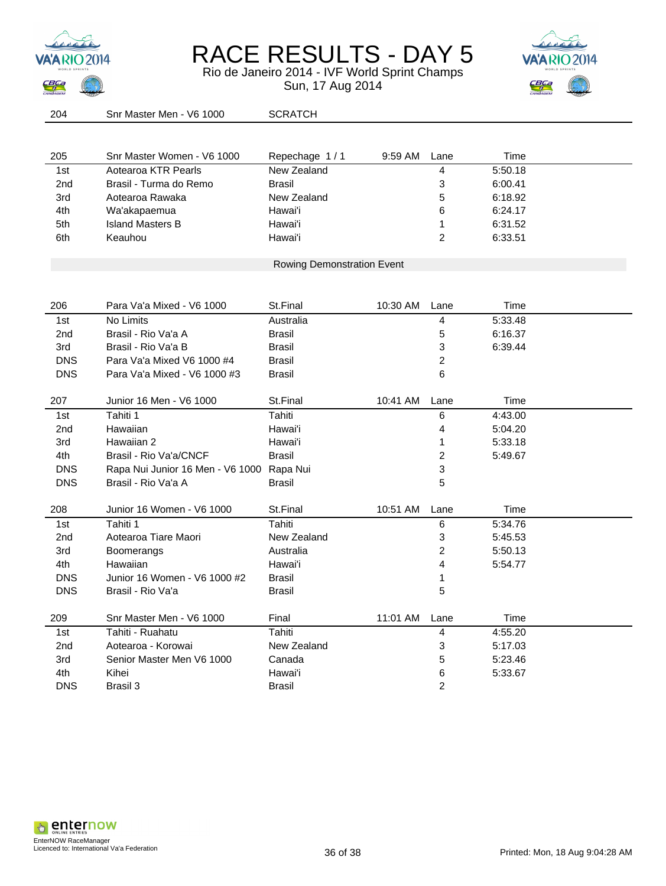



| 204             | Snr Master Men - V6 1000                  | <b>SCRATCH</b>             |          |                         |         |  |
|-----------------|-------------------------------------------|----------------------------|----------|-------------------------|---------|--|
|                 |                                           |                            |          |                         |         |  |
| 205             | Snr Master Women - V6 1000                | Repechage 1/1              | 9:59 AM  | Lane                    | Time    |  |
| 1st             | Aotearoa KTR Pearls                       | New Zealand                |          | 4                       | 5:50.18 |  |
| 2nd             | Brasil - Turma do Remo                    | <b>Brasil</b>              |          | 3                       | 6:00.41 |  |
| 3rd             | Aotearoa Rawaka                           | New Zealand                |          | 5                       | 6:18.92 |  |
| 4th             | Wa'akapaemua                              | Hawai'i                    |          | 6                       | 6:24.17 |  |
| 5th             | <b>Island Masters B</b>                   | Hawai'i                    |          | 1                       | 6:31.52 |  |
| 6th             | Keauhou                                   | Hawai'i                    |          | $\overline{2}$          | 6:33.51 |  |
|                 |                                           |                            |          |                         |         |  |
|                 |                                           | Rowing Demonstration Event |          |                         |         |  |
|                 |                                           |                            |          |                         |         |  |
| 206             | Para Va'a Mixed - V6 1000                 | St.Final                   | 10:30 AM | Lane                    | Time    |  |
| 1st             | No Limits                                 | Australia                  |          | 4                       | 5:33.48 |  |
| 2 <sub>nd</sub> | Brasil - Rio Va'a A                       | <b>Brasil</b>              |          | 5                       | 6:16.37 |  |
| 3rd             | Brasil - Rio Va'a B                       | Brasil                     |          | 3                       | 6:39.44 |  |
| <b>DNS</b>      | Para Va'a Mixed V6 1000 #4                | Brasil                     |          | $\overline{\mathbf{c}}$ |         |  |
| <b>DNS</b>      | Para Va'a Mixed - V6 1000 #3              | <b>Brasil</b>              |          | 6                       |         |  |
|                 |                                           |                            |          |                         |         |  |
| 207             | Junior 16 Men - V6 1000                   | St.Final                   | 10:41 AM | Lane                    | Time    |  |
| 1st             | Tahiti 1                                  | Tahiti                     |          | 6                       | 4:43.00 |  |
| 2 <sub>nd</sub> | Hawaiian                                  | Hawai'i                    |          | 4                       | 5:04.20 |  |
| 3rd             | Hawaiian 2                                | Hawai'i                    |          | 1                       | 5:33.18 |  |
| 4th             | Brasil - Rio Va'a/CNCF                    | <b>Brasil</b>              |          | $\overline{\mathbf{c}}$ | 5:49.67 |  |
| <b>DNS</b>      | Rapa Nui Junior 16 Men - V6 1000 Rapa Nui |                            |          | 3                       |         |  |
| <b>DNS</b>      | Brasil - Rio Va'a A                       | <b>Brasil</b>              |          | 5                       |         |  |
| 208             | Junior 16 Women - V6 1000                 | St.Final                   | 10:51 AM | Lane                    | Time    |  |
| 1st             | Tahiti 1                                  | Tahiti                     |          | 6                       | 5:34.76 |  |
| 2nd             | Aotearoa Tiare Maori                      | New Zealand                |          | 3                       | 5:45.53 |  |
| 3rd             | Boomerangs                                | Australia                  |          | $\overline{\mathbf{c}}$ | 5:50.13 |  |
| 4th             | Hawaiian                                  | Hawai'i                    |          | 4                       | 5:54.77 |  |
| <b>DNS</b>      | Junior 16 Women - V6 1000 #2              | <b>Brasil</b>              |          | 1                       |         |  |
| <b>DNS</b>      | Brasil - Rio Va'a                         | <b>Brasil</b>              |          | 5                       |         |  |
|                 |                                           |                            |          |                         |         |  |
| 209             | Snr Master Men - V6 1000                  | Final                      | 11:01 AM | Lane                    | Time    |  |
| 1st             | Tahiti - Ruahatu                          | Tahiti                     |          | 4                       | 4:55.20 |  |
| 2 <sub>nd</sub> | Aotearoa - Korowai                        | New Zealand                |          | 3                       | 5:17.03 |  |
| 3rd             | Senior Master Men V6 1000                 | Canada                     |          | 5                       | 5:23.46 |  |
| 4th             | Kihei                                     | Hawai'i                    |          | 6                       | 5:33.67 |  |
| <b>DNS</b>      | Brasil 3                                  | <b>Brasil</b>              |          | 2                       |         |  |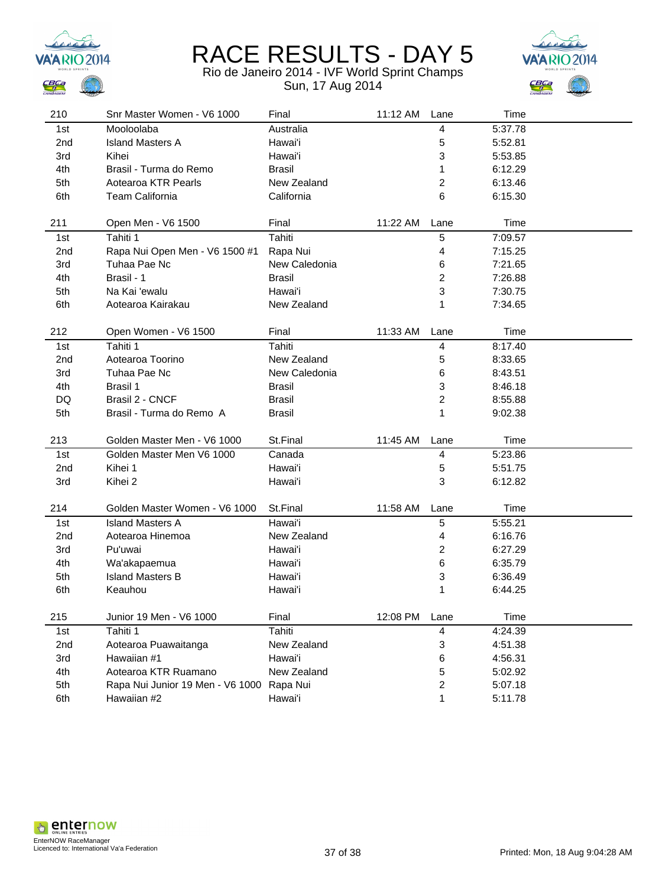



| 210             | Snr Master Women - V6 1000                      | Final               | 11:12 AM | Lane   | Time               |
|-----------------|-------------------------------------------------|---------------------|----------|--------|--------------------|
| 1st             | Mooloolaba                                      | Australia           |          | 4      | 5:37.78            |
| 2 <sub>nd</sub> | <b>Island Masters A</b>                         | Hawai'i             |          | 5      | 5:52.81            |
| 3rd             | Kihei                                           | Hawai'i             |          | 3      | 5:53.85            |
| 4th             | Brasil - Turma do Remo                          | Brasil              |          | 1      | 6:12.29            |
| 5th             | Aotearoa KTR Pearls                             | New Zealand         |          | 2      | 6:13.46            |
| 6th             | Team California                                 | California          |          | 6      | 6:15.30            |
|                 |                                                 |                     |          |        |                    |
| 211             | Open Men - V6 1500                              | Final               | 11:22 AM | Lane   | Time               |
| 1st             | Tahiti 1                                        | Tahiti              |          | 5      | 7:09.57            |
| 2 <sub>nd</sub> | Rapa Nui Open Men - V6 1500 #1                  | Rapa Nui            |          | 4      | 7:15.25            |
| 3rd             | Tuhaa Pae Nc                                    | New Caledonia       |          | 6      | 7:21.65            |
| 4th             | Brasil - 1                                      | <b>Brasil</b>       |          | 2      | 7:26.88            |
| 5th             | Na Kai 'ewalu                                   | Hawai'i             |          | 3      | 7:30.75            |
| 6th             | Aotearoa Kairakau                               | New Zealand         |          | 1      | 7:34.65            |
|                 |                                                 |                     |          |        |                    |
| 212             | Open Women - V6 1500                            | Final               | 11:33 AM | Lane   | Time               |
| 1st             | Tahiti 1                                        | Tahiti              |          | 4      | 8:17.40            |
| 2nd             | Aotearoa Toorino                                | New Zealand         |          | 5      | 8:33.65            |
| 3rd             | Tuhaa Pae Nc                                    | New Caledonia       |          | 6      | 8:43.51            |
| 4th             | Brasil 1                                        | <b>Brasil</b>       |          | 3      | 8:46.18            |
| DQ              | Brasil 2 - CNCF                                 | <b>Brasil</b>       |          | 2      | 8:55.88            |
| 5th             | Brasil - Turma do Remo A                        | <b>Brasil</b>       |          | 1      | 9:02.38            |
|                 |                                                 |                     |          |        |                    |
| 213             | Golden Master Men - V6 1000                     | St.Final            | 11:45 AM | Lane   | Time               |
| 1st             | Golden Master Men V6 1000                       | Canada              |          | 4      | 5:23.86            |
| 2 <sub>nd</sub> | Kihei 1                                         | Hawai'i             |          | 5      | 5:51.75            |
| 3rd             | Kihei 2                                         | Hawai'i             |          | 3      | 6:12.82            |
|                 |                                                 |                     |          |        |                    |
| 214             | Golden Master Women - V6 1000                   | St.Final            | 11:58 AM | Lane   | Time               |
| 1st             | <b>Island Masters A</b>                         | Hawai'i             |          | 5      | 5:55.21            |
| 2nd             | Aotearoa Hinemoa                                | New Zealand         |          | 4      | 6:16.76            |
| 3rd             | Pu'uwai                                         | Hawai'i             |          | 2      | 6:27.29            |
| 4th             | Wa'akapaemua                                    | Hawai'i             |          | 6      | 6:35.79            |
| 5th             | <b>Island Masters B</b>                         | Hawai'i             |          | 3      | 6:36.49            |
| 6th             | Keauhou                                         | Hawai'i             |          | 1      | 6:44.25            |
|                 |                                                 |                     |          |        |                    |
| 215             |                                                 |                     | 12:08 PM |        | Time               |
|                 | Junior 19 Men - V6 1000                         | Final               |          | Lane   |                    |
| 1st             | Tahiti 1                                        | Tahiti              |          | 4      | 4:24.39            |
| 2nd             | Aotearoa Puawaitanga                            | New Zealand         |          | 3      | 4:51.38            |
| 3rd             | Hawaiian #1                                     | Hawai'i             |          | 6      | 4:56.31            |
| 4th             | Aotearoa KTR Ruamano                            | New Zealand         |          | 5      | 5:02.92            |
| 5th<br>6th      | Rapa Nui Junior 19 Men - V6 1000<br>Hawaiian #2 | Rapa Nui<br>Hawai'i |          | 2<br>1 | 5:07.18<br>5:11.78 |